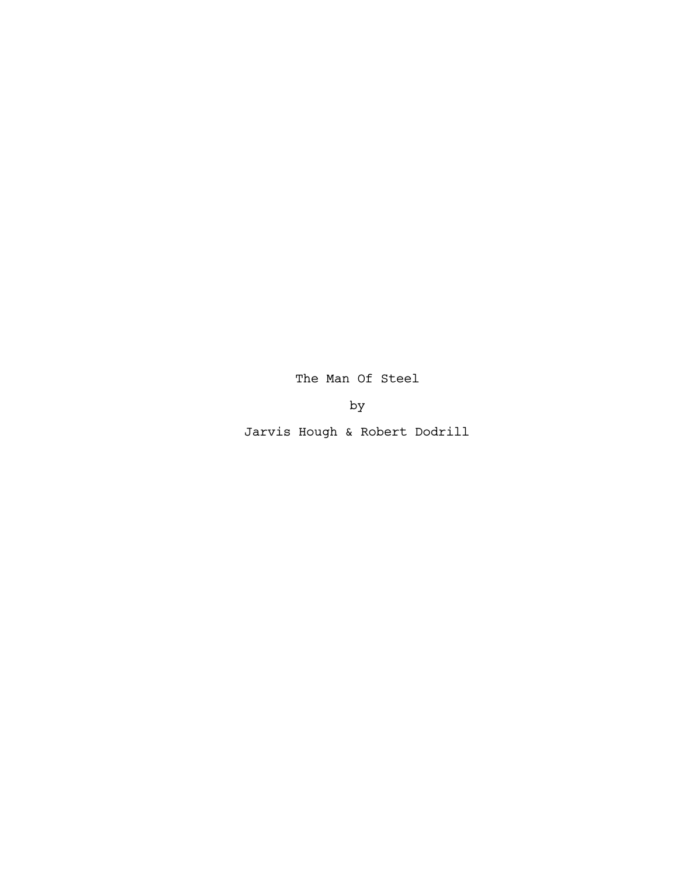The Man Of Steel

by

Jarvis Hough & Robert Dodrill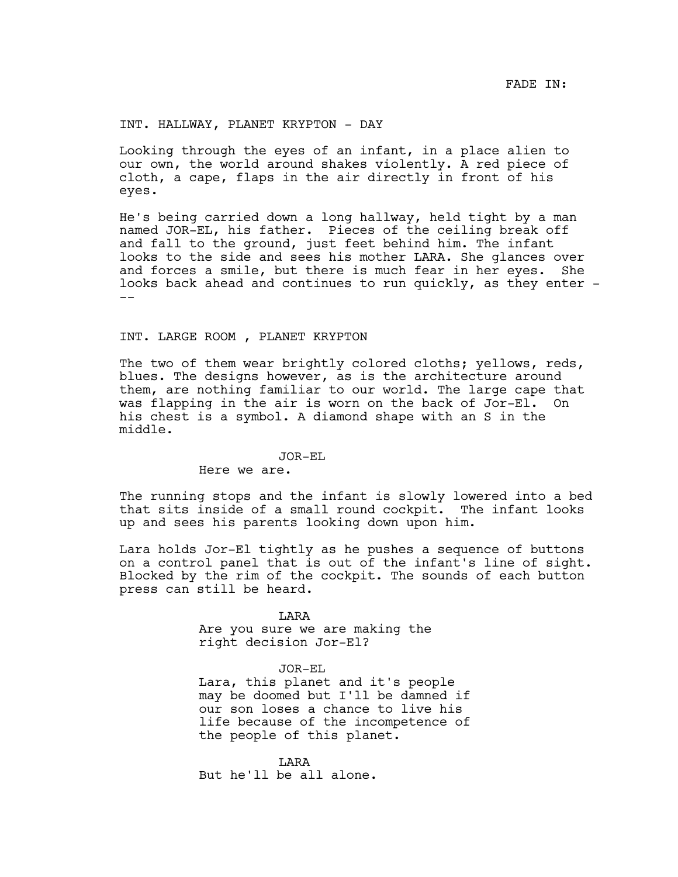INT. HALLWAY, PLANET KRYPTON - DAY

Looking through the eyes of an infant, in a place alien to our own, the world around shakes violently. A red piece of cloth, a cape, flaps in the air directly in front of his eyes.

He's being carried down a long hallway, held tight by a man named JOR-EL, his father. Pieces of the ceiling break off and fall to the ground, just feet behind him. The infant looks to the side and sees his mother LARA. She glances over and forces a smile, but there is much fear in her eyes. She looks back ahead and continues to run quickly, as they enter - --

### INT. LARGE ROOM , PLANET KRYPTON

The two of them wear brightly colored cloths; yellows, reds, blues. The designs however, as is the architecture around them, are nothing familiar to our world. The large cape that was flapping in the air is worn on the back of Jor-El. On his chest is a symbol. A diamond shape with an S in the middle.

#### JOR-EL

Here we are.

The running stops and the infant is slowly lowered into a bed that sits inside of a small round cockpit. The infant looks up and sees his parents looking down upon him.

Lara holds Jor-El tightly as he pushes a sequence of buttons on a control panel that is out of the infant's line of sight. Blocked by the rim of the cockpit. The sounds of each button press can still be heard.

> LARA Are you sure we are making the right decision Jor-El?

### JOR-EL

Lara, this planet and it's people may be doomed but I'll be damned if our son loses a chance to live his life because of the incompetence of the people of this planet.

LARA But he'll be all alone.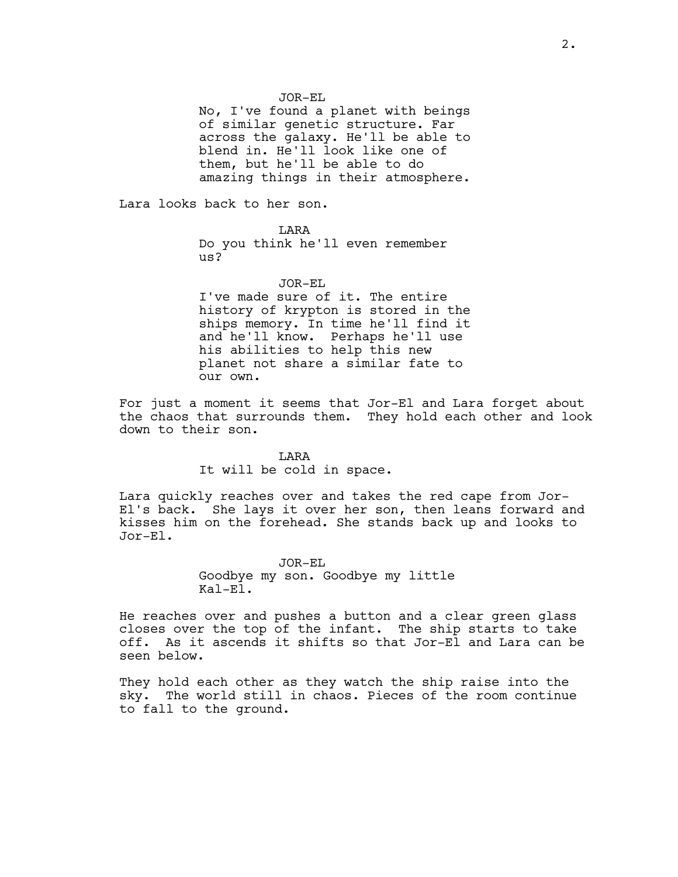JOR-EL

No, I've found a planet with beings of similar genetic structure. Far across the galaxy. He'll be able to blend in. He'll look like one of them, but he'll be able to do amazing things in their atmosphere.

Lara looks back to her son.

LARA Do you think he'll even remember us?

JOR-EL I've made sure of it. The entire history of krypton is stored in the ships memory. In time he'll find it and he'll know. Perhaps he'll use his abilities to help this new planet not share a similar fate to our own.

For just a moment it seems that Jor-El and Lara forget about the chaos that surrounds them. They hold each other and look down to their son.

### LARA

It will be cold in space.

Lara quickly reaches over and takes the red cape from Jor-El's back. She lays it over her son, then leans forward and kisses him on the forehead. She stands back up and looks to Jor-El.

> JOR-EL Goodbye my son. Goodbye my little Kal-El.

He reaches over and pushes a button and a clear green glass closes over the top of the infant. The ship starts to take off. As it ascends it shifts so that Jor-El and Lara can be seen below.

They hold each other as they watch the ship raise into the sky. The world still in chaos. Pieces of the room continue to fall to the ground.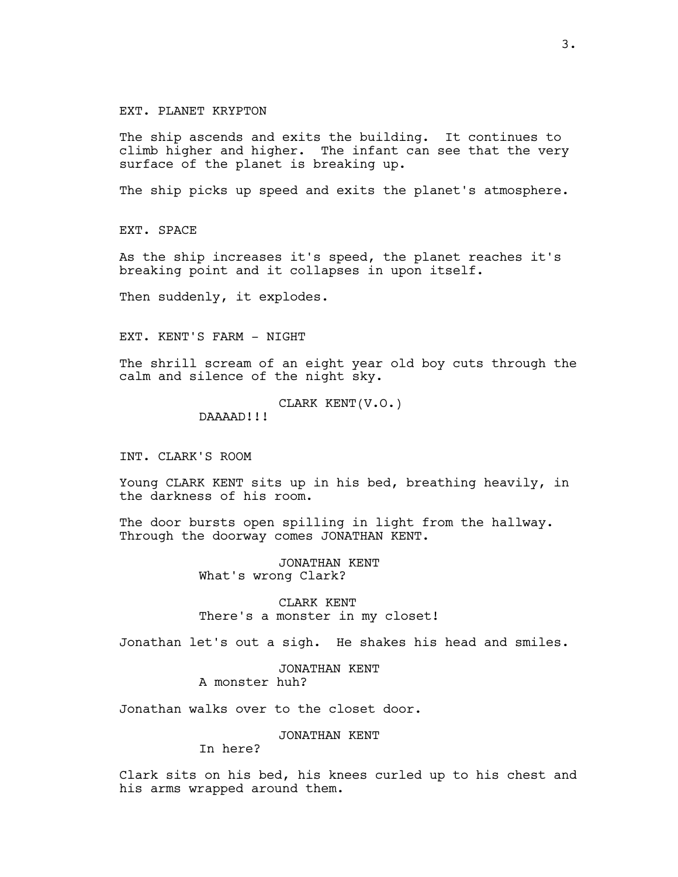### EXT. PLANET KRYPTON

The ship ascends and exits the building. It continues to climb higher and higher. The infant can see that the very surface of the planet is breaking up.

The ship picks up speed and exits the planet's atmosphere.

EXT. SPACE

As the ship increases it's speed, the planet reaches it's breaking point and it collapses in upon itself.

Then suddenly, it explodes.

EXT. KENT'S FARM - NIGHT

The shrill scream of an eight year old boy cuts through the calm and silence of the night sky.

CLARK KENT(V.O.)

DAAAAD!!!

INT. CLARK'S ROOM

Young CLARK KENT sits up in his bed, breathing heavily, in the darkness of his room.

The door bursts open spilling in light from the hallway. Through the doorway comes JONATHAN KENT.

> JONATHAN KENT What's wrong Clark?

CLARK KENT There's a monster in my closet!

Jonathan let's out a sigh. He shakes his head and smiles.

JONATHAN KENT A monster huh?

Jonathan walks over to the closet door.

JONATHAN KENT

In here?

Clark sits on his bed, his knees curled up to his chest and his arms wrapped around them.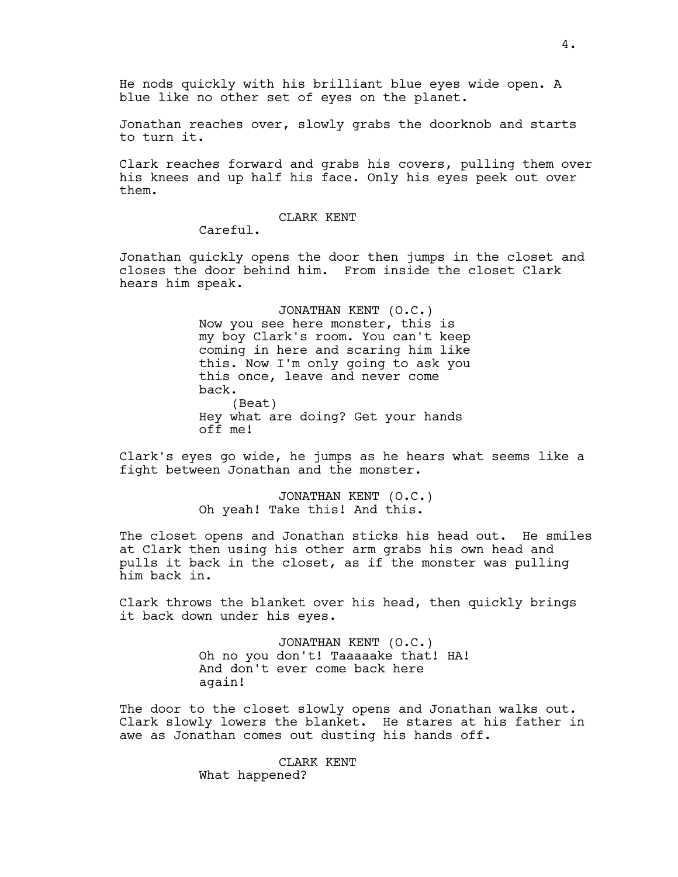He nods quickly with his brilliant blue eyes wide open. A blue like no other set of eyes on the planet.

Jonathan reaches over, slowly grabs the doorknob and starts to turn it.

Clark reaches forward and grabs his covers, pulling them over his knees and up half his face. Only his eyes peek out over them.

### CLARK KENT

Careful.

Jonathan quickly opens the door then jumps in the closet and closes the door behind him. From inside the closet Clark hears him speak.

> JONATHAN KENT (O.C.) Now you see here monster, this is my boy Clark's room. You can't keep coming in here and scaring him like this. Now I'm only going to ask you this once, leave and never come back. (Beat) Hey what are doing? Get your hands off me!

Clark's eyes go wide, he jumps as he hears what seems like a fight between Jonathan and the monster.

> JONATHAN KENT (O.C.) Oh yeah! Take this! And this.

The closet opens and Jonathan sticks his head out. He smiles at Clark then using his other arm grabs his own head and pulls it back in the closet, as if the monster was pulling him back in.

Clark throws the blanket over his head, then quickly brings it back down under his eyes.

> JONATHAN KENT (O.C.) Oh no you don't! Taaaaake that! HA! And don't ever come back here again!

The door to the closet slowly opens and Jonathan walks out. Clark slowly lowers the blanket. He stares at his father in awe as Jonathan comes out dusting his hands off.

> CLARK KENT What happened?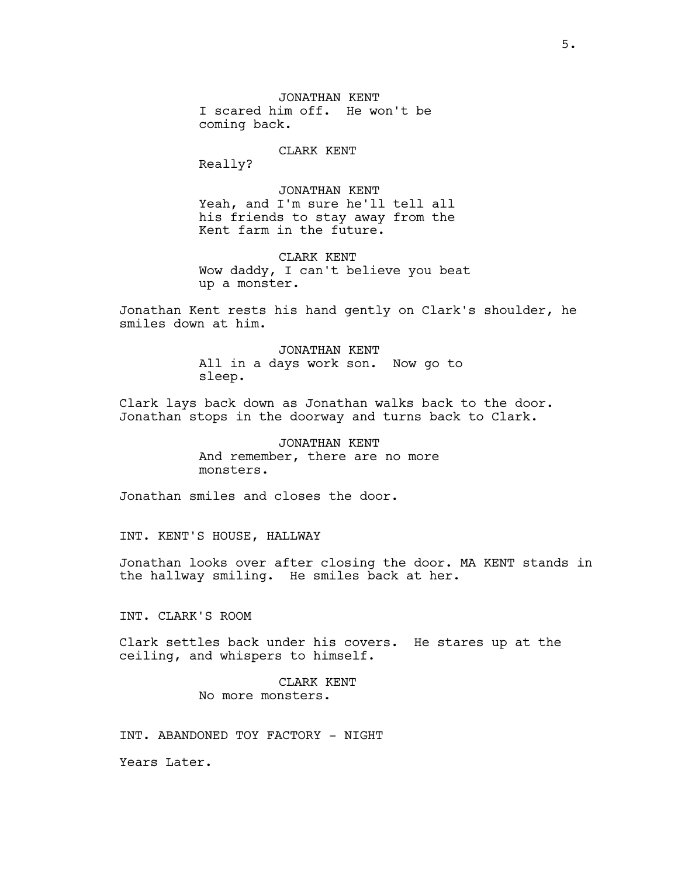JONATHAN KENT I scared him off. He won't be coming back.

CLARK KENT

Really?

JONATHAN KENT Yeah, and I'm sure he'll tell all his friends to stay away from the Kent farm in the future.

CLARK KENT Wow daddy, I can't believe you beat up a monster.

Jonathan Kent rests his hand gently on Clark's shoulder, he smiles down at him.

> JONATHAN KENT All in a days work son. Now go to sleep.

Clark lays back down as Jonathan walks back to the door. Jonathan stops in the doorway and turns back to Clark.

> JONATHAN KENT And remember, there are no more monsters.

Jonathan smiles and closes the door.

INT. KENT'S HOUSE, HALLWAY

Jonathan looks over after closing the door. MA KENT stands in the hallway smiling. He smiles back at her.

INT. CLARK'S ROOM

Clark settles back under his covers. He stares up at the ceiling, and whispers to himself.

> CLARK KENT No more monsters.

INT. ABANDONED TOY FACTORY - NIGHT

Years Later.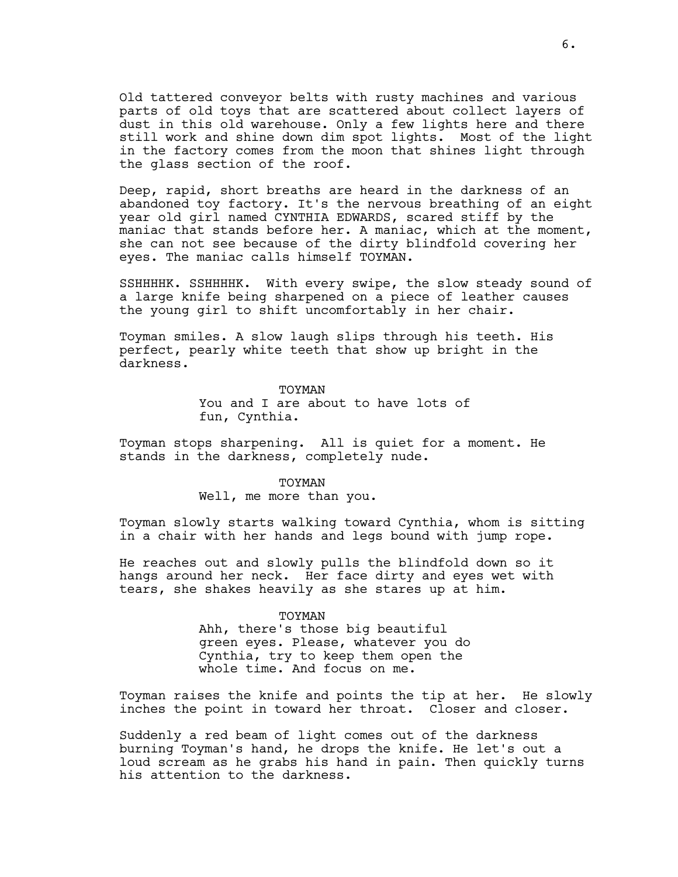Old tattered conveyor belts with rusty machines and various parts of old toys that are scattered about collect layers of dust in this old warehouse. Only a few lights here and there still work and shine down dim spot lights. Most of the light in the factory comes from the moon that shines light through the glass section of the roof.

Deep, rapid, short breaths are heard in the darkness of an abandoned toy factory. It's the nervous breathing of an eight year old girl named CYNTHIA EDWARDS, scared stiff by the maniac that stands before her. A maniac, which at the moment, she can not see because of the dirty blindfold covering her eyes. The maniac calls himself TOYMAN.

SSHHHHK. SSHHHHK. With every swipe, the slow steady sound of a large knife being sharpened on a piece of leather causes the young girl to shift uncomfortably in her chair.

Toyman smiles. A slow laugh slips through his teeth. His perfect, pearly white teeth that show up bright in the darkness.

> **TOYMAN** You and I are about to have lots of fun, Cynthia.

Toyman stops sharpening. All is quiet for a moment. He stands in the darkness, completely nude.

> TOYMAN Well, me more than you.

Toyman slowly starts walking toward Cynthia, whom is sitting in a chair with her hands and legs bound with jump rope.

He reaches out and slowly pulls the blindfold down so it hangs around her neck. Her face dirty and eyes wet with tears, she shakes heavily as she stares up at him.

TOYMAN

Ahh, there's those big beautiful green eyes. Please, whatever you do Cynthia, try to keep them open the whole time. And focus on me.

Toyman raises the knife and points the tip at her. He slowly inches the point in toward her throat. Closer and closer.

Suddenly a red beam of light comes out of the darkness burning Toyman's hand, he drops the knife. He let's out a loud scream as he grabs his hand in pain. Then quickly turns his attention to the darkness.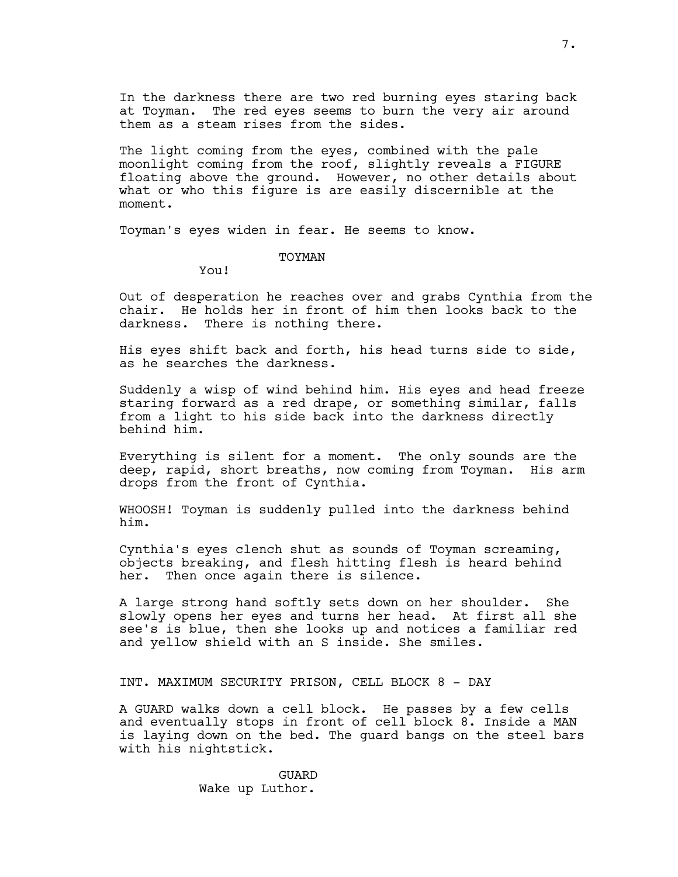In the darkness there are two red burning eyes staring back at Toyman. The red eyes seems to burn the very air around them as a steam rises from the sides.

The light coming from the eyes, combined with the pale moonlight coming from the roof, slightly reveals a FIGURE floating above the ground. However, no other details about what or who this figure is are easily discernible at the moment.

Toyman's eyes widen in fear. He seems to know.

TOYMAN

You!

Out of desperation he reaches over and grabs Cynthia from the chair. He holds her in front of him then looks back to the darkness. There is nothing there.

His eyes shift back and forth, his head turns side to side, as he searches the darkness.

Suddenly a wisp of wind behind him. His eyes and head freeze staring forward as a red drape, or something similar, falls from a light to his side back into the darkness directly behind him.

Everything is silent for a moment. The only sounds are the deep, rapid, short breaths, now coming from Toyman. His arm drops from the front of Cynthia.

WHOOSH! Toyman is suddenly pulled into the darkness behind him.

Cynthia's eyes clench shut as sounds of Toyman screaming, objects breaking, and flesh hitting flesh is heard behind her. Then once again there is silence.

A large strong hand softly sets down on her shoulder. She slowly opens her eyes and turns her head. At first all she see's is blue, then she looks up and notices a familiar red and yellow shield with an S inside. She smiles.

INT. MAXIMUM SECURITY PRISON, CELL BLOCK 8 - DAY

A GUARD walks down a cell block. He passes by a few cells and eventually stops in front of cell block 8. Inside a MAN is laying down on the bed. The guard bangs on the steel bars with his nightstick.

> GUARD Wake up Luthor.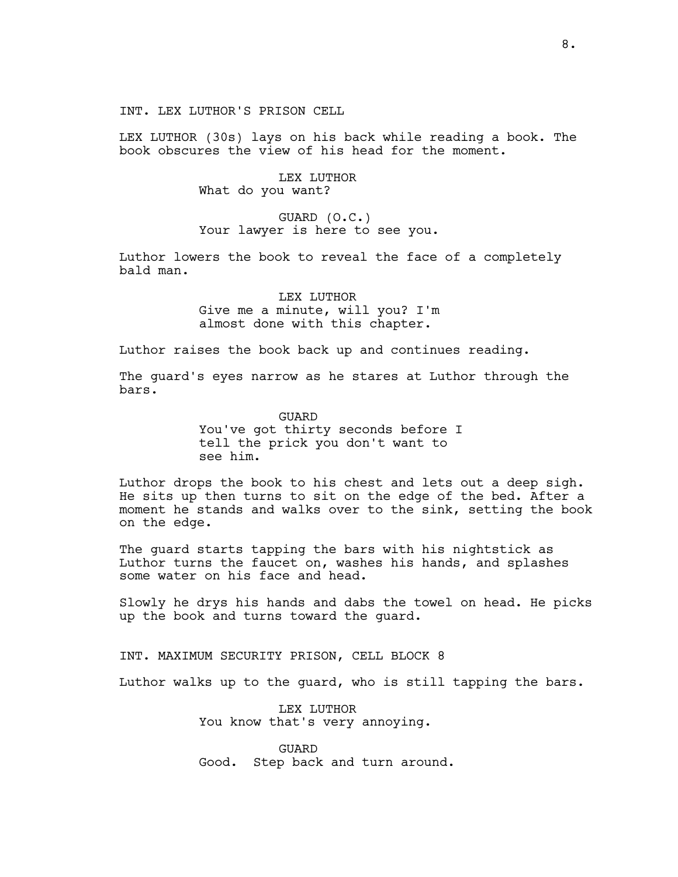INT. LEX LUTHOR'S PRISON CELL

LEX LUTHOR (30s) lays on his back while reading a book. The book obscures the view of his head for the moment.

> LEX LUTHOR What do you want?

GUARD (O.C.) Your lawyer is here to see you.

Luthor lowers the book to reveal the face of a completely bald man.

> LEX LUTHOR Give me a minute, will you? I'm almost done with this chapter.

Luthor raises the book back up and continues reading.

The guard's eyes narrow as he stares at Luthor through the bars.

> GUARD You've got thirty seconds before I tell the prick you don't want to see him.

Luthor drops the book to his chest and lets out a deep sigh. He sits up then turns to sit on the edge of the bed. After a moment he stands and walks over to the sink, setting the book on the edge.

The guard starts tapping the bars with his nightstick as Luthor turns the faucet on, washes his hands, and splashes some water on his face and head.

Slowly he drys his hands and dabs the towel on head. He picks up the book and turns toward the guard.

INT. MAXIMUM SECURITY PRISON, CELL BLOCK 8

Luthor walks up to the guard, who is still tapping the bars.

LEX LUTHOR You know that's very annoying.

GUARD Good. Step back and turn around.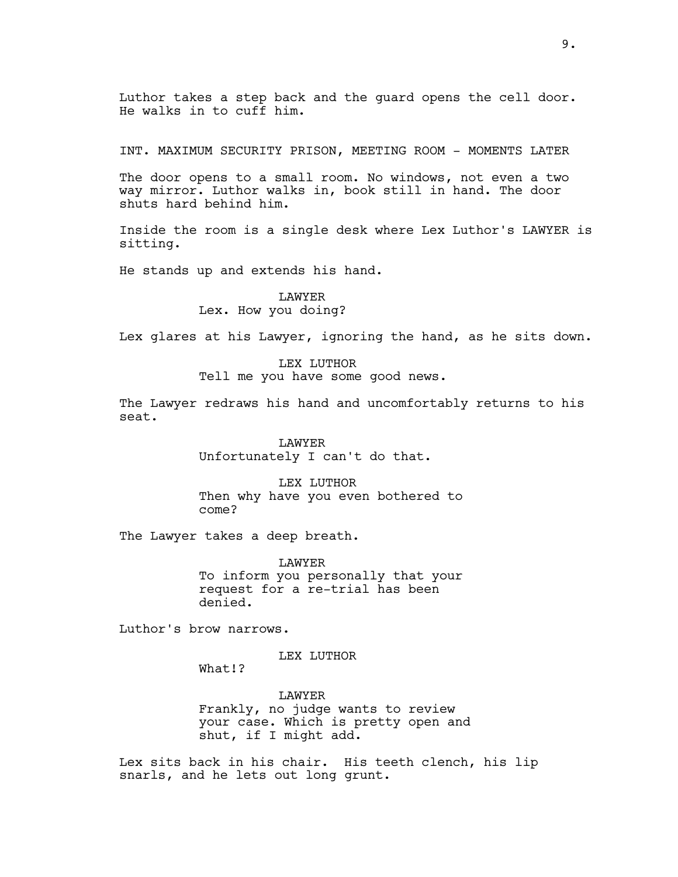Luthor takes a step back and the guard opens the cell door. He walks in to cuff him.

INT. MAXIMUM SECURITY PRISON, MEETING ROOM - MOMENTS LATER

The door opens to a small room. No windows, not even a two way mirror. Luthor walks in, book still in hand. The door shuts hard behind him.

Inside the room is a single desk where Lex Luthor's LAWYER is sitting.

He stands up and extends his hand.

### LAWYER Lex. How you doing?

Lex glares at his Lawyer, ignoring the hand, as he sits down.

# LEX LUTHOR Tell me you have some good news.

The Lawyer redraws his hand and uncomfortably returns to his seat.

> LAWYER Unfortunately I can't do that.

LEX LUTHOR Then why have you even bothered to come?

The Lawyer takes a deep breath.

LAWYER To inform you personally that your request for a re-trial has been denied.

Luthor's brow narrows.

LEX LUTHOR

What!?

LAWYER Frankly, no judge wants to review your case. Which is pretty open and shut, if I might add.

Lex sits back in his chair. His teeth clench, his lip snarls, and he lets out long grunt.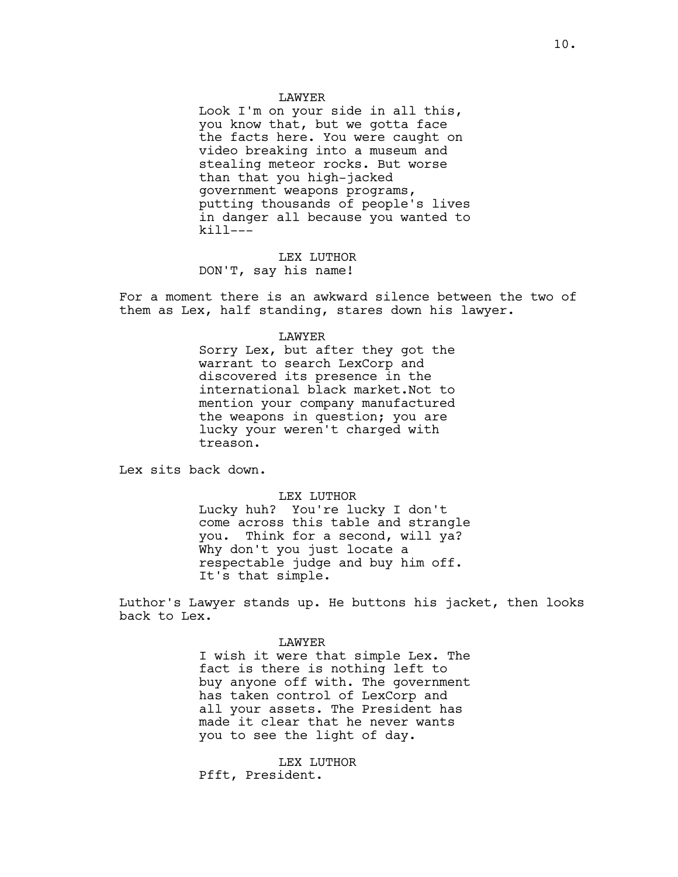#### LAWYER

Look I'm on your side in all this, you know that, but we gotta face the facts here. You were caught on video breaking into a museum and stealing meteor rocks. But worse than that you high-jacked government weapons programs, putting thousands of people's lives in danger all because you wanted to kill---

LEX LUTHOR DON'T, say his name!

For a moment there is an awkward silence between the two of them as Lex, half standing, stares down his lawyer.

#### LAWYER

Sorry Lex, but after they got the warrant to search LexCorp and discovered its presence in the international black market.Not to mention your company manufactured the weapons in question; you are lucky your weren't charged with treason.

Lex sits back down.

LEX LUTHOR

Lucky huh? You're lucky I don't come across this table and strangle you. Think for a second, will ya? Why don't you just locate a respectable judge and buy him off. It's that simple.

Luthor's Lawyer stands up. He buttons his jacket, then looks back to Lex.

> LAWYER I wish it were that simple Lex. The fact is there is nothing left to buy anyone off with. The government has taken control of LexCorp and all your assets. The President has made it clear that he never wants you to see the light of day.

LEX LUTHOR Pfft, President.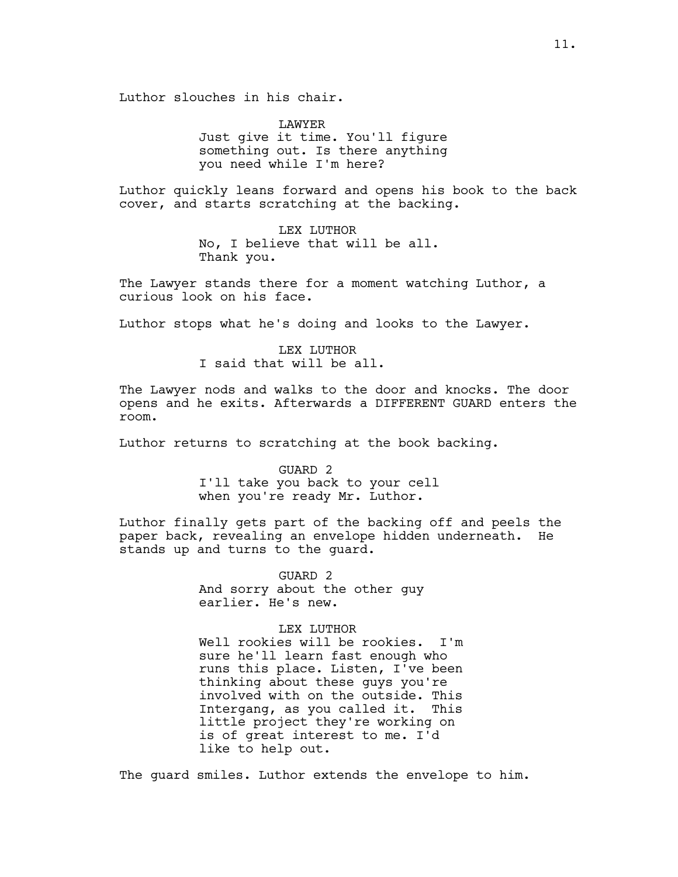Luthor slouches in his chair.

LAWYER Just give it time. You'll figure something out. Is there anything you need while I'm here?

Luthor quickly leans forward and opens his book to the back cover, and starts scratching at the backing.

> LEX LUTHOR No, I believe that will be all. Thank you.

The Lawyer stands there for a moment watching Luthor, a curious look on his face.

Luthor stops what he's doing and looks to the Lawyer.

LEX LUTHOR I said that will be all.

The Lawyer nods and walks to the door and knocks. The door opens and he exits. Afterwards a DIFFERENT GUARD enters the room.

Luthor returns to scratching at the book backing.

GUARD 2 I'll take you back to your cell when you're ready Mr. Luthor.

Luthor finally gets part of the backing off and peels the paper back, revealing an envelope hidden underneath. He stands up and turns to the guard.

> GUARD 2 And sorry about the other guy earlier. He's new.

### LEX LUTHOR

Well rookies will be rookies. I'm sure he'll learn fast enough who runs this place. Listen, I've been thinking about these guys you're involved with on the outside. This Intergang, as you called it. This little project they're working on is of great interest to me. I'd like to help out.

The guard smiles. Luthor extends the envelope to him.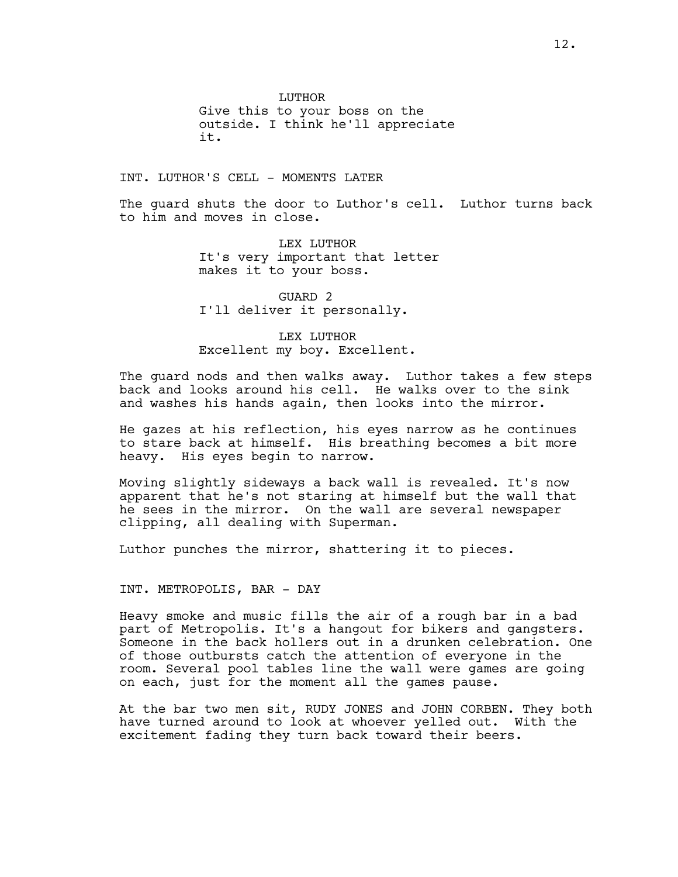LUTHOR Give this to your boss on the outside. I think he'll appreciate it.

INT. LUTHOR'S CELL - MOMENTS LATER

The guard shuts the door to Luthor's cell. Luthor turns back to him and moves in close.

> LEX LUTHOR It's very important that letter makes it to your boss.

GUARD 2 I'll deliver it personally.

LEX LUTHOR Excellent my boy. Excellent.

The guard nods and then walks away. Luthor takes a few steps back and looks around his cell. He walks over to the sink and washes his hands again, then looks into the mirror.

He gazes at his reflection, his eyes narrow as he continues to stare back at himself. His breathing becomes a bit more heavy. His eyes begin to narrow.

Moving slightly sideways a back wall is revealed. It's now apparent that he's not staring at himself but the wall that he sees in the mirror. On the wall are several newspaper clipping, all dealing with Superman.

Luthor punches the mirror, shattering it to pieces.

INT. METROPOLIS, BAR - DAY

Heavy smoke and music fills the air of a rough bar in a bad part of Metropolis. It's a hangout for bikers and gangsters. Someone in the back hollers out in a drunken celebration. One of those outbursts catch the attention of everyone in the room. Several pool tables line the wall were games are going on each, just for the moment all the games pause.

At the bar two men sit, RUDY JONES and JOHN CORBEN. They both have turned around to look at whoever yelled out. With the excitement fading they turn back toward their beers.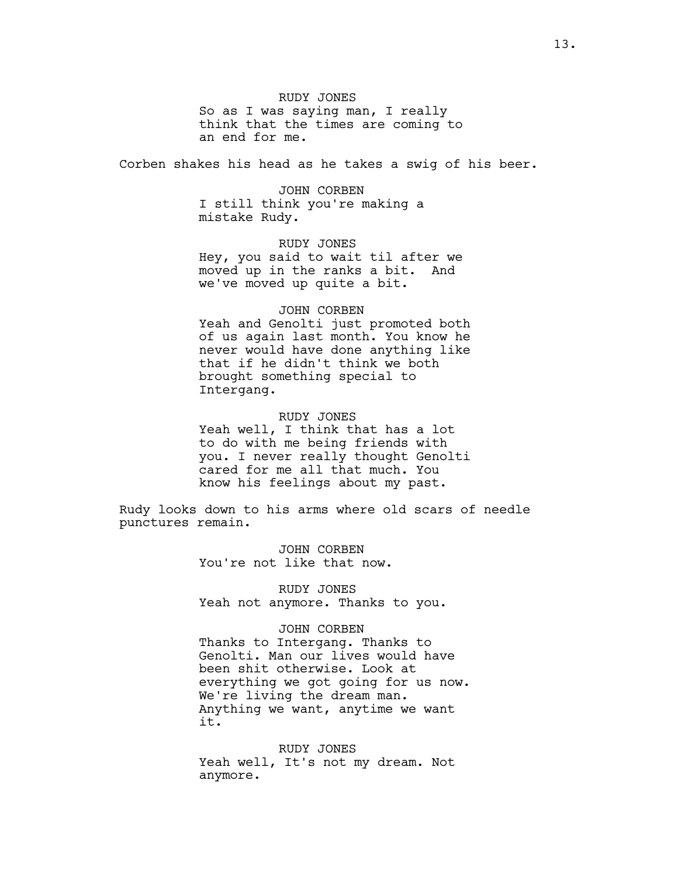RUDY JONES So as I was saying man, I really think that the times are coming to an end for me.

Corben shakes his head as he takes a swig of his beer.

JOHN CORBEN I still think you're making a mistake Rudy.

RUDY JONES Hey, you said to wait til after we moved up in the ranks a bit. And we've moved up quite a bit.

### JOHN CORBEN

Yeah and Genolti just promoted both of us again last month. You know he never would have done anything like that if he didn't think we both brought something special to Intergang.

### RUDY JONES

Yeah well, I think that has a lot to do with me being friends with you. I never really thought Genolti cared for me all that much. You know his feelings about my past.

Rudy looks down to his arms where old scars of needle punctures remain.

> JOHN CORBEN You're not like that now.

RUDY JONES Yeah not anymore. Thanks to you.

### JOHN CORBEN

Thanks to Intergang. Thanks to Genolti. Man our lives would have been shit otherwise. Look at everything we got going for us now. We're living the dream man. Anything we want, anytime we want it.

RUDY JONES Yeah well, It's not my dream. Not anymore.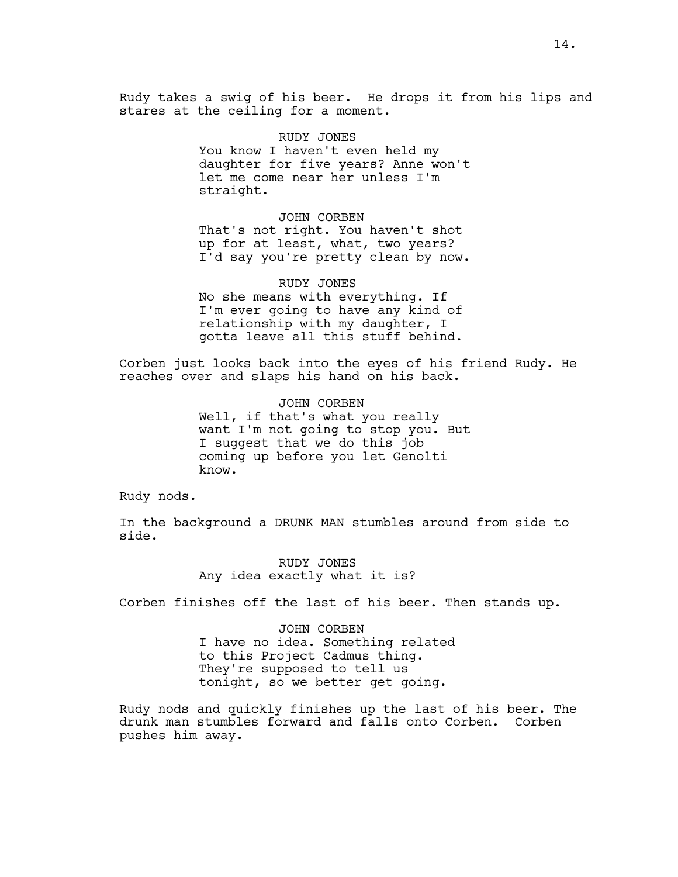Rudy takes a swig of his beer. He drops it from his lips and stares at the ceiling for a moment.

> RUDY JONES You know I haven't even held my daughter for five years? Anne won't let me come near her unless I'm straight.

> JOHN CORBEN That's not right. You haven't shot up for at least, what, two years? I'd say you're pretty clean by now.

RUDY JONES No she means with everything. If I'm ever going to have any kind of relationship with my daughter, I gotta leave all this stuff behind.

Corben just looks back into the eyes of his friend Rudy. He reaches over and slaps his hand on his back.

> JOHN CORBEN Well, if that's what you really want I'm not going to stop you. But I suggest that we do this job coming up before you let Genolti know.

Rudy nods.

In the background a DRUNK MAN stumbles around from side to side.

> RUDY JONES Any idea exactly what it is?

Corben finishes off the last of his beer. Then stands up.

JOHN CORBEN I have no idea. Something related to this Project Cadmus thing. They're supposed to tell us tonight, so we better get going.

Rudy nods and quickly finishes up the last of his beer. The drunk man stumbles forward and falls onto Corben. Corben pushes him away.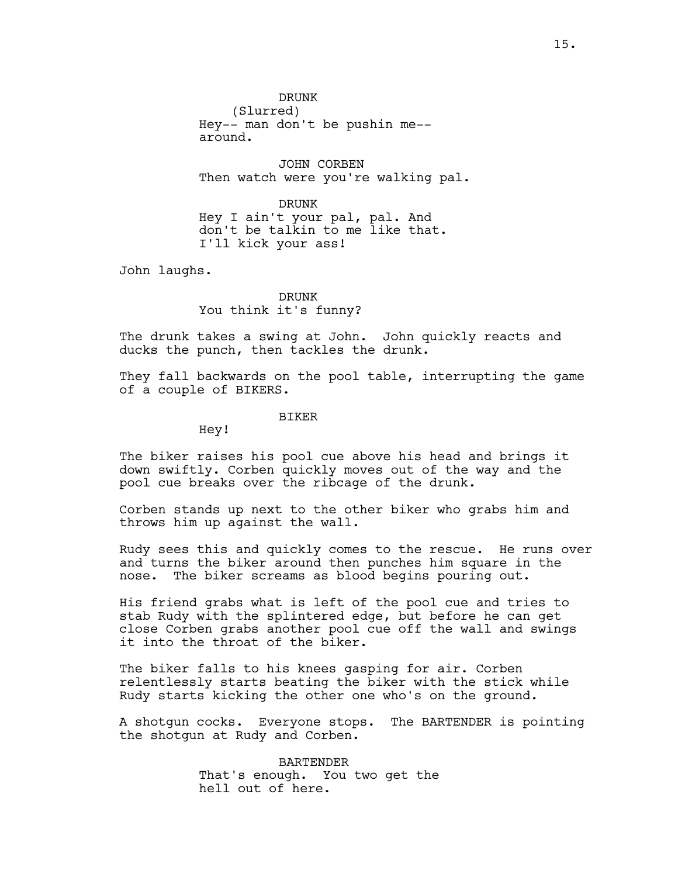DRUNK (Slurred) Hey-- man don't be pushin me- around.

JOHN CORBEN Then watch were you're walking pal.

DRUNK Hey I ain't your pal, pal. And don't be talkin to me like that. I'll kick your ass!

John laughs.

DRUNK You think it's funny?

The drunk takes a swing at John. John quickly reacts and ducks the punch, then tackles the drunk.

They fall backwards on the pool table, interrupting the game of a couple of BIKERS.

### BIKER

Hey!

The biker raises his pool cue above his head and brings it down swiftly. Corben quickly moves out of the way and the pool cue breaks over the ribcage of the drunk.

Corben stands up next to the other biker who grabs him and throws him up against the wall.

Rudy sees this and quickly comes to the rescue. He runs over and turns the biker around then punches him square in the nose. The biker screams as blood begins pouring out.

His friend grabs what is left of the pool cue and tries to stab Rudy with the splintered edge, but before he can get close Corben grabs another pool cue off the wall and swings it into the throat of the biker.

The biker falls to his knees gasping for air. Corben relentlessly starts beating the biker with the stick while Rudy starts kicking the other one who's on the ground.

A shotgun cocks. Everyone stops. The BARTENDER is pointing the shotgun at Rudy and Corben.

> BARTENDER That's enough. You two get the hell out of here.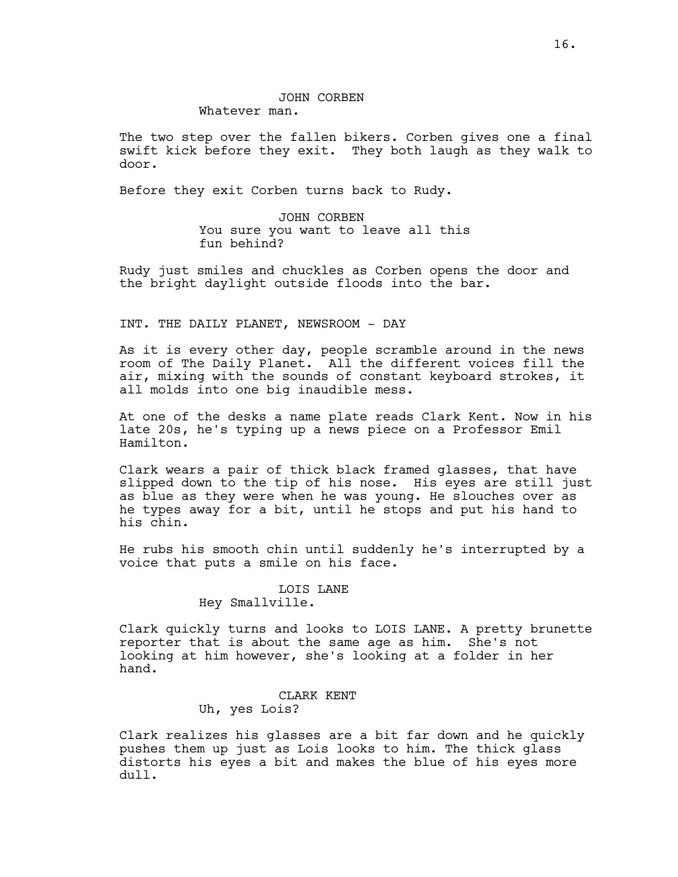The two step over the fallen bikers. Corben gives one a final swift kick before they exit. They both laugh as they walk to door.

Before they exit Corben turns back to Rudy.

JOHN CORBEN You sure you want to leave all this fun behind?

Rudy just smiles and chuckles as Corben opens the door and the bright daylight outside floods into the bar.

# INT. THE DAILY PLANET, NEWSROOM - DAY

As it is every other day, people scramble around in the news room of The Daily Planet. All the different voices fill the air, mixing with the sounds of constant keyboard strokes, it all molds into one big inaudible mess.

At one of the desks a name plate reads Clark Kent. Now in his late 20s, he's typing up a news piece on a Professor Emil Hamilton.

Clark wears a pair of thick black framed glasses, that have slipped down to the tip of his nose. His eyes are still just as blue as they were when he was young. He slouches over as he types away for a bit, until he stops and put his hand to his chin.

He rubs his smooth chin until suddenly he's interrupted by a voice that puts a smile on his face.

# LOIS LANE Hey Smallville.

Clark quickly turns and looks to LOIS LANE. A pretty brunette reporter that is about the same age as him. She's not looking at him however, she's looking at a folder in her hand.

# CLARK KENT

Uh, yes Lois?

Clark realizes his glasses are a bit far down and he quickly pushes them up just as Lois looks to him. The thick glass distorts his eyes a bit and makes the blue of his eyes more dull.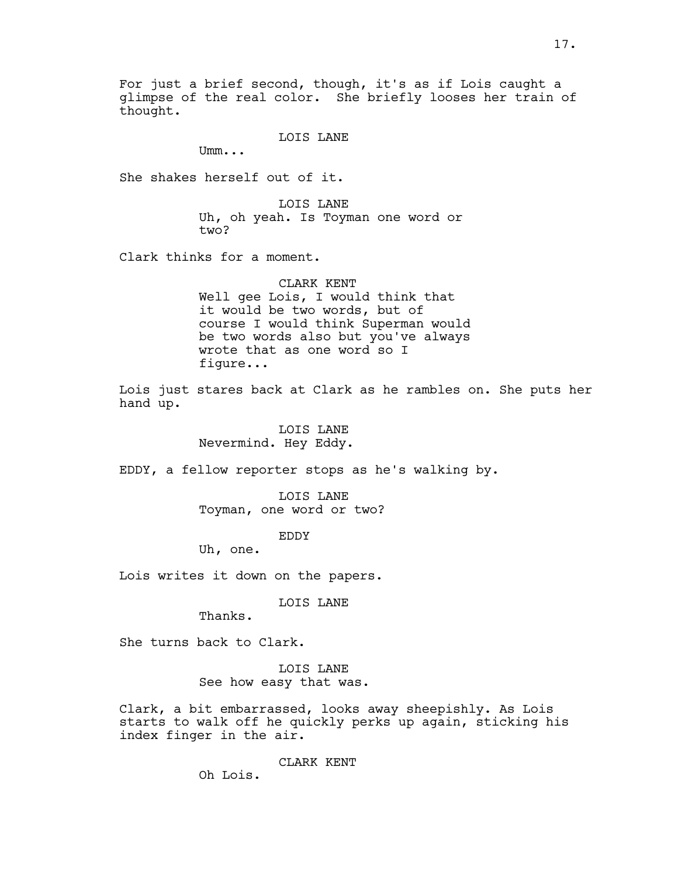For just a brief second, though, it's as if Lois caught a glimpse of the real color. She briefly looses her train of thought.

LOIS LANE

Umm...

She shakes herself out of it.

LOIS LANE Uh, oh yeah. Is Toyman one word or two?

Clark thinks for a moment.

CLARK KENT Well gee Lois, I would think that it would be two words, but of course I would think Superman would be two words also but you've always wrote that as one word so I figure...

Lois just stares back at Clark as he rambles on. She puts her hand up.

> LOIS LANE Nevermind. Hey Eddy.

EDDY, a fellow reporter stops as he's walking by.

LOIS LANE Toyman, one word or two?

EDDY

Uh, one.

Lois writes it down on the papers.

LOIS LANE

Thanks.

She turns back to Clark.

LOIS LANE See how easy that was.

Clark, a bit embarrassed, looks away sheepishly. As Lois starts to walk off he quickly perks up again, sticking his index finger in the air.

CLARK KENT

Oh Lois.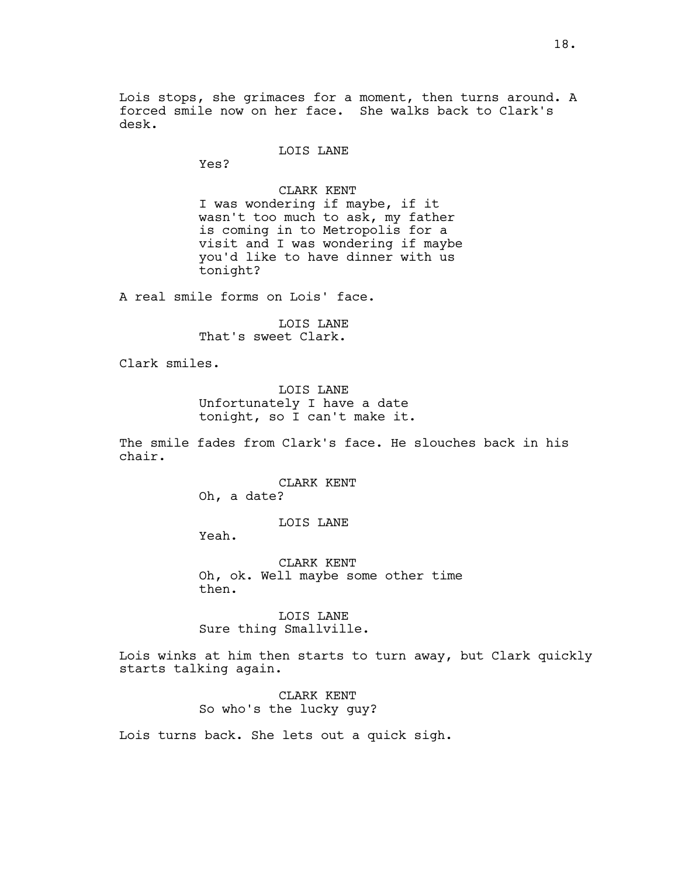Lois stops, she grimaces for a moment, then turns around. A forced smile now on her face. She walks back to Clark's desk.

### LOIS LANE

Yes?

CLARK KENT I was wondering if maybe, if it wasn't too much to ask, my father is coming in to Metropolis for a visit and I was wondering if maybe you'd like to have dinner with us tonight?

A real smile forms on Lois' face.

LOIS LANE That's sweet Clark.

Clark smiles.

LOIS LANE Unfortunately I have a date tonight, so I can't make it.

The smile fades from Clark's face. He slouches back in his chair.

> CLARK KENT Oh, a date?

> > LOIS LANE

Yeah.

CLARK KENT Oh, ok. Well maybe some other time then.

LOIS LANE Sure thing Smallville.

Lois winks at him then starts to turn away, but Clark quickly starts talking again.

> CLARK KENT So who's the lucky guy?

Lois turns back. She lets out a quick sigh.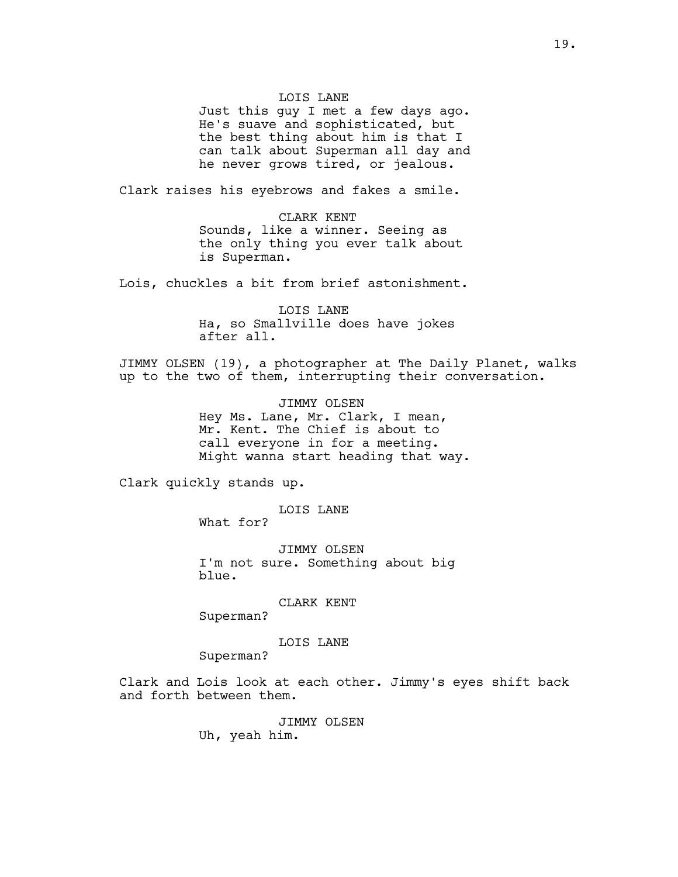### LOIS LANE

Just this guy I met a few days ago. He's suave and sophisticated, but the best thing about him is that I can talk about Superman all day and he never grows tired, or jealous.

Clark raises his eyebrows and fakes a smile.

CLARK KENT Sounds, like a winner. Seeing as the only thing you ever talk about is Superman.

Lois, chuckles a bit from brief astonishment.

LOIS LANE Ha, so Smallville does have jokes after all.

JIMMY OLSEN (19), a photographer at The Daily Planet, walks up to the two of them, interrupting their conversation.

> JIMMY OLSEN Hey Ms. Lane, Mr. Clark, I mean, Mr. Kent. The Chief is about to call everyone in for a meeting. Might wanna start heading that way.

Clark quickly stands up.

LOIS LANE

What for?

JIMMY OLSEN I'm not sure. Something about big blue.

# CLARK KENT

Superman?

# LOIS LANE

Superman?

Clark and Lois look at each other. Jimmy's eyes shift back and forth between them.

JIMMY OLSEN

Uh, yeah him.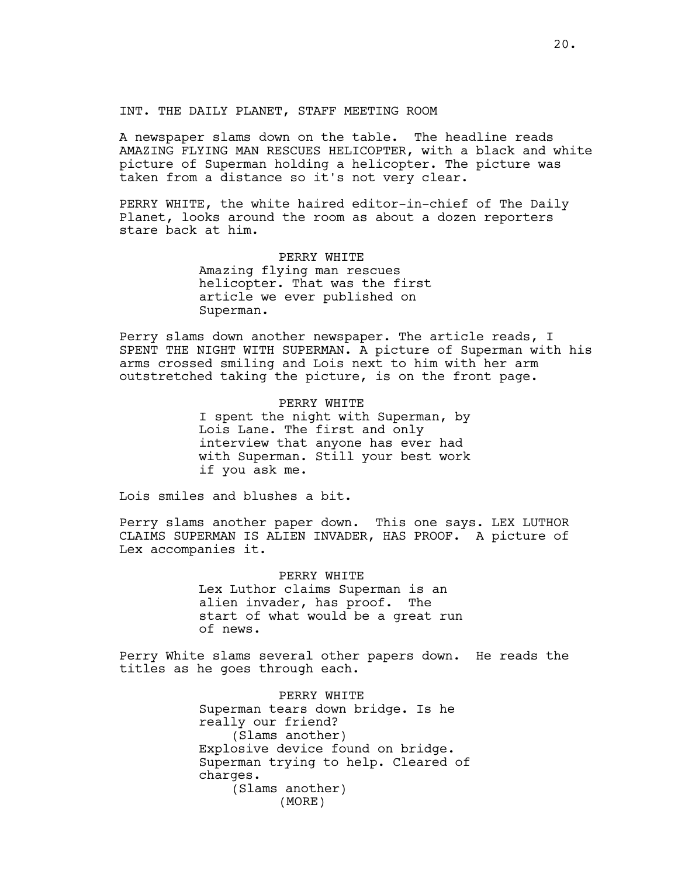INT. THE DAILY PLANET, STAFF MEETING ROOM

A newspaper slams down on the table. The headline reads AMAZING FLYING MAN RESCUES HELICOPTER, with a black and white picture of Superman holding a helicopter. The picture was taken from a distance so it's not very clear.

PERRY WHITE, the white haired editor-in-chief of The Daily Planet, looks around the room as about a dozen reporters stare back at him.

#### PERRY WHITE

Amazing flying man rescues helicopter. That was the first article we ever published on Superman.

Perry slams down another newspaper. The article reads, I SPENT THE NIGHT WITH SUPERMAN. A picture of Superman with his arms crossed smiling and Lois next to him with her arm outstretched taking the picture, is on the front page.

### PERRY WHITE

I spent the night with Superman, by Lois Lane. The first and only interview that anyone has ever had with Superman. Still your best work if you ask me.

Lois smiles and blushes a bit.

Perry slams another paper down. This one says. LEX LUTHOR CLAIMS SUPERMAN IS ALIEN INVADER, HAS PROOF. A picture of Lex accompanies it.

> PERRY WHITE Lex Luthor claims Superman is an alien invader, has proof. The start of what would be a great run of news.

Perry White slams several other papers down. He reads the titles as he goes through each.

> PERRY WHITE Superman tears down bridge. Is he really our friend? (Slams another) Explosive device found on bridge. Superman trying to help. Cleared of charges. (Slams another) (MORE)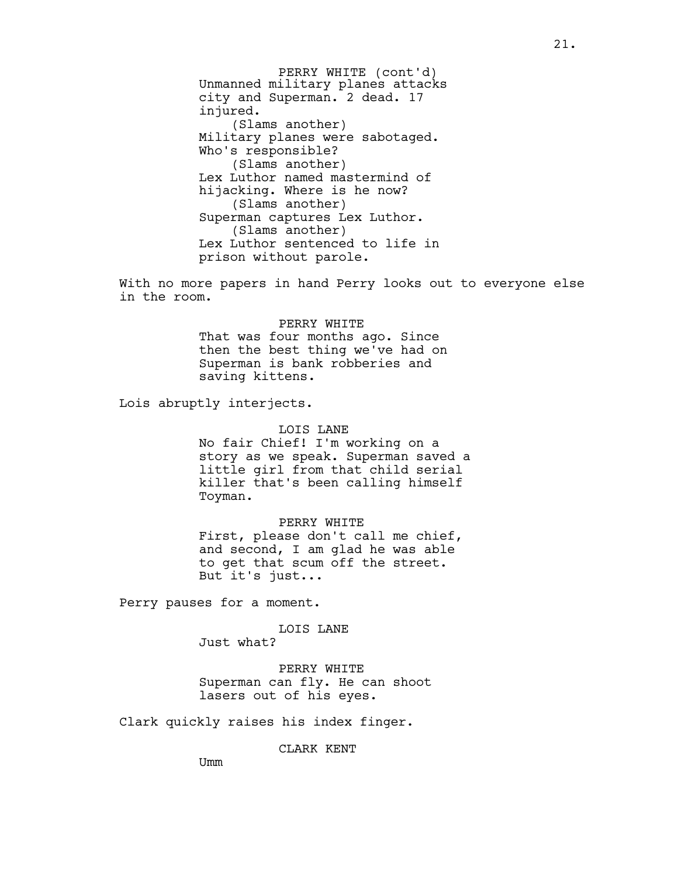Unmanned military planes attacks city and Superman. 2 dead. 17 injured. (Slams another) Military planes were sabotaged. Who's responsible? (Slams another) Lex Luthor named mastermind of hijacking. Where is he now? (Slams another) Superman captures Lex Luthor. (Slams another) Lex Luthor sentenced to life in prison without parole. PERRY WHITE (cont'd)

With no more papers in hand Perry looks out to everyone else in the room.

#### PERRY WHITE

That was four months ago. Since then the best thing we've had on Superman is bank robberies and saving kittens.

Lois abruptly interjects.

### LOIS LANE

No fair Chief! I'm working on a story as we speak. Superman saved a little girl from that child serial killer that's been calling himself Toyman.

#### PERRY WHITE

First, please don't call me chief, and second, I am glad he was able to get that scum off the street. But it's just...

Perry pauses for a moment.

### LOIS LANE

Just what?

PERRY WHITE Superman can fly. He can shoot lasers out of his eyes.

Clark quickly raises his index finger.

CLARK KENT

Umm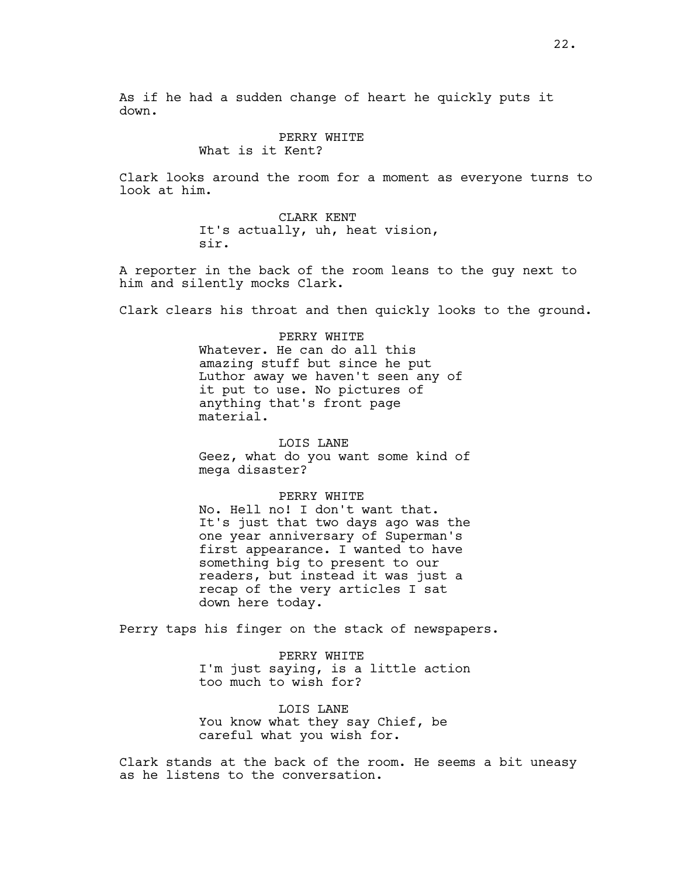As if he had a sudden change of heart he quickly puts it down.

### PERRY WHITE

What is it Kent?

Clark looks around the room for a moment as everyone turns to look at him.

> CLARK KENT It's actually, uh, heat vision, sir.

A reporter in the back of the room leans to the guy next to him and silently mocks Clark.

Clark clears his throat and then quickly looks to the ground.

PERRY WHITE Whatever. He can do all this amazing stuff but since he put Luthor away we haven't seen any of it put to use. No pictures of anything that's front page material.

### LOIS LANE

Geez, what do you want some kind of mega disaster?

### PERRY WHITE

No. Hell no! I don't want that. It's just that two days ago was the one year anniversary of Superman's first appearance. I wanted to have something big to present to our readers, but instead it was just a recap of the very articles I sat down here today.

Perry taps his finger on the stack of newspapers.

PERRY WHITE I'm just saying, is a little action too much to wish for?

LOIS LANE You know what they say Chief, be careful what you wish for.

Clark stands at the back of the room. He seems a bit uneasy as he listens to the conversation.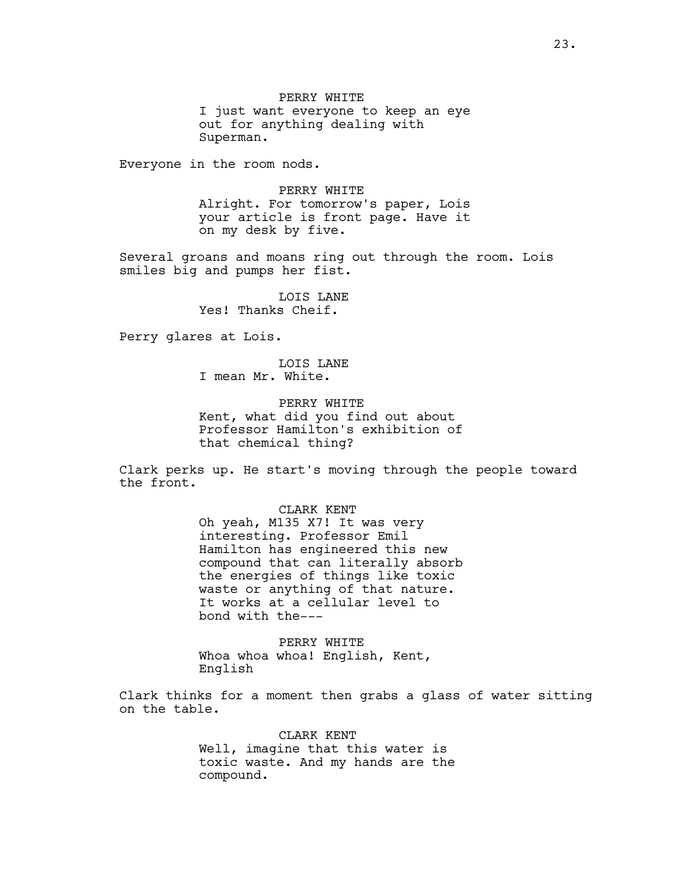PERRY WHITE I just want everyone to keep an eye out for anything dealing with Superman.

Everyone in the room nods.

PERRY WHITE Alright. For tomorrow's paper, Lois your article is front page. Have it on my desk by five.

Several groans and moans ring out through the room. Lois smiles big and pumps her fist.

> LOIS LANE Yes! Thanks Cheif.

Perry glares at Lois.

LOIS LANE I mean Mr. White.

PERRY WHITE Kent, what did you find out about Professor Hamilton's exhibition of that chemical thing?

Clark perks up. He start's moving through the people toward the front.

> CLARK KENT Oh yeah, M135 X7! It was very interesting. Professor Emil Hamilton has engineered this new compound that can literally absorb the energies of things like toxic waste or anything of that nature.

It works at a cellular level to bond with the---

PERRY WHITE Whoa whoa whoa! English, Kent, English

Clark thinks for a moment then grabs a glass of water sitting on the table.

> CLARK KENT Well, imagine that this water is toxic waste. And my hands are the compound.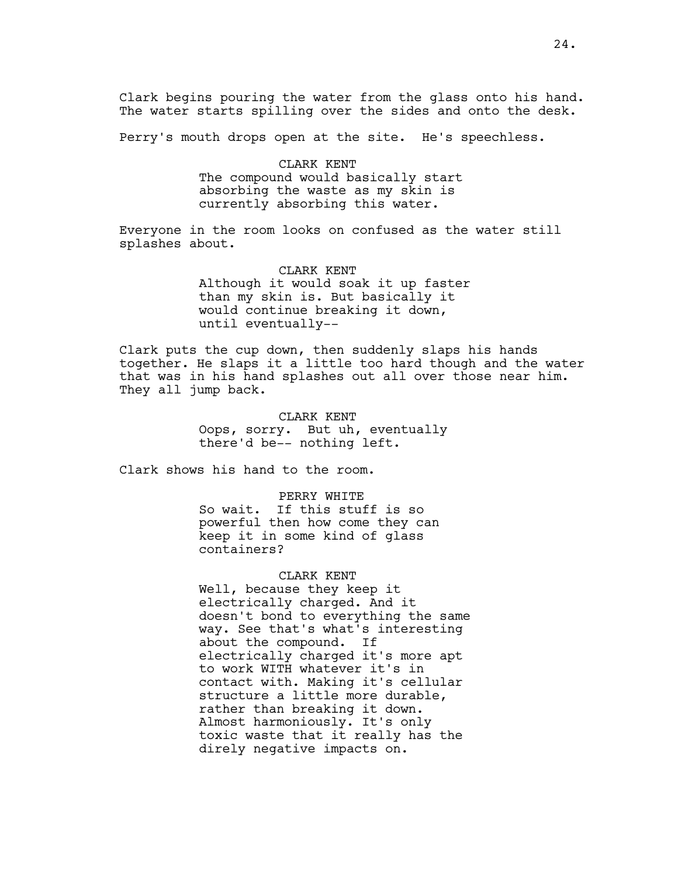Clark begins pouring the water from the glass onto his hand. The water starts spilling over the sides and onto the desk.

Perry's mouth drops open at the site. He's speechless.

CLARK KENT The compound would basically start absorbing the waste as my skin is currently absorbing this water.

Everyone in the room looks on confused as the water still splashes about.

> CLARK KENT Although it would soak it up faster than my skin is. But basically it would continue breaking it down, until eventually--

Clark puts the cup down, then suddenly slaps his hands together. He slaps it a little too hard though and the water that was in his hand splashes out all over those near him. They all jump back.

> CLARK KENT Oops, sorry. But uh, eventually there'd be-- nothing left.

Clark shows his hand to the room.

PERRY WHITE So wait. If this stuff is so powerful then how come they can keep it in some kind of glass containers?

CLARK KENT Well, because they keep it

electrically charged. And it doesn't bond to everything the same way. See that's what's interesting about the compound. If electrically charged it's more apt to work WITH whatever it's in contact with. Making it's cellular structure a little more durable, rather than breaking it down. Almost harmoniously. It's only toxic waste that it really has the direly negative impacts on.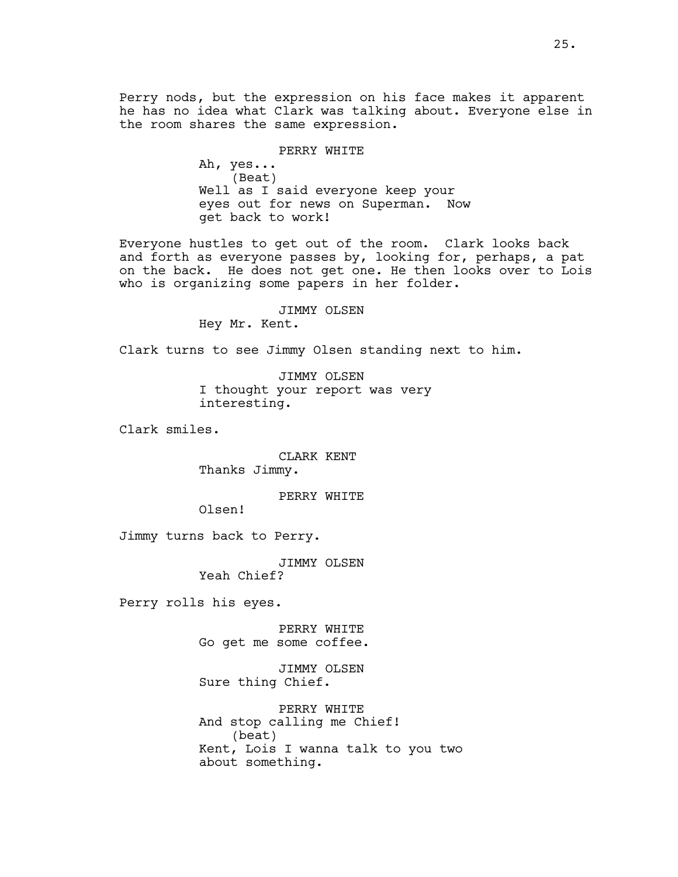Perry nods, but the expression on his face makes it apparent he has no idea what Clark was talking about. Everyone else in the room shares the same expression.

PERRY WHITE

Ah, yes... (Beat) Well as I said everyone keep your eyes out for news on Superman. Now get back to work!

Everyone hustles to get out of the room. Clark looks back and forth as everyone passes by, looking for, perhaps, a pat on the back. He does not get one. He then looks over to Lois who is organizing some papers in her folder.

JIMMY OLSEN

Hey Mr. Kent.

Clark turns to see Jimmy Olsen standing next to him.

JIMMY OLSEN I thought your report was very interesting.

Clark smiles.

CLARK KENT Thanks Jimmy.

# PERRY WHITE

Olsen!

Jimmy turns back to Perry.

JIMMY OLSEN

Yeah Chief?

Perry rolls his eyes.

PERRY WHITE Go get me some coffee.

JIMMY OLSEN Sure thing Chief.

PERRY WHITE And stop calling me Chief! (beat) Kent, Lois I wanna talk to you two about something.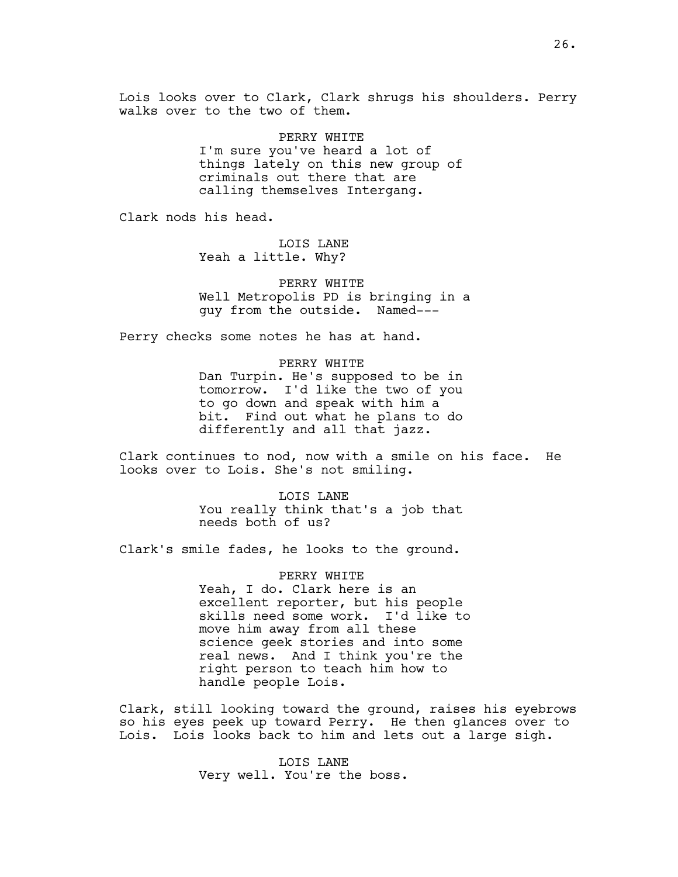Lois looks over to Clark, Clark shrugs his shoulders. Perry walks over to the two of them.

> PERRY WHITE I'm sure you've heard a lot of things lately on this new group of criminals out there that are calling themselves Intergang.

Clark nods his head.

LOIS LANE Yeah a little. Why?

PERRY WHITE Well Metropolis PD is bringing in a guy from the outside. Named---

Perry checks some notes he has at hand.

PERRY WHITE Dan Turpin. He's supposed to be in tomorrow. I'd like the two of you to go down and speak with him a bit. Find out what he plans to do differently and all that jazz.

Clark continues to nod, now with a smile on his face. He looks over to Lois. She's not smiling.

> LOIS LANE You really think that's a job that needs both of us?

Clark's smile fades, he looks to the ground.

PERRY WHITE Yeah, I do. Clark here is an excellent reporter, but his people skills need some work. I'd like to move him away from all these science geek stories and into some real news. And I think you're the right person to teach him how to handle people Lois.

Clark, still looking toward the ground, raises his eyebrows so his eyes peek up toward Perry. He then glances over to Lois. Lois looks back to him and lets out a large sigh.

> LOIS LANE Very well. You're the boss.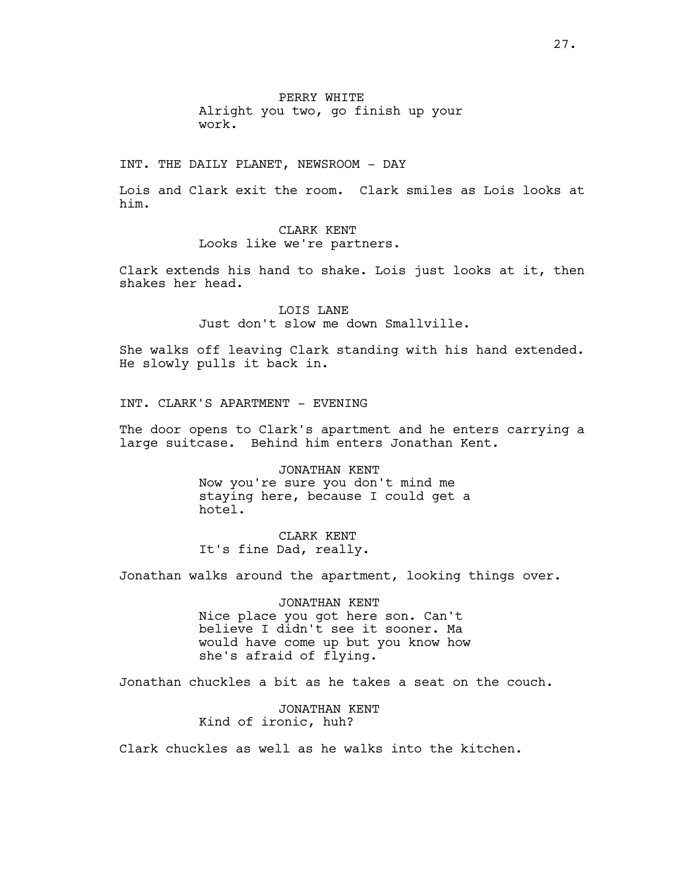PERRY WHITE Alright you two, go finish up your work.

INT. THE DAILY PLANET, NEWSROOM - DAY

Lois and Clark exit the room. Clark smiles as Lois looks at him.

# CLARK KENT Looks like we're partners.

Clark extends his hand to shake. Lois just looks at it, then shakes her head.

> LOIS LANE Just don't slow me down Smallville.

She walks off leaving Clark standing with his hand extended. He slowly pulls it back in.

INT. CLARK'S APARTMENT - EVENING

The door opens to Clark's apartment and he enters carrying a large suitcase. Behind him enters Jonathan Kent.

> JONATHAN KENT Now you're sure you don't mind me staying here, because I could get a hotel.

CLARK KENT It's fine Dad, really.

Jonathan walks around the apartment, looking things over.

### JONATHAN KENT

Nice place you got here son. Can't believe I didn't see it sooner. Ma would have come up but you know how she's afraid of flying.

Jonathan chuckles a bit as he takes a seat on the couch.

JONATHAN KENT Kind of ironic, huh?

Clark chuckles as well as he walks into the kitchen.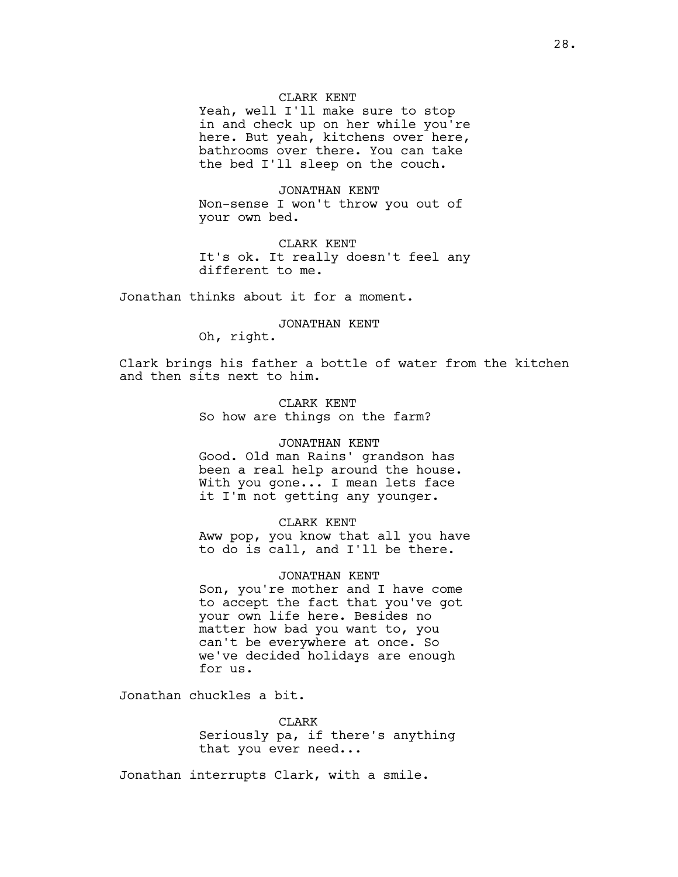### CLARK KENT

Yeah, well I'll make sure to stop in and check up on her while you're here. But yeah, kitchens over here, bathrooms over there. You can take the bed I'll sleep on the couch.

JONATHAN KENT Non-sense I won't throw you out of your own bed.

CLARK KENT It's ok. It really doesn't feel any different to me.

Jonathan thinks about it for a moment.

#### JONATHAN KENT

Oh, right.

Clark brings his father a bottle of water from the kitchen and then sits next to him.

> CLARK KENT So how are things on the farm?

#### JONATHAN KENT

Good. Old man Rains' grandson has been a real help around the house. With you gone... I mean lets face it I'm not getting any younger.

### CLARK KENT

Aww pop, you know that all you have to do is call, and I'll be there.

#### JONATHAN KENT

Son, you're mother and I have come to accept the fact that you've got your own life here. Besides no matter how bad you want to, you can't be everywhere at once. So we've decided holidays are enough for us.

Jonathan chuckles a bit.

CLARK Seriously pa, if there's anything that you ever need...

Jonathan interrupts Clark, with a smile.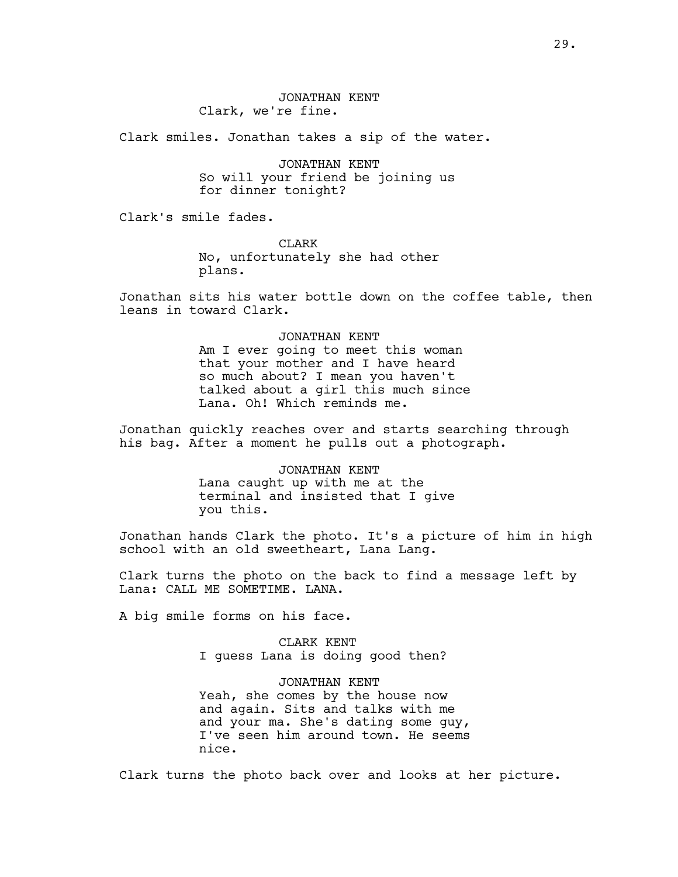Clark smiles. Jonathan takes a sip of the water.

JONATHAN KENT So will your friend be joining us for dinner tonight?

Clark's smile fades.

**CLARK** No, unfortunately she had other plans.

Jonathan sits his water bottle down on the coffee table, then leans in toward Clark.

> JONATHAN KENT Am I ever going to meet this woman that your mother and I have heard so much about? I mean you haven't talked about a girl this much since Lana. Oh! Which reminds me.

Jonathan quickly reaches over and starts searching through his bag. After a moment he pulls out a photograph.

> JONATHAN KENT Lana caught up with me at the terminal and insisted that I give you this.

Jonathan hands Clark the photo. It's a picture of him in high school with an old sweetheart, Lana Lang.

Clark turns the photo on the back to find a message left by Lana: CALL ME SOMETIME. LANA.

A big smile forms on his face.

CLARK KENT I guess Lana is doing good then?

JONATHAN KENT Yeah, she comes by the house now and again. Sits and talks with me and your ma. She's dating some guy, I've seen him around town. He seems nice.

Clark turns the photo back over and looks at her picture.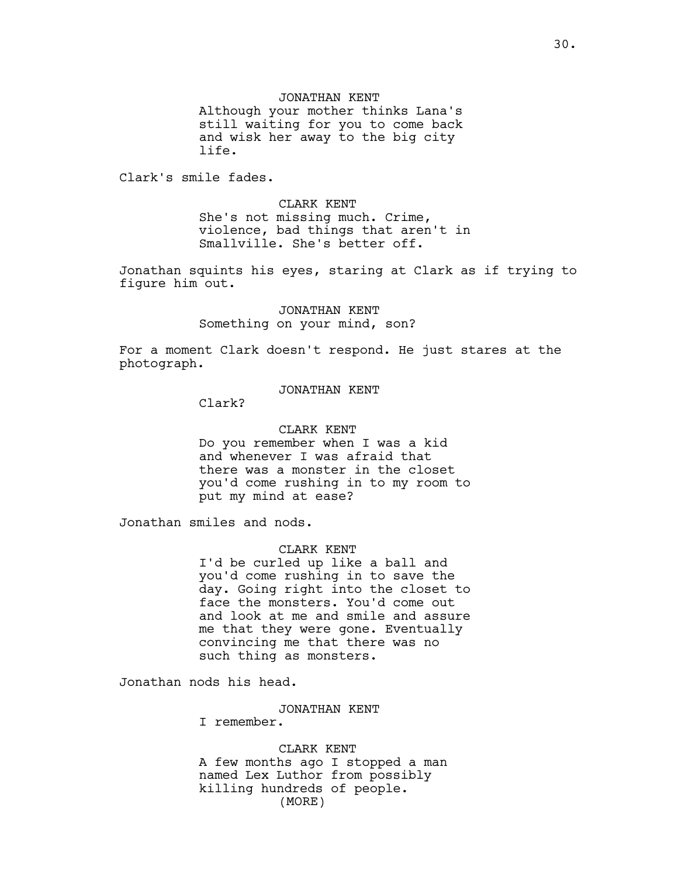JONATHAN KENT

Although your mother thinks Lana's still waiting for you to come back and wisk her away to the big city life.

Clark's smile fades.

CLARK KENT She's not missing much. Crime, violence, bad things that aren't in Smallville. She's better off.

Jonathan squints his eyes, staring at Clark as if trying to figure him out.

> JONATHAN KENT Something on your mind, son?

For a moment Clark doesn't respond. He just stares at the photograph.

# JONATHAN KENT

Clark?

### CLARK KENT

Do you remember when I was a kid and whenever I was afraid that there was a monster in the closet you'd come rushing in to my room to put my mind at ease?

Jonathan smiles and nods.

# CLARK KENT

I'd be curled up like a ball and you'd come rushing in to save the day. Going right into the closet to face the monsters. You'd come out and look at me and smile and assure me that they were gone. Eventually convincing me that there was no such thing as monsters.

Jonathan nods his head.

### JONATHAN KENT

I remember.

CLARK KENT A few months ago I stopped a man named Lex Luthor from possibly killing hundreds of people. (MORE)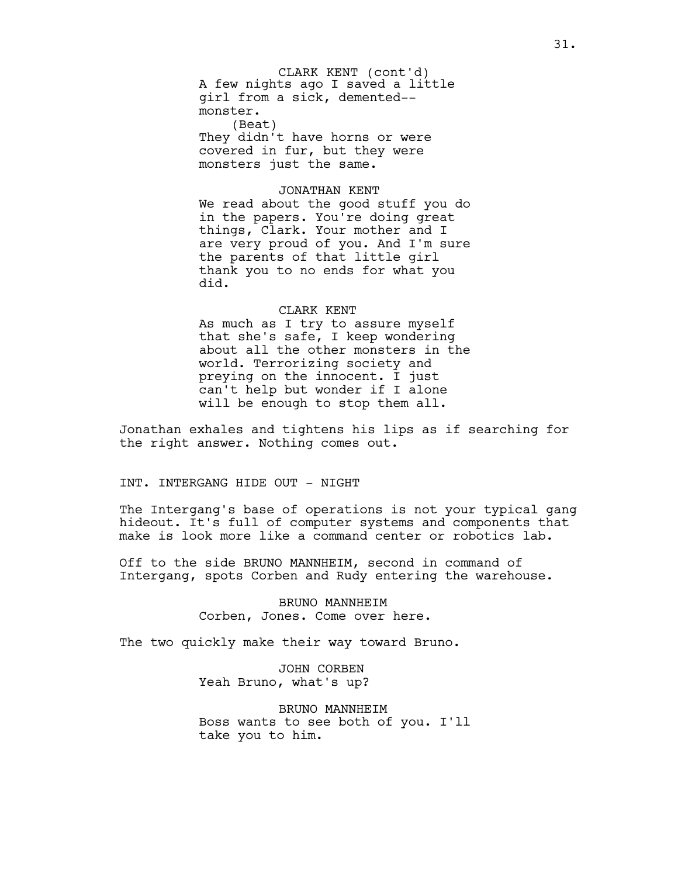A few nights ago I saved a little girl from a sick, demented- monster. (Beat) They didn't have horns or were CLARK KENT (cont'd)

covered in fur, but they were monsters just the same.

### JONATHAN KENT

We read about the good stuff you do in the papers. You're doing great things, Clark. Your mother and I are very proud of you. And I'm sure the parents of that little girl thank you to no ends for what you did.

### CLARK KENT

As much as I try to assure myself that she's safe, I keep wondering about all the other monsters in the world. Terrorizing society and preying on the innocent. I just can't help but wonder if I alone will be enough to stop them all.

Jonathan exhales and tightens his lips as if searching for the right answer. Nothing comes out.

INT. INTERGANG HIDE OUT - NIGHT

The Intergang's base of operations is not your typical gang hideout. It's full of computer systems and components that make is look more like a command center or robotics lab.

Off to the side BRUNO MANNHEIM, second in command of Intergang, spots Corben and Rudy entering the warehouse.

> BRUNO MANNHEIM Corben, Jones. Come over here.

The two quickly make their way toward Bruno.

JOHN CORBEN Yeah Bruno, what's up?

BRUNO MANNHEIM Boss wants to see both of you. I'll take you to him.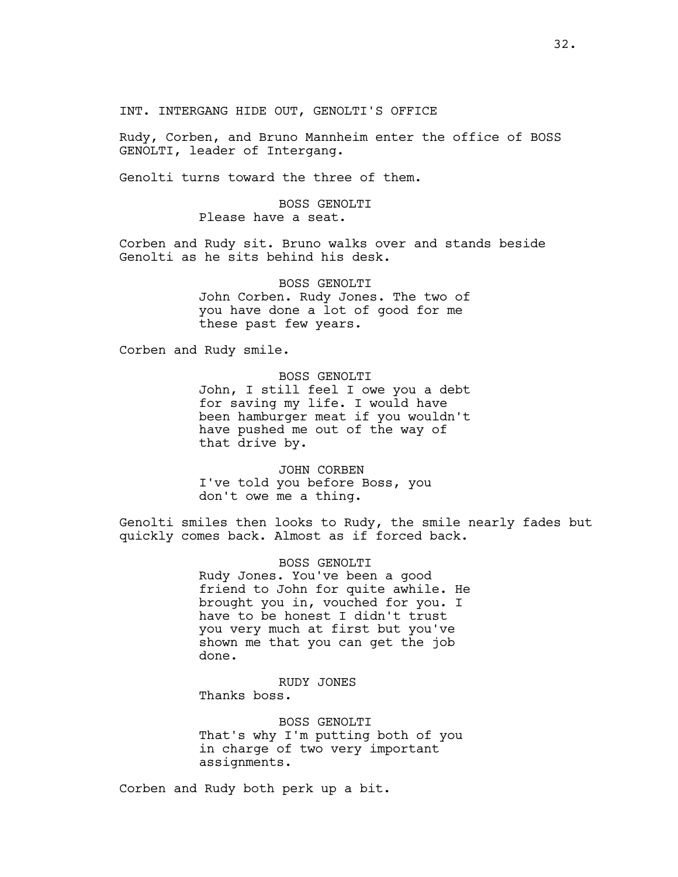INT. INTERGANG HIDE OUT, GENOLTI'S OFFICE

Rudy, Corben, and Bruno Mannheim enter the office of BOSS GENOLTI, leader of Intergang.

Genolti turns toward the three of them.

# BOSS GENOLTI Please have a seat.

Corben and Rudy sit. Bruno walks over and stands beside Genolti as he sits behind his desk.

> BOSS GENOLTI John Corben. Rudy Jones. The two of you have done a lot of good for me these past few years.

Corben and Rudy smile.

BOSS GENOLTI John, I still feel I owe you a debt for saving my life. I would have been hamburger meat if you wouldn't have pushed me out of the way of that drive by.

JOHN CORBEN I've told you before Boss, you don't owe me a thing.

Genolti smiles then looks to Rudy, the smile nearly fades but quickly comes back. Almost as if forced back.

> BOSS GENOLTI Rudy Jones. You've been a good friend to John for quite awhile. He brought you in, vouched for you. I have to be honest I didn't trust you very much at first but you've shown me that you can get the job done.

RUDY JONES Thanks boss.

BOSS GENOLTI That's why I'm putting both of you in charge of two very important assignments.

Corben and Rudy both perk up a bit.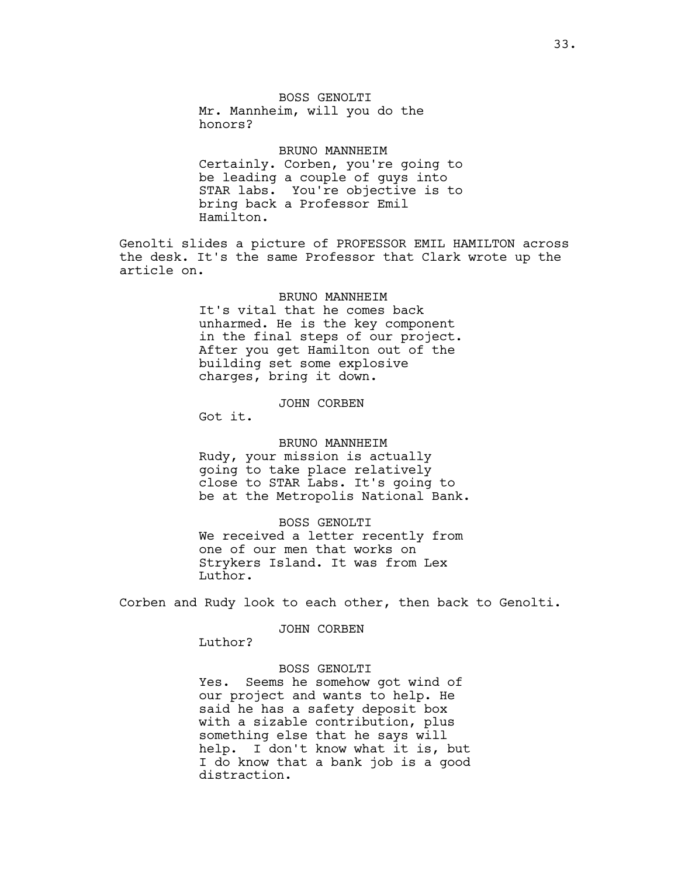BOSS GENOLTI Mr. Mannheim, will you do the honors?

#### BRUNO MANNHEIM

Certainly. Corben, you're going to be leading a couple of guys into STAR labs. You're objective is to bring back a Professor Emil Hamilton.

Genolti slides a picture of PROFESSOR EMIL HAMILTON across the desk. It's the same Professor that Clark wrote up the article on.

#### BRUNO MANNHEIM

It's vital that he comes back unharmed. He is the key component in the final steps of our project. After you get Hamilton out of the building set some explosive charges, bring it down.

### JOHN CORBEN

Got it.

#### BRUNO MANNHEIM

Rudy, your mission is actually going to take place relatively close to STAR Labs. It's going to be at the Metropolis National Bank.

### BOSS GENOLTI

We received a letter recently from one of our men that works on Strykers Island. It was from Lex Luthor.

Corben and Rudy look to each other, then back to Genolti.

JOHN CORBEN

Luthor?

### BOSS GENOLTI

Yes. Seems he somehow got wind of our project and wants to help. He said he has a safety deposit box with a sizable contribution, plus something else that he says will help. I don't know what it is, but I do know that a bank job is a good distraction.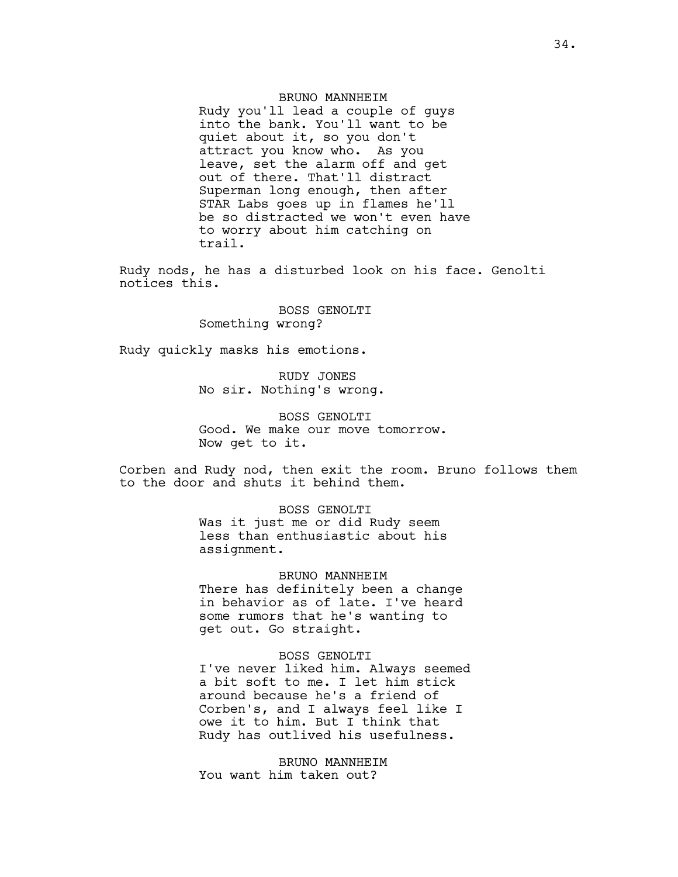BRUNO MANNHEIM Rudy you'll lead a couple of guys into the bank. You'll want to be quiet about it, so you don't attract you know who. As you leave, set the alarm off and get out of there. That'll distract Superman long enough, then after STAR Labs goes up in flames he'll be so distracted we won't even have to worry about him catching on trail.

Rudy nods, he has a disturbed look on his face. Genolti notices this.

> BOSS GENOLTI Something wrong?

Rudy quickly masks his emotions.

RUDY JONES No sir. Nothing's wrong.

BOSS GENOLTI Good. We make our move tomorrow. Now get to it.

Corben and Rudy nod, then exit the room. Bruno follows them to the door and shuts it behind them.

> BOSS GENOLTI Was it just me or did Rudy seem less than enthusiastic about his assignment.

BRUNO MANNHEIM There has definitely been a change in behavior as of late. I've heard some rumors that he's wanting to get out. Go straight.

BOSS GENOLTI I've never liked him. Always seemed a bit soft to me. I let him stick around because he's a friend of Corben's, and I always feel like I owe it to him. But I think that Rudy has outlived his usefulness.

BRUNO MANNHEIM You want him taken out?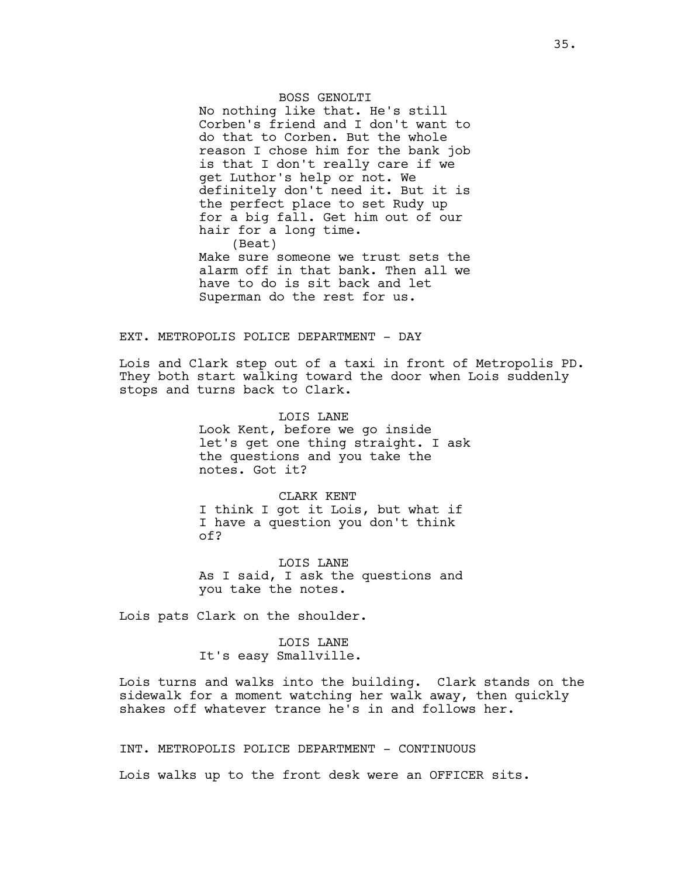BOSS GENOLTI No nothing like that. He's still Corben's friend and I don't want to do that to Corben. But the whole reason I chose him for the bank job is that I don't really care if we get Luthor's help or not. We definitely don't need it. But it is the perfect place to set Rudy up for a big fall. Get him out of our hair for a long time. (Beat) Make sure someone we trust sets the alarm off in that bank. Then all we have to do is sit back and let Superman do the rest for us.

### EXT. METROPOLIS POLICE DEPARTMENT - DAY

Lois and Clark step out of a taxi in front of Metropolis PD. They both start walking toward the door when Lois suddenly stops and turns back to Clark.

> LOIS LANE Look Kent, before we go inside let's get one thing straight. I ask the questions and you take the notes. Got it?

CLARK KENT I think I got it Lois, but what if I have a question you don't think of?

LOIS LANE As I said, I ask the questions and you take the notes.

Lois pats Clark on the shoulder.

LOIS LANE It's easy Smallville.

Lois turns and walks into the building. Clark stands on the sidewalk for a moment watching her walk away, then quickly shakes off whatever trance he's in and follows her.

INT. METROPOLIS POLICE DEPARTMENT - CONTINUOUS

Lois walks up to the front desk were an OFFICER sits.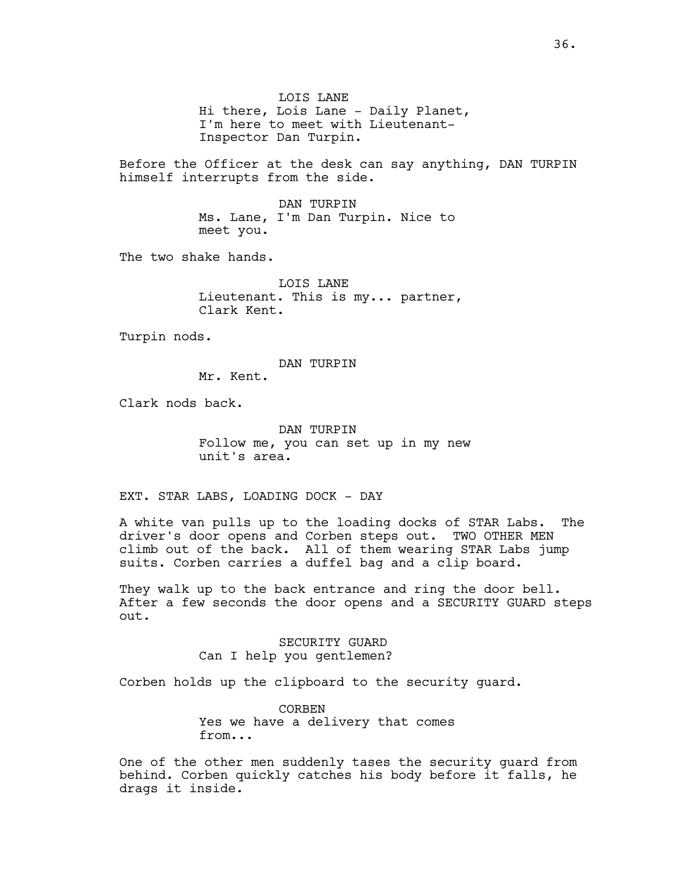LOIS LANE Hi there, Lois Lane - Daily Planet, I'm here to meet with Lieutenant-Inspector Dan Turpin.

Before the Officer at the desk can say anything, DAN TURPIN himself interrupts from the side.

> DAN TURPIN Ms. Lane, I'm Dan Turpin. Nice to meet you.

The two shake hands.

LOIS LANE Lieutenant. This is my... partner, Clark Kent.

Turpin nods.

DAN TURPIN

Mr. Kent.

Clark nods back.

DAN TURPIN Follow me, you can set up in my new unit's area.

EXT. STAR LABS, LOADING DOCK - DAY

A white van pulls up to the loading docks of STAR Labs. The driver's door opens and Corben steps out. TWO OTHER MEN climb out of the back. All of them wearing STAR Labs jump suits. Corben carries a duffel bag and a clip board.

They walk up to the back entrance and ring the door bell. After a few seconds the door opens and a SECURITY GUARD steps out.

> SECURITY GUARD Can I help you gentlemen?

Corben holds up the clipboard to the security guard.

CORBEN Yes we have a delivery that comes from...

One of the other men suddenly tases the security guard from behind. Corben quickly catches his body before it falls, he drags it inside.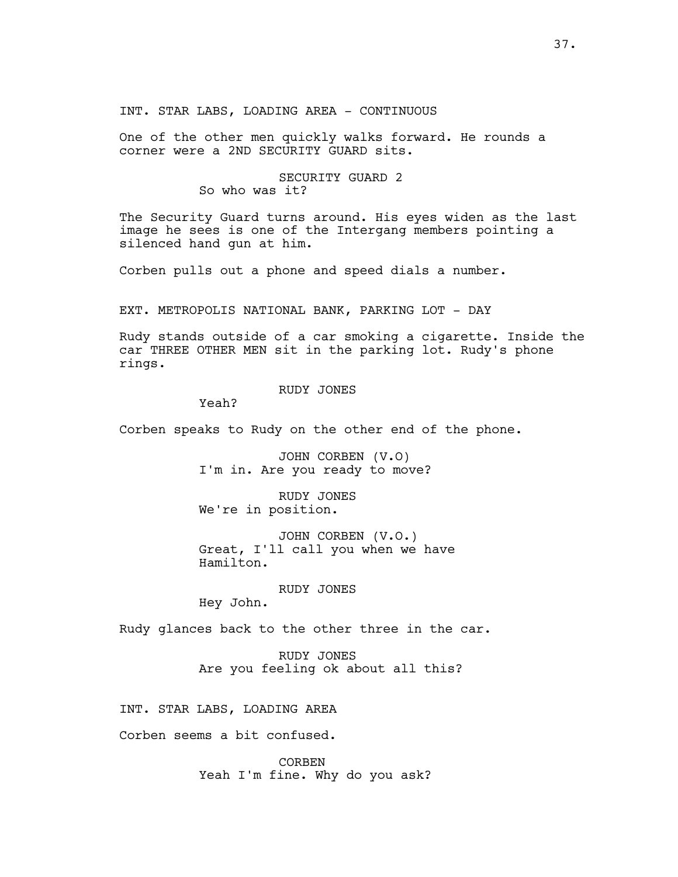INT. STAR LABS, LOADING AREA - CONTINUOUS

One of the other men quickly walks forward. He rounds a corner were a 2ND SECURITY GUARD sits.

# SECURITY GUARD 2 So who was it?

The Security Guard turns around. His eyes widen as the last image he sees is one of the Intergang members pointing a silenced hand gun at him.

Corben pulls out a phone and speed dials a number.

EXT. METROPOLIS NATIONAL BANK, PARKING LOT - DAY

Rudy stands outside of a car smoking a cigarette. Inside the car THREE OTHER MEN sit in the parking lot. Rudy's phone rings.

# RUDY JONES

Yeah?

Corben speaks to Rudy on the other end of the phone.

JOHN CORBEN (V.O) I'm in. Are you ready to move?

RUDY JONES We're in position.

JOHN CORBEN (V.O.) Great, I'll call you when we have Hamilton.

RUDY JONES

Hey John.

Rudy glances back to the other three in the car.

RUDY JONES Are you feeling ok about all this?

INT. STAR LABS, LOADING AREA

Corben seems a bit confused.

CORBEN Yeah I'm fine. Why do you ask?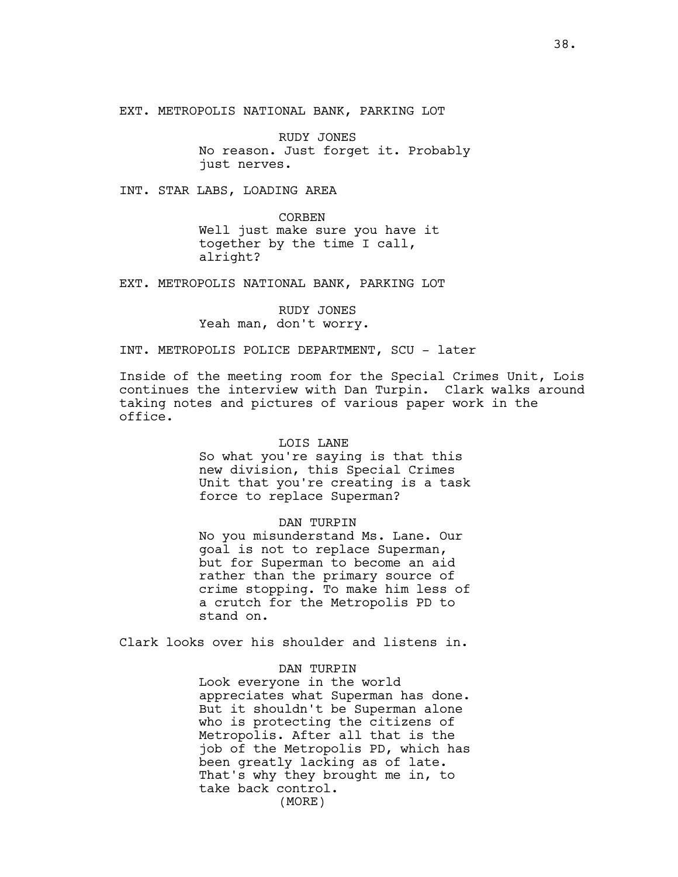EXT. METROPOLIS NATIONAL BANK, PARKING LOT

RUDY JONES No reason. Just forget it. Probably just nerves.

INT. STAR LABS, LOADING AREA

CORBEN Well just make sure you have it together by the time I call, alright?

EXT. METROPOLIS NATIONAL BANK, PARKING LOT

RUDY JONES Yeah man, don't worry.

INT. METROPOLIS POLICE DEPARTMENT, SCU - later

Inside of the meeting room for the Special Crimes Unit, Lois continues the interview with Dan Turpin. Clark walks around taking notes and pictures of various paper work in the office.

#### LOIS LANE

So what you're saying is that this new division, this Special Crimes Unit that you're creating is a task force to replace Superman?

# DAN TURPIN

No you misunderstand Ms. Lane. Our goal is not to replace Superman, but for Superman to become an aid rather than the primary source of crime stopping. To make him less of a crutch for the Metropolis PD to stand on.

Clark looks over his shoulder and listens in.

# DAN TURPIN

Look everyone in the world appreciates what Superman has done. But it shouldn't be Superman alone who is protecting the citizens of Metropolis. After all that is the job of the Metropolis PD, which has been greatly lacking as of late. That's why they brought me in, to take back control. (MORE)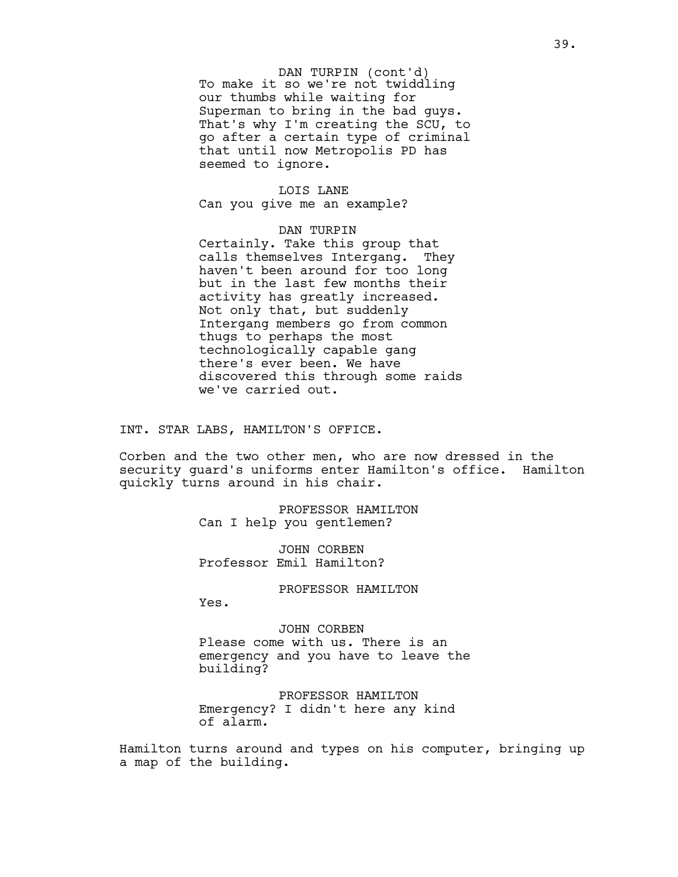To make it so we're not twiddling our thumbs while waiting for Superman to bring in the bad guys. That's why I'm creating the SCU, to go after a certain type of criminal that until now Metropolis PD has seemed to ignore. DAN TURPIN (cont'd)

# LOIS LANE Can you give me an example?

DAN TURPIN Certainly. Take this group that calls themselves Intergang. They haven't been around for too long but in the last few months their activity has greatly increased. Not only that, but suddenly Intergang members go from common thugs to perhaps the most technologically capable gang there's ever been. We have discovered this through some raids we've carried out.

INT. STAR LABS, HAMILTON'S OFFICE.

Corben and the two other men, who are now dressed in the security guard's uniforms enter Hamilton's office. Hamilton quickly turns around in his chair.

> PROFESSOR HAMILTON Can I help you gentlemen?

JOHN CORBEN Professor Emil Hamilton?

PROFESSOR HAMILTON

Yes.

JOHN CORBEN Please come with us. There is an emergency and you have to leave the building?

PROFESSOR HAMILTON Emergency? I didn't here any kind of alarm.

Hamilton turns around and types on his computer, bringing up a map of the building.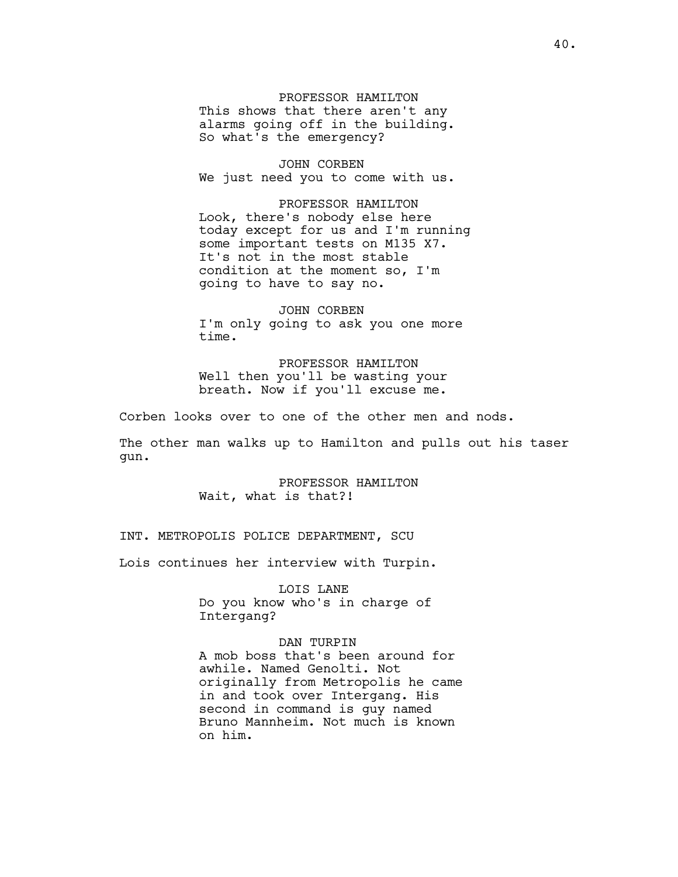PROFESSOR HAMILTON This shows that there aren't any alarms going off in the building. So what's the emergency?

JOHN CORBEN We just need you to come with us.

PROFESSOR HAMILTON Look, there's nobody else here today except for us and I'm running some important tests on M135 X7. It's not in the most stable condition at the moment so, I'm going to have to say no.

JOHN CORBEN I'm only going to ask you one more time.

PROFESSOR HAMILTON Well then you'll be wasting your breath. Now if you'll excuse me.

Corben looks over to one of the other men and nods.

The other man walks up to Hamilton and pulls out his taser gun.

> PROFESSOR HAMILTON Wait, what is that?!

INT. METROPOLIS POLICE DEPARTMENT, SCU

Lois continues her interview with Turpin.

LOIS LANE Do you know who's in charge of Intergang?

DAN TURPIN A mob boss that's been around for awhile. Named Genolti. Not originally from Metropolis he came in and took over Intergang. His second in command is guy named Bruno Mannheim. Not much is known on him.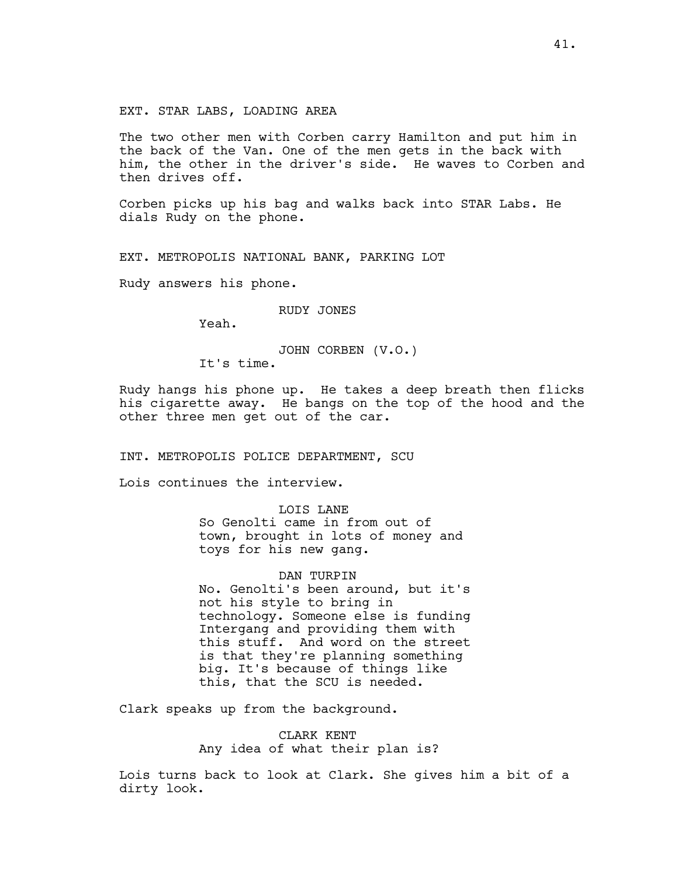The two other men with Corben carry Hamilton and put him in the back of the Van. One of the men gets in the back with him, the other in the driver's side. He waves to Corben and then drives off.

Corben picks up his bag and walks back into STAR Labs. He dials Rudy on the phone.

EXT. METROPOLIS NATIONAL BANK, PARKING LOT

Rudy answers his phone.

RUDY JONES

Yeah.

JOHN CORBEN (V.O.)

It's time.

Rudy hangs his phone up. He takes a deep breath then flicks his cigarette away. He bangs on the top of the hood and the other three men get out of the car.

INT. METROPOLIS POLICE DEPARTMENT, SCU

Lois continues the interview.

LOIS LANE So Genolti came in from out of town, brought in lots of money and toys for his new gang.

DAN TURPIN No. Genolti's been around, but it's not his style to bring in technology. Someone else is funding Intergang and providing them with this stuff. And word on the street is that they're planning something big. It's because of things like this, that the SCU is needed.

Clark speaks up from the background.

CLARK KENT Any idea of what their plan is?

Lois turns back to look at Clark. She gives him a bit of a dirty look.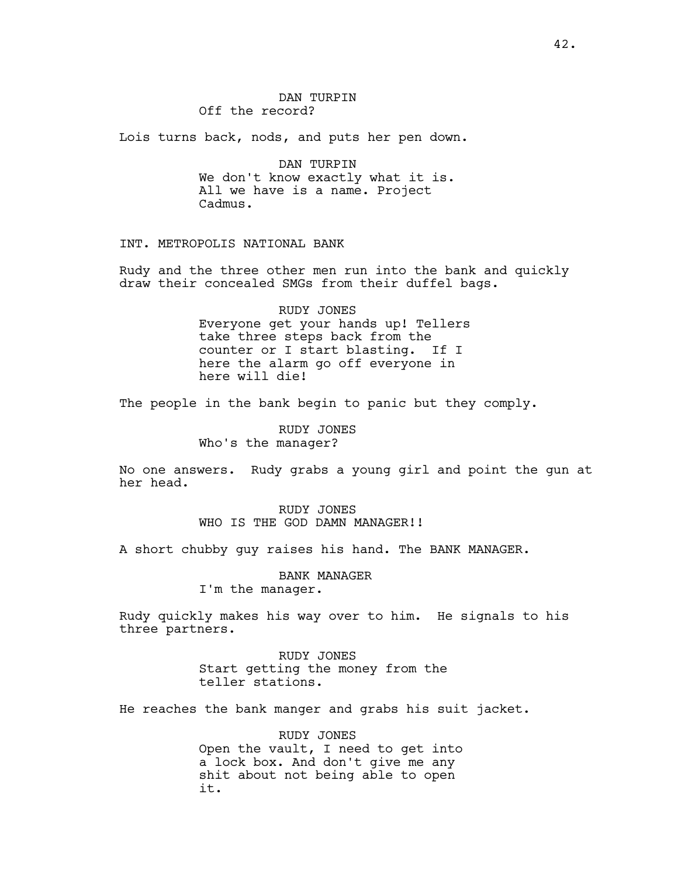# DAN TURPIN Off the record?

Lois turns back, nods, and puts her pen down.

DAN TURPIN We don't know exactly what it is. All we have is a name. Project Cadmus.

INT. METROPOLIS NATIONAL BANK

Rudy and the three other men run into the bank and quickly draw their concealed SMGs from their duffel bags.

> RUDY JONES Everyone get your hands up! Tellers take three steps back from the counter or I start blasting. If I here the alarm go off everyone in here will die!

The people in the bank begin to panic but they comply.

RUDY JONES Who's the manager?

No one answers. Rudy grabs a young girl and point the gun at her head.

> RUDY JONES WHO IS THE GOD DAMN MANAGER!!

A short chubby guy raises his hand. The BANK MANAGER.

BANK MANAGER I'm the manager.

Rudy quickly makes his way over to him. He signals to his

three partners. RUDY JONES

Start getting the money from the teller stations.

He reaches the bank manger and grabs his suit jacket.

RUDY JONES Open the vault, I need to get into a lock box. And don't give me any shit about not being able to open it.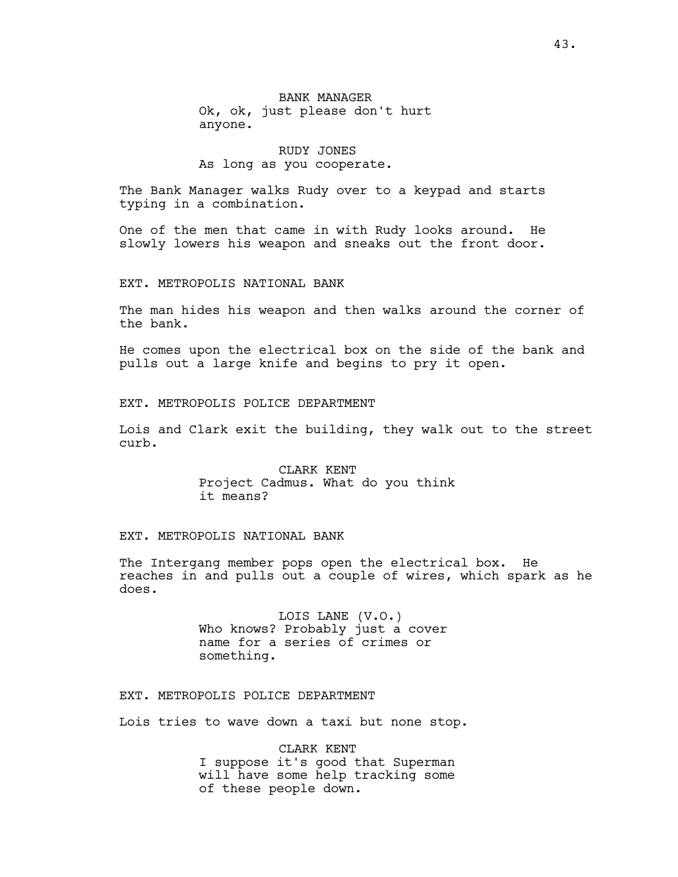BANK MANAGER Ok, ok, just please don't hurt anyone.

# RUDY JONES As long as you cooperate.

The Bank Manager walks Rudy over to a keypad and starts typing in a combination.

One of the men that came in with Rudy looks around. He slowly lowers his weapon and sneaks out the front door.

### EXT. METROPOLIS NATIONAL BANK

The man hides his weapon and then walks around the corner of the bank.

He comes upon the electrical box on the side of the bank and pulls out a large knife and begins to pry it open.

EXT. METROPOLIS POLICE DEPARTMENT

Lois and Clark exit the building, they walk out to the street curb.

> CLARK KENT Project Cadmus. What do you think it means?

# EXT. METROPOLIS NATIONAL BANK

The Intergang member pops open the electrical box. He reaches in and pulls out a couple of wires, which spark as he does.

> LOIS LANE (V.O.) Who knows? Probably just a cover name for a series of crimes or something.

EXT. METROPOLIS POLICE DEPARTMENT

Lois tries to wave down a taxi but none stop.

CLARK KENT I suppose it's good that Superman will have some help tracking some of these people down.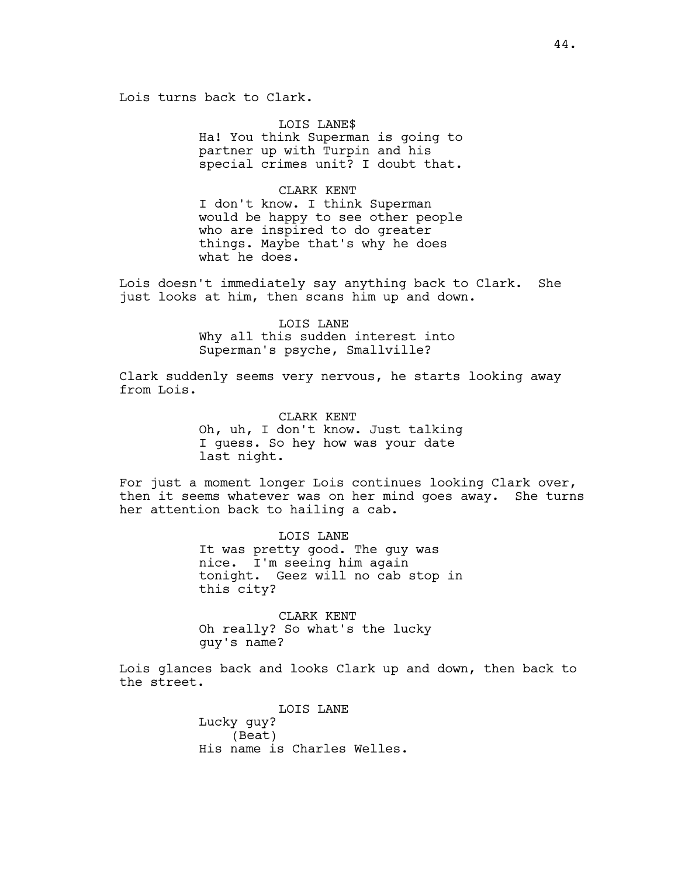Lois turns back to Clark.

LOIS LANE\$ Ha! You think Superman is going to partner up with Turpin and his special crimes unit? I doubt that.

CLARK KENT I don't know. I think Superman would be happy to see other people who are inspired to do greater things. Maybe that's why he does what he does.

Lois doesn't immediately say anything back to Clark. She just looks at him, then scans him up and down.

> LOIS LANE Why all this sudden interest into Superman's psyche, Smallville?

Clark suddenly seems very nervous, he starts looking away from Lois.

> CLARK KENT Oh, uh, I don't know. Just talking I guess. So hey how was your date last night.

For just a moment longer Lois continues looking Clark over, then it seems whatever was on her mind goes away. She turns her attention back to hailing a cab.

> LOIS LANE It was pretty good. The guy was nice. I'm seeing him again tonight. Geez will no cab stop in this city?

CLARK KENT Oh really? So what's the lucky guy's name?

Lois glances back and looks Clark up and down, then back to the street.

> LOIS LANE Lucky guy? (Beat) His name is Charles Welles.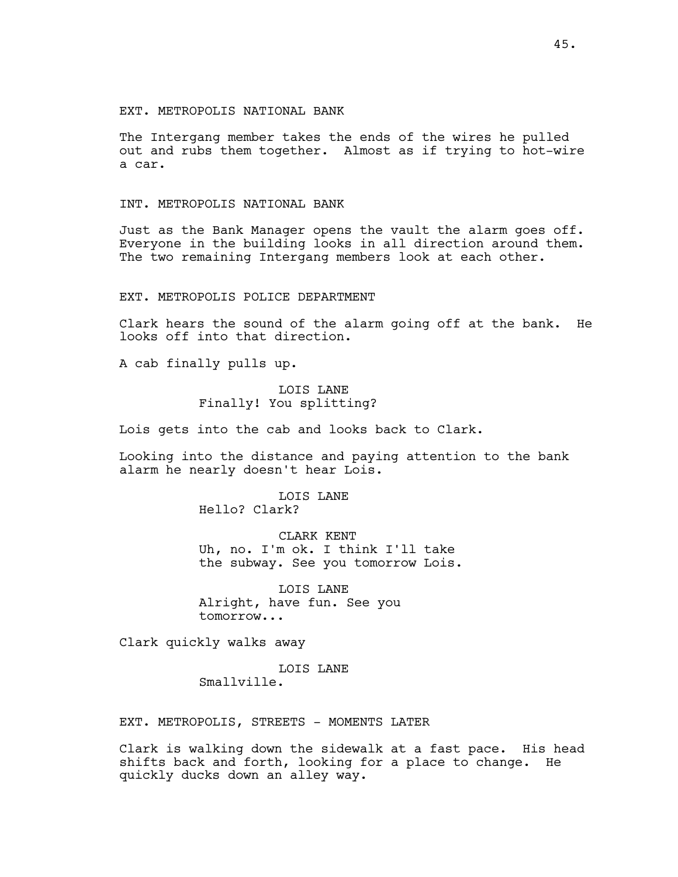The Intergang member takes the ends of the wires he pulled out and rubs them together. Almost as if trying to hot-wire a car.

# INT. METROPOLIS NATIONAL BANK

Just as the Bank Manager opens the vault the alarm goes off. Everyone in the building looks in all direction around them. The two remaining Intergang members look at each other.

# EXT. METROPOLIS POLICE DEPARTMENT

Clark hears the sound of the alarm going off at the bank. He looks off into that direction.

A cab finally pulls up.

# LOIS LANE Finally! You splitting?

Lois gets into the cab and looks back to Clark.

Looking into the distance and paying attention to the bank alarm he nearly doesn't hear Lois.

> LOIS LANE Hello? Clark?

CLARK KENT Uh, no. I'm ok. I think I'll take the subway. See you tomorrow Lois.

LOIS LANE Alright, have fun. See you tomorrow...

Clark quickly walks away

LOIS LANE Smallville.

EXT. METROPOLIS, STREETS - MOMENTS LATER

Clark is walking down the sidewalk at a fast pace. His head shifts back and forth, looking for a place to change. He quickly ducks down an alley way.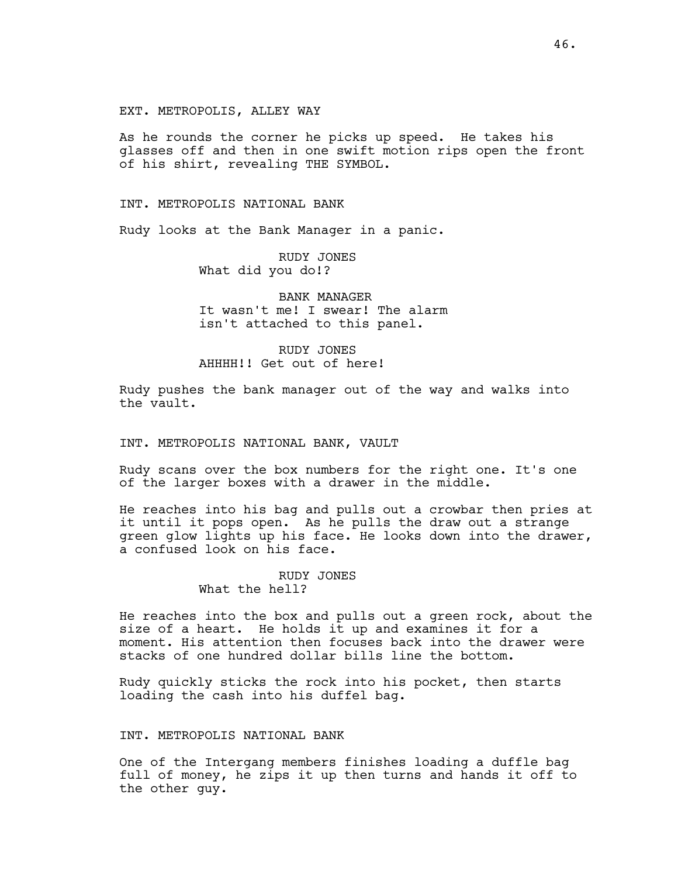### EXT. METROPOLIS, ALLEY WAY

As he rounds the corner he picks up speed. He takes his glasses off and then in one swift motion rips open the front of his shirt, revealing THE SYMBOL.

### INT. METROPOLIS NATIONAL BANK

Rudy looks at the Bank Manager in a panic.

RUDY JONES What did you do!?

BANK MANAGER It wasn't me! I swear! The alarm isn't attached to this panel.

# RUDY JONES AHHHH!! Get out of here!

Rudy pushes the bank manager out of the way and walks into the vault.

### INT. METROPOLIS NATIONAL BANK, VAULT

Rudy scans over the box numbers for the right one. It's one of the larger boxes with a drawer in the middle.

He reaches into his bag and pulls out a crowbar then pries at it until it pops open. As he pulls the draw out a strange green glow lights up his face. He looks down into the drawer, a confused look on his face.

## RUDY JONES What the hell?

He reaches into the box and pulls out a green rock, about the size of a heart. He holds it up and examines it for a moment. His attention then focuses back into the drawer were stacks of one hundred dollar bills line the bottom.

Rudy quickly sticks the rock into his pocket, then starts loading the cash into his duffel bag.

## INT. METROPOLIS NATIONAL BANK

One of the Intergang members finishes loading a duffle bag full of money, he zips it up then turns and hands it off to the other guy.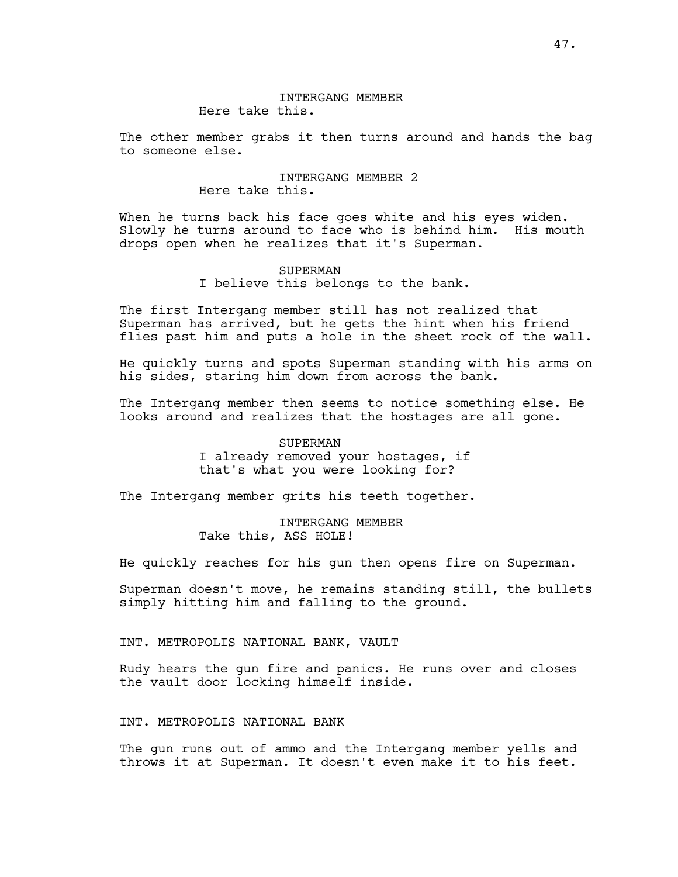# INTERGANG MEMBER Here take this.

The other member grabs it then turns around and hands the bag to someone else.

# INTERGANG MEMBER 2 Here take this.

When he turns back his face goes white and his eyes widen. Slowly he turns around to face who is behind him. His mouth drops open when he realizes that it's Superman.

### SUPERMAN

I believe this belongs to the bank.

The first Intergang member still has not realized that Superman has arrived, but he gets the hint when his friend flies past him and puts a hole in the sheet rock of the wall.

He quickly turns and spots Superman standing with his arms on his sides, staring him down from across the bank.

The Intergang member then seems to notice something else. He looks around and realizes that the hostages are all gone.

# SUPERMAN I already removed your hostages, if that's what you were looking for?

The Intergang member grits his teeth together.

# INTERGANG MEMBER Take this, ASS HOLE!

He quickly reaches for his gun then opens fire on Superman.

Superman doesn't move, he remains standing still, the bullets simply hitting him and falling to the ground.

# INT. METROPOLIS NATIONAL BANK, VAULT

Rudy hears the gun fire and panics. He runs over and closes the vault door locking himself inside.

## INT. METROPOLIS NATIONAL BANK

The gun runs out of ammo and the Intergang member yells and throws it at Superman. It doesn't even make it to his feet.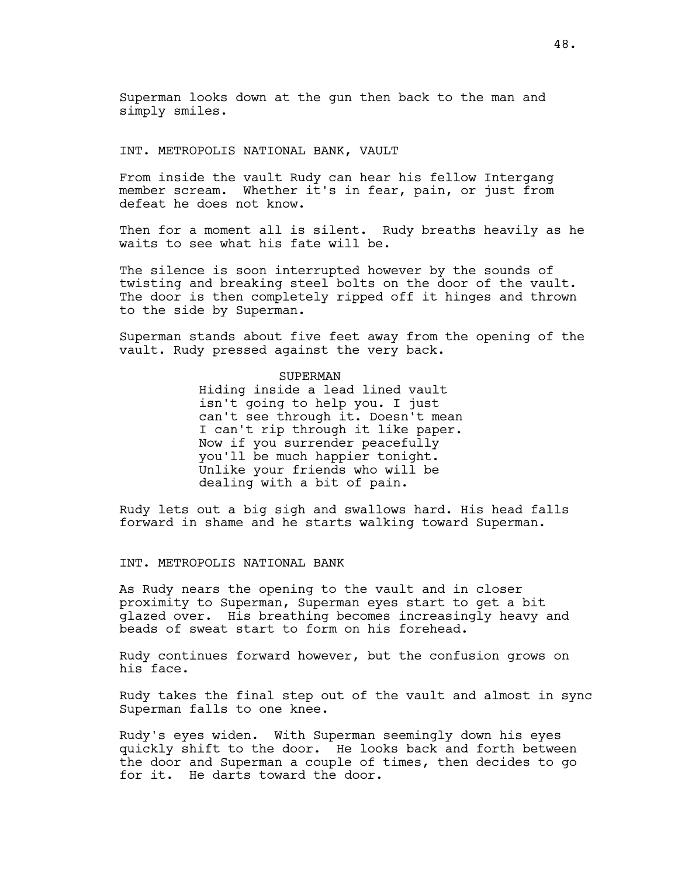Superman looks down at the gun then back to the man and simply smiles.

### INT. METROPOLIS NATIONAL BANK, VAULT

From inside the vault Rudy can hear his fellow Intergang member scream. Whether it's in fear, pain, or just from defeat he does not know.

Then for a moment all is silent. Rudy breaths heavily as he waits to see what his fate will be.

The silence is soon interrupted however by the sounds of twisting and breaking steel bolts on the door of the vault. The door is then completely ripped off it hinges and thrown to the side by Superman.

Superman stands about five feet away from the opening of the vault. Rudy pressed against the very back.

# SUPERMAN

Hiding inside a lead lined vault isn't going to help you. I just can't see through it. Doesn't mean I can't rip through it like paper. Now if you surrender peacefully you'll be much happier tonight. Unlike your friends who will be dealing with a bit of pain.

Rudy lets out a big sigh and swallows hard. His head falls forward in shame and he starts walking toward Superman.

INT. METROPOLIS NATIONAL BANK

As Rudy nears the opening to the vault and in closer proximity to Superman, Superman eyes start to get a bit glazed over. His breathing becomes increasingly heavy and beads of sweat start to form on his forehead.

Rudy continues forward however, but the confusion grows on his face.

Rudy takes the final step out of the vault and almost in sync Superman falls to one knee.

Rudy's eyes widen. With Superman seemingly down his eyes quickly shift to the door. He looks back and forth between the door and Superman a couple of times, then decides to go for it. He darts toward the door.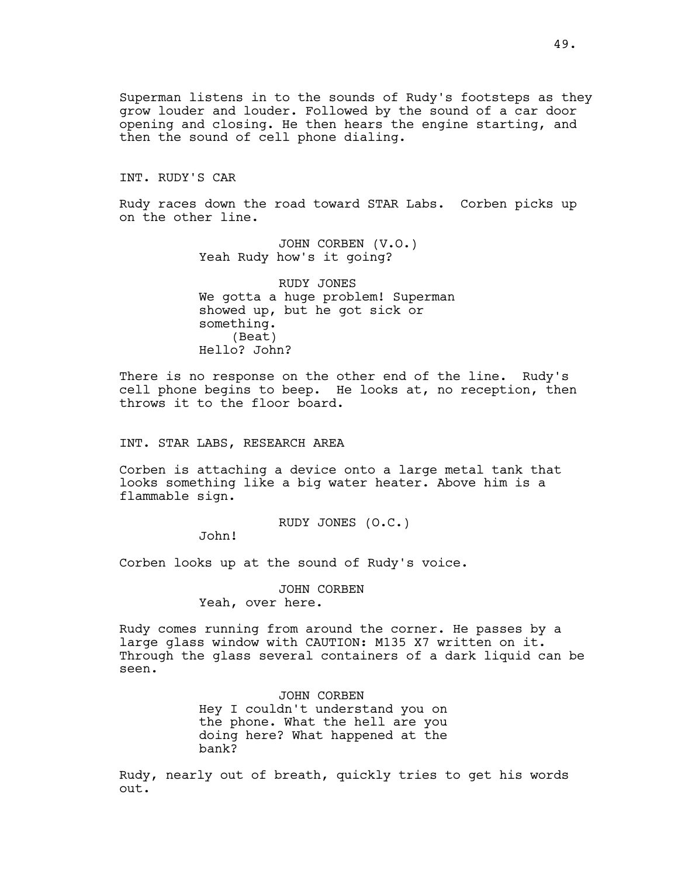Superman listens in to the sounds of Rudy's footsteps as they grow louder and louder. Followed by the sound of a car door opening and closing. He then hears the engine starting, and then the sound of cell phone dialing.

INT. RUDY'S CAR

Rudy races down the road toward STAR Labs. Corben picks up on the other line.

> JOHN CORBEN (V.O.) Yeah Rudy how's it going?

RUDY JONES We gotta a huge problem! Superman showed up, but he got sick or something. (Beat) Hello? John?

There is no response on the other end of the line. Rudy's cell phone begins to beep. He looks at, no reception, then throws it to the floor board.

INT. STAR LABS, RESEARCH AREA

Corben is attaching a device onto a large metal tank that looks something like a big water heater. Above him is a flammable sign.

RUDY JONES (O.C.)

John!

Corben looks up at the sound of Rudy's voice.

JOHN CORBEN Yeah, over here.

Rudy comes running from around the corner. He passes by a large glass window with CAUTION: M135 X7 written on it. Through the glass several containers of a dark liquid can be seen.

> JOHN CORBEN Hey I couldn't understand you on the phone. What the hell are you doing here? What happened at the bank?

Rudy, nearly out of breath, quickly tries to get his words out.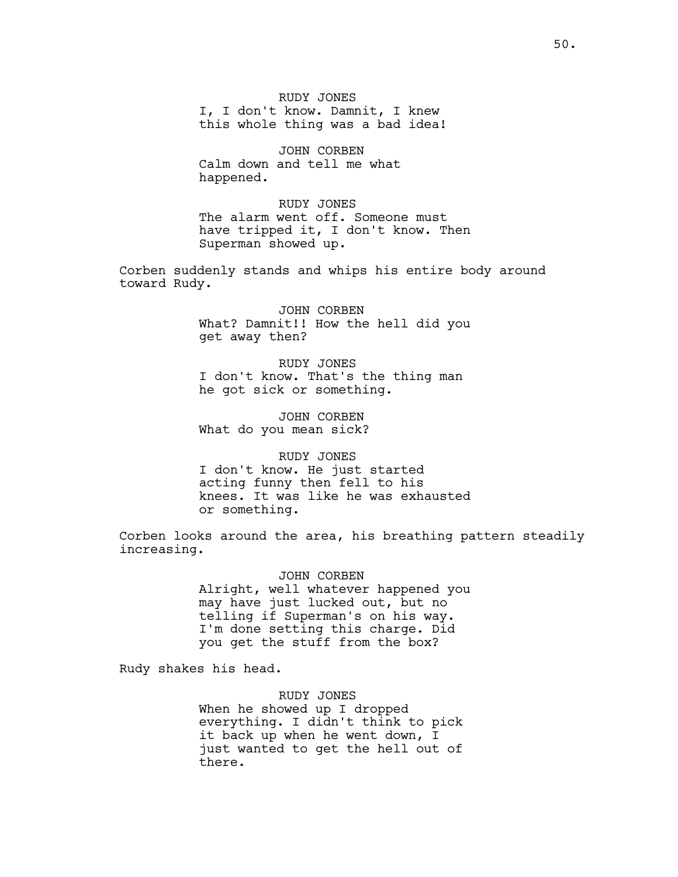RUDY JONES I, I don't know. Damnit, I knew this whole thing was a bad idea!

JOHN CORBEN Calm down and tell me what happened.

RUDY JONES The alarm went off. Someone must have tripped it, I don't know. Then Superman showed up.

Corben suddenly stands and whips his entire body around toward Rudy.

> JOHN CORBEN What? Damnit!! How the hell did you get away then?

RUDY JONES I don't know. That's the thing man he got sick or something.

JOHN CORBEN What do you mean sick?

RUDY JONES I don't know. He just started acting funny then fell to his

knees. It was like he was exhausted or something.

Corben looks around the area, his breathing pattern steadily increasing.

> JOHN CORBEN Alright, well whatever happened you may have just lucked out, but no telling if Superman's on his way. I'm done setting this charge. Did you get the stuff from the box?

Rudy shakes his head.

RUDY JONES When he showed up I dropped everything. I didn't think to pick it back up when he went down, I just wanted to get the hell out of there.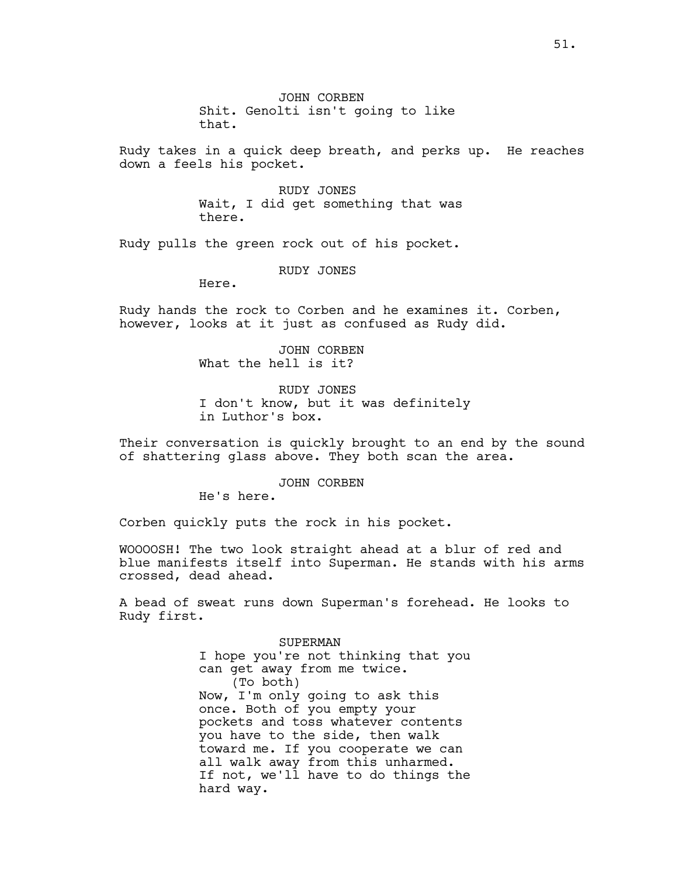JOHN CORBEN Shit. Genolti isn't going to like that.

Rudy takes in a quick deep breath, and perks up. He reaches down a feels his pocket.

> RUDY JONES Wait, I did get something that was there.

Rudy pulls the green rock out of his pocket.

RUDY JONES

Here.

Rudy hands the rock to Corben and he examines it. Corben, however, looks at it just as confused as Rudy did.

> JOHN CORBEN What the hell is it?

RUDY JONES I don't know, but it was definitely in Luthor's box.

Their conversation is quickly brought to an end by the sound of shattering glass above. They both scan the area.

JOHN CORBEN

He's here.

Corben quickly puts the rock in his pocket.

WOOOOSH! The two look straight ahead at a blur of red and blue manifests itself into Superman. He stands with his arms crossed, dead ahead.

A bead of sweat runs down Superman's forehead. He looks to Rudy first.

> SUPERMAN I hope you're not thinking that you can get away from me twice. (To both) Now, I'm only going to ask this once. Both of you empty your pockets and toss whatever contents you have to the side, then walk toward me. If you cooperate we can all walk away from this unharmed. If not, we'll have to do things the hard way.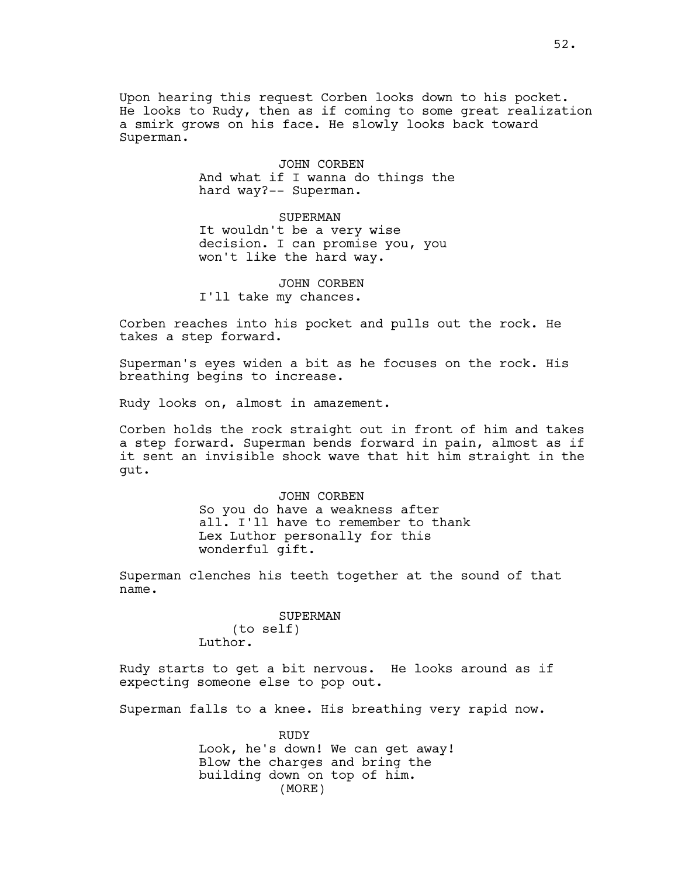Upon hearing this request Corben looks down to his pocket. He looks to Rudy, then as if coming to some great realization a smirk grows on his face. He slowly looks back toward Superman.

> JOHN CORBEN And what if I wanna do things the hard way?-- Superman.

> > SUPERMAN

It wouldn't be a very wise decision. I can promise you, you won't like the hard way.

JOHN CORBEN I'll take my chances.

Corben reaches into his pocket and pulls out the rock. He takes a step forward.

Superman's eyes widen a bit as he focuses on the rock. His breathing begins to increase.

Rudy looks on, almost in amazement.

Corben holds the rock straight out in front of him and takes a step forward. Superman bends forward in pain, almost as if it sent an invisible shock wave that hit him straight in the gut.

> JOHN CORBEN So you do have a weakness after all. I'll have to remember to thank Lex Luthor personally for this wonderful gift.

Superman clenches his teeth together at the sound of that name.

SUPERMAN

(to self) Luthor.

Rudy starts to get a bit nervous. He looks around as if expecting someone else to pop out.

Superman falls to a knee. His breathing very rapid now.

RUDY Look, he's down! We can get away! Blow the charges and bring the building down on top of him. (MORE)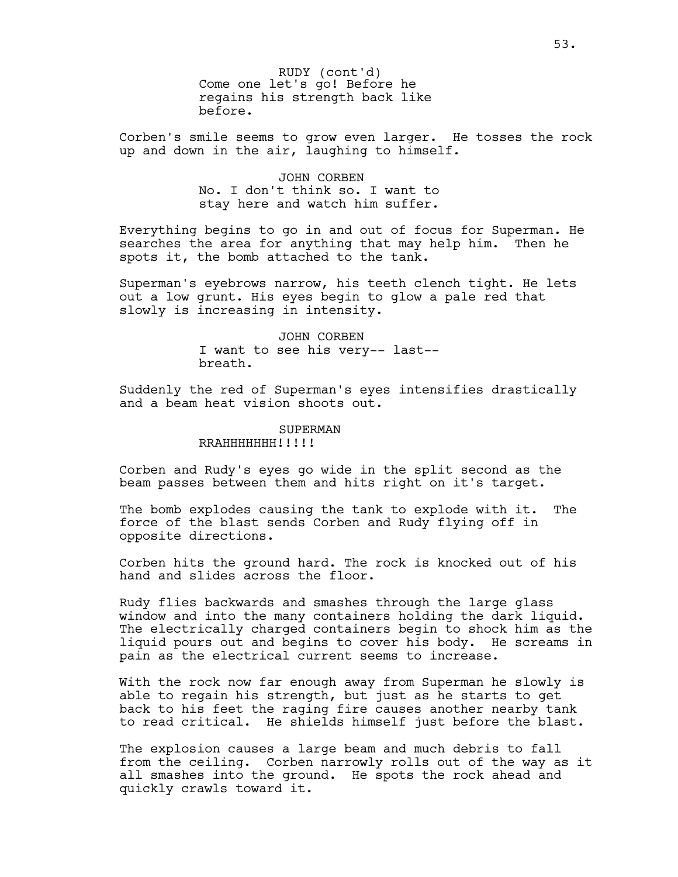Come one let's go! Before he regains his strength back like before. RUDY (cont'd)

Corben's smile seems to grow even larger. He tosses the rock up and down in the air, laughing to himself.

> JOHN CORBEN No. I don't think so. I want to stay here and watch him suffer.

Everything begins to go in and out of focus for Superman. He searches the area for anything that may help him. Then he spots it, the bomb attached to the tank.

Superman's eyebrows narrow, his teeth clench tight. He lets out a low grunt. His eyes begin to glow a pale red that slowly is increasing in intensity.

> JOHN CORBEN I want to see his very-- last- breath.

Suddenly the red of Superman's eyes intensifies drastically and a beam heat vision shoots out.

#### SUPERMAN RRAHHHHHHI!!!!!

Corben and Rudy's eyes go wide in the split second as the beam passes between them and hits right on it's target.

The bomb explodes causing the tank to explode with it. The force of the blast sends Corben and Rudy flying off in opposite directions.

Corben hits the ground hard. The rock is knocked out of his hand and slides across the floor.

Rudy flies backwards and smashes through the large glass window and into the many containers holding the dark liquid. The electrically charged containers begin to shock him as the liquid pours out and begins to cover his body. He screams in pain as the electrical current seems to increase.

With the rock now far enough away from Superman he slowly is able to regain his strength, but just as he starts to get back to his feet the raging fire causes another nearby tank to read critical. He shields himself just before the blast.

The explosion causes a large beam and much debris to fall from the ceiling. Corben narrowly rolls out of the way as it all smashes into the ground. He spots the rock ahead and quickly crawls toward it.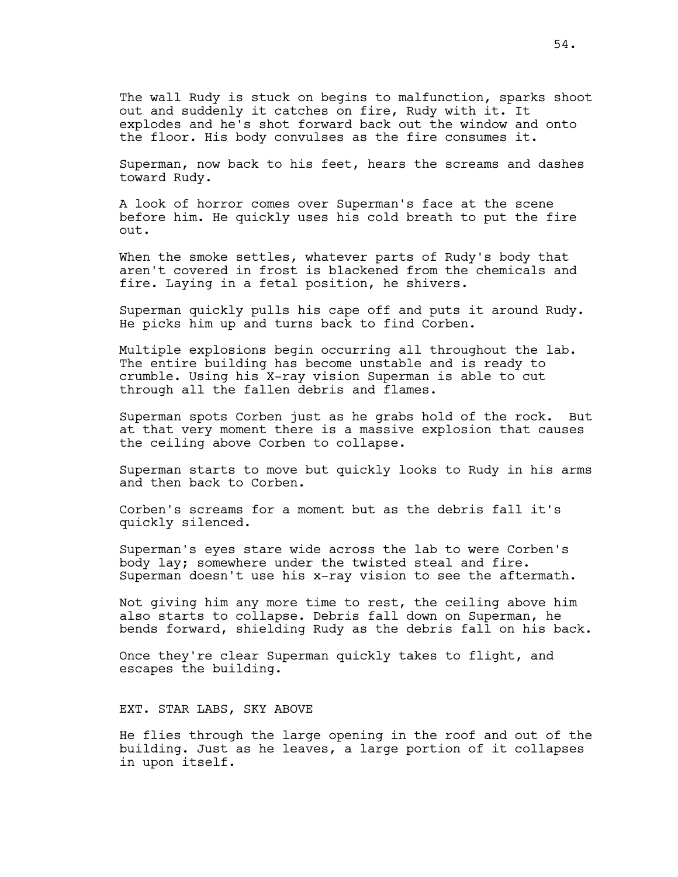The wall Rudy is stuck on begins to malfunction, sparks shoot out and suddenly it catches on fire, Rudy with it. It explodes and he's shot forward back out the window and onto the floor. His body convulses as the fire consumes it.

Superman, now back to his feet, hears the screams and dashes toward Rudy.

A look of horror comes over Superman's face at the scene before him. He quickly uses his cold breath to put the fire out.

When the smoke settles, whatever parts of Rudy's body that aren't covered in frost is blackened from the chemicals and fire. Laying in a fetal position, he shivers.

Superman quickly pulls his cape off and puts it around Rudy. He picks him up and turns back to find Corben.

Multiple explosions begin occurring all throughout the lab. The entire building has become unstable and is ready to crumble. Using his X-ray vision Superman is able to cut through all the fallen debris and flames.

Superman spots Corben just as he grabs hold of the rock. But at that very moment there is a massive explosion that causes the ceiling above Corben to collapse.

Superman starts to move but quickly looks to Rudy in his arms and then back to Corben.

Corben's screams for a moment but as the debris fall it's quickly silenced.

Superman's eyes stare wide across the lab to were Corben's body lay; somewhere under the twisted steal and fire. Superman doesn't use his x-ray vision to see the aftermath.

Not giving him any more time to rest, the ceiling above him also starts to collapse. Debris fall down on Superman, he bends forward, shielding Rudy as the debris fall on his back.

Once they're clear Superman quickly takes to flight, and escapes the building.

EXT. STAR LABS, SKY ABOVE

He flies through the large opening in the roof and out of the building. Just as he leaves, a large portion of it collapses in upon itself.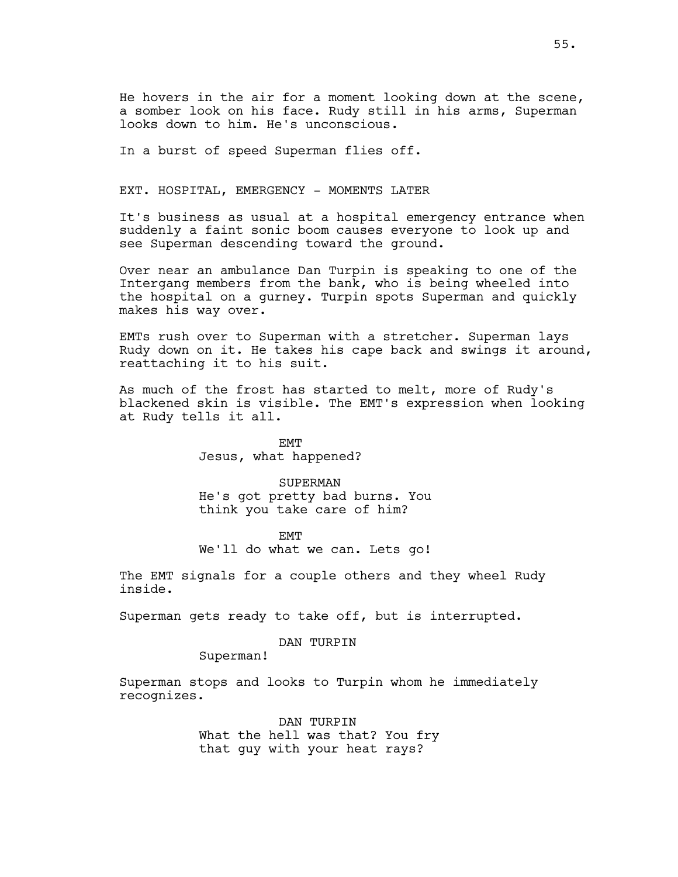He hovers in the air for a moment looking down at the scene, a somber look on his face. Rudy still in his arms, Superman looks down to him. He's unconscious.

In a burst of speed Superman flies off.

EXT. HOSPITAL, EMERGENCY - MOMENTS LATER

It's business as usual at a hospital emergency entrance when suddenly a faint sonic boom causes everyone to look up and see Superman descending toward the ground.

Over near an ambulance Dan Turpin is speaking to one of the Intergang members from the bank, who is being wheeled into the hospital on a gurney. Turpin spots Superman and quickly makes his way over.

EMTs rush over to Superman with a stretcher. Superman lays Rudy down on it. He takes his cape back and swings it around, reattaching it to his suit.

As much of the frost has started to melt, more of Rudy's blackened skin is visible. The EMT's expression when looking at Rudy tells it all.

> EMT Jesus, what happened?

SUPERMAN He's got pretty bad burns. You think you take care of him?

EMT We'll do what we can. Lets go!

The EMT signals for a couple others and they wheel Rudy inside.

Superman gets ready to take off, but is interrupted.

DAN TURPIN

Superman!

Superman stops and looks to Turpin whom he immediately recognizes.

> DAN TURPIN What the hell was that? You fry that guy with your heat rays?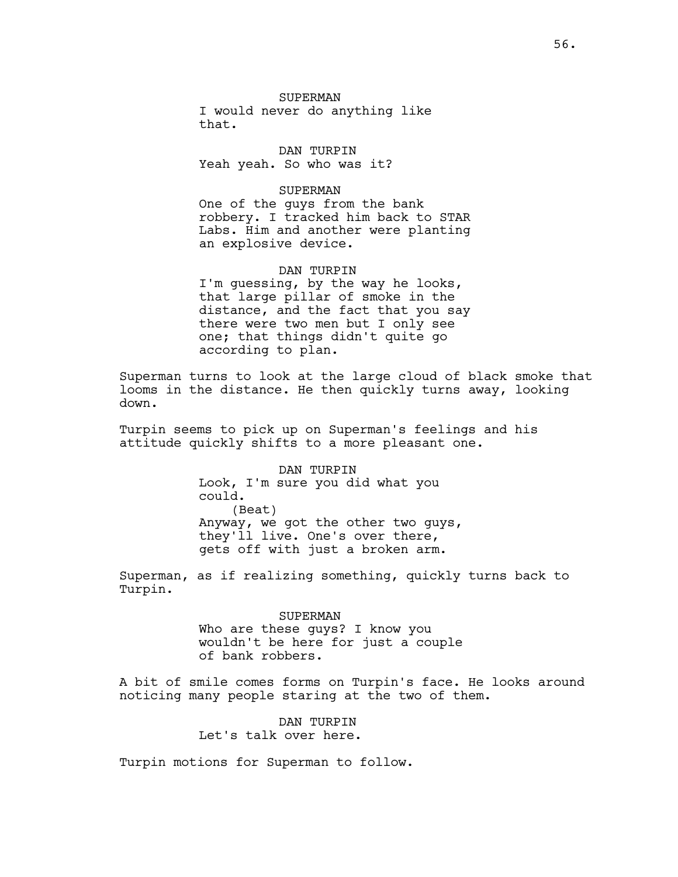SUPERMAN I would never do anything like that.

DAN TURPIN Yeah yeah. So who was it?

## SUPERMAN

One of the guys from the bank robbery. I tracked him back to STAR Labs. Him and another were planting an explosive device.

#### DAN TURPIN

I'm guessing, by the way he looks, that large pillar of smoke in the distance, and the fact that you say there were two men but I only see one; that things didn't quite go according to plan.

Superman turns to look at the large cloud of black smoke that looms in the distance. He then quickly turns away, looking down.

Turpin seems to pick up on Superman's feelings and his attitude quickly shifts to a more pleasant one.

> DAN TURPIN Look, I'm sure you did what you could. (Beat) Anyway, we got the other two guys, they'll live. One's over there, gets off with just a broken arm.

Superman, as if realizing something, quickly turns back to Turpin.

#### SUPERMAN

Who are these guys? I know you wouldn't be here for just a couple of bank robbers.

A bit of smile comes forms on Turpin's face. He looks around noticing many people staring at the two of them.

> DAN TURPIN Let's talk over here.

Turpin motions for Superman to follow.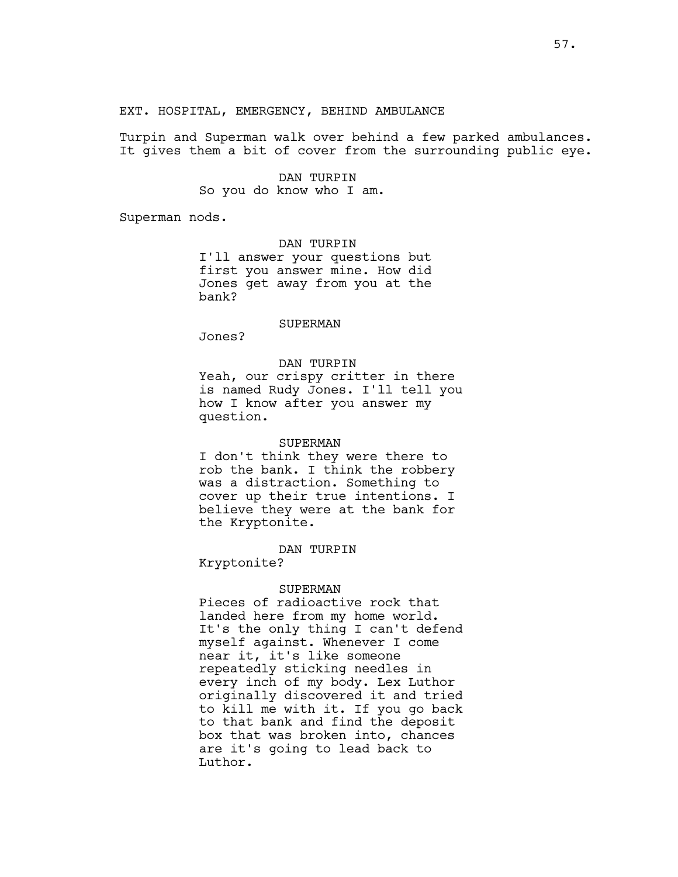EXT. HOSPITAL, EMERGENCY, BEHIND AMBULANCE

Turpin and Superman walk over behind a few parked ambulances. It gives them a bit of cover from the surrounding public eye.

> DAN TURPIN So you do know who I am.

Superman nods.

DAN TURPIN I'll answer your questions but first you answer mine. How did Jones get away from you at the bank?

#### SUPERMAN

Jones?

## DAN TURPIN

Yeah, our crispy critter in there is named Rudy Jones. I'll tell you how I know after you answer my question.

## SUPERMAN

I don't think they were there to rob the bank. I think the robbery was a distraction. Something to cover up their true intentions. I believe they were at the bank for the Kryptonite.

### DAN TURPIN

Kryptonite?

#### SUPERMAN

Pieces of radioactive rock that landed here from my home world. It's the only thing I can't defend myself against. Whenever I come near it, it's like someone repeatedly sticking needles in every inch of my body. Lex Luthor originally discovered it and tried to kill me with it. If you go back to that bank and find the deposit box that was broken into, chances are it's going to lead back to Luthor.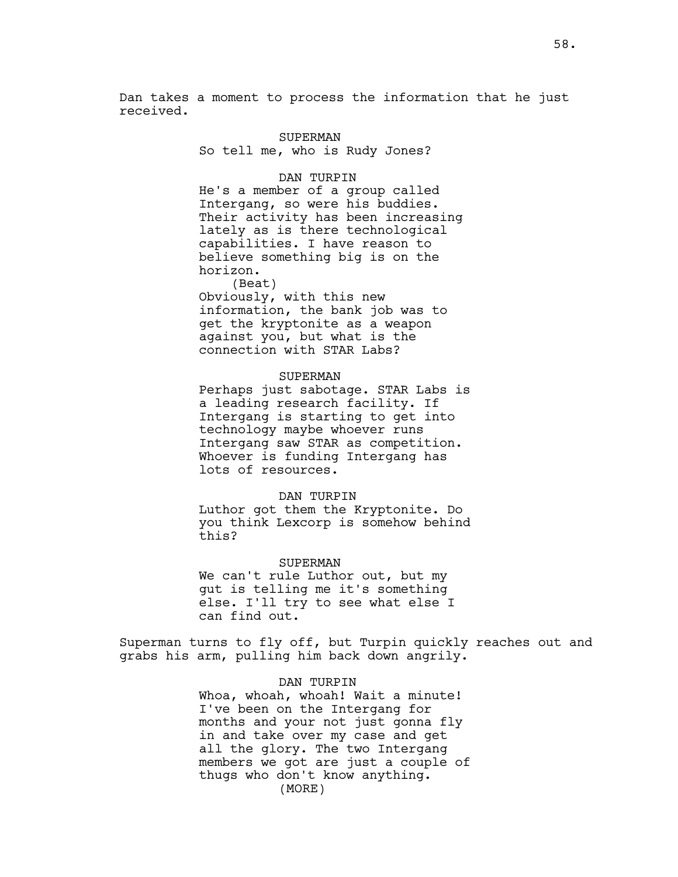Dan takes a moment to process the information that he just received.

#### SUPERMAN

So tell me, who is Rudy Jones?

### DAN TURPIN

He's a member of a group called Intergang, so were his buddies. Their activity has been increasing lately as is there technological capabilities. I have reason to believe something big is on the horizon.

(Beat) Obviously, with this new information, the bank job was to get the kryptonite as a weapon against you, but what is the connection with STAR Labs?

# SUPERMAN

Perhaps just sabotage. STAR Labs is a leading research facility. If Intergang is starting to get into technology maybe whoever runs Intergang saw STAR as competition. Whoever is funding Intergang has lots of resources.

### DAN TURPIN

Luthor got them the Kryptonite. Do you think Lexcorp is somehow behind this?

### SUPERMAN

We can't rule Luthor out, but my gut is telling me it's something else. I'll try to see what else I can find out.

Superman turns to fly off, but Turpin quickly reaches out and grabs his arm, pulling him back down angrily.

### DAN TURPIN

Whoa, whoah, whoah! Wait a minute! I've been on the Intergang for months and your not just gonna fly in and take over my case and get all the glory. The two Intergang members we got are just a couple of thugs who don't know anything. (MORE)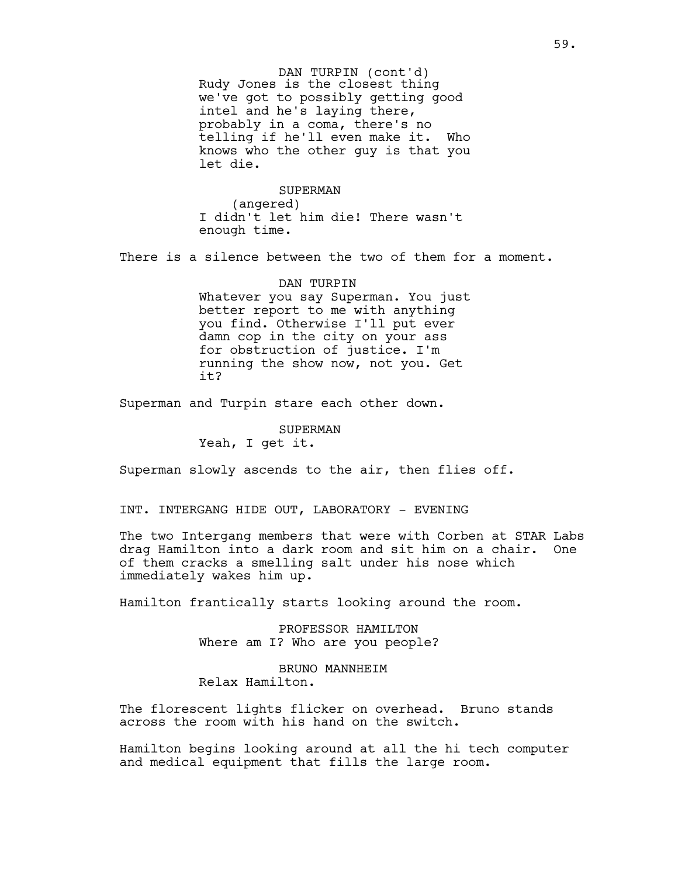Rudy Jones is the closest thing we've got to possibly getting good intel and he's laying there, probably in a coma, there's no telling if he'll even make it. Who knows who the other guy is that you let die. DAN TURPIN (cont'd)

SUPERMAN (angered) I didn't let him die! There wasn't enough time.

There is a silence between the two of them for a moment.

DAN TURPIN Whatever you say Superman. You just better report to me with anything you find. Otherwise I'll put ever damn cop in the city on your ass for obstruction of justice. I'm running the show now, not you. Get it?

Superman and Turpin stare each other down.

SUPERMAN Yeah, I get it.

Superman slowly ascends to the air, then flies off.

INT. INTERGANG HIDE OUT, LABORATORY - EVENING

The two Intergang members that were with Corben at STAR Labs drag Hamilton into a dark room and sit him on a chair. One of them cracks a smelling salt under his nose which immediately wakes him up.

Hamilton frantically starts looking around the room.

PROFESSOR HAMILTON Where am I? Who are you people?

BRUNO MANNHEIM Relax Hamilton.

The florescent lights flicker on overhead. Bruno stands across the room with his hand on the switch.

Hamilton begins looking around at all the hi tech computer and medical equipment that fills the large room.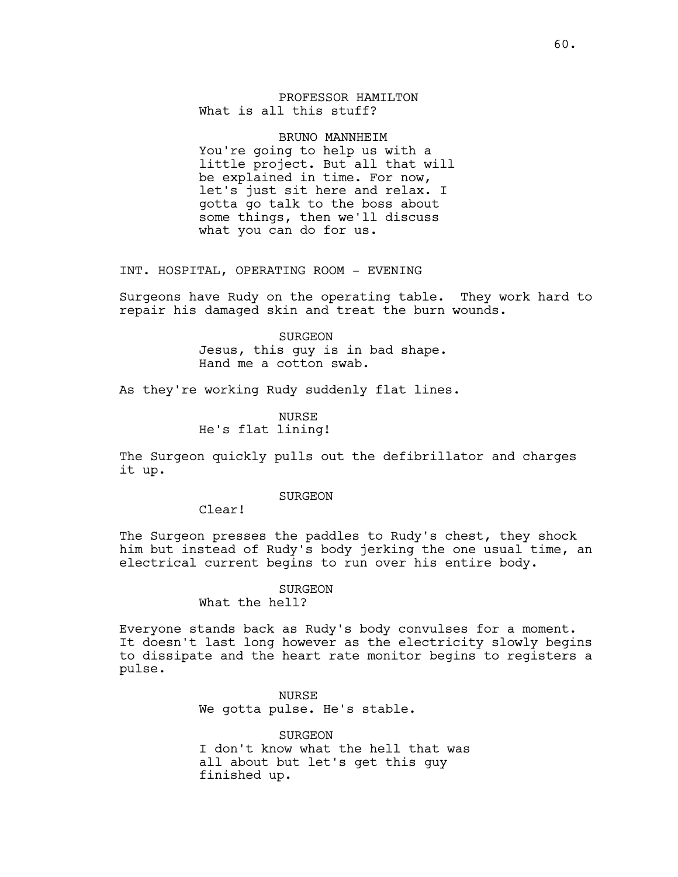PROFESSOR HAMILTON What is all this stuff?

BRUNO MANNHEIM You're going to help us with a little project. But all that will be explained in time. For now, let's just sit here and relax. I gotta go talk to the boss about some things, then we'll discuss what you can do for us.

INT. HOSPITAL, OPERATING ROOM - EVENING

Surgeons have Rudy on the operating table. They work hard to repair his damaged skin and treat the burn wounds.

> SURGEON Jesus, this guy is in bad shape. Hand me a cotton swab.

As they're working Rudy suddenly flat lines.

**NURSE** He's flat lining!

The Surgeon quickly pulls out the defibrillator and charges it up.

SURGEON

Clear!

The Surgeon presses the paddles to Rudy's chest, they shock him but instead of Rudy's body jerking the one usual time, an electrical current begins to run over his entire body.

# SURGEON

What the hell?

Everyone stands back as Rudy's body convulses for a moment. It doesn't last long however as the electricity slowly begins to dissipate and the heart rate monitor begins to registers a pulse.

> NURSE We gotta pulse. He's stable.

SURGEON I don't know what the hell that was all about but let's get this guy finished up.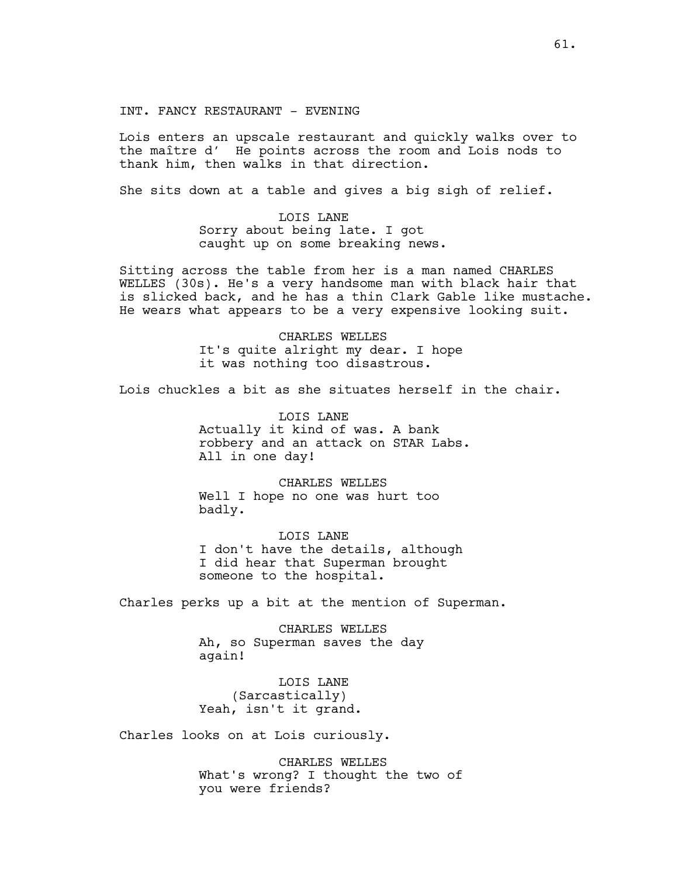INT. FANCY RESTAURANT - EVENING

Lois enters an upscale restaurant and quickly walks over to the maître d' He points across the room and Lois nods to thank him, then walks in that direction.

She sits down at a table and gives a big sigh of relief.

LOIS LANE Sorry about being late. I got caught up on some breaking news.

Sitting across the table from her is a man named CHARLES WELLES (30s). He's a very handsome man with black hair that is slicked back, and he has a thin Clark Gable like mustache. He wears what appears to be a very expensive looking suit.

> CHARLES WELLES It's quite alright my dear. I hope it was nothing too disastrous.

Lois chuckles a bit as she situates herself in the chair.

LOIS LANE Actually it kind of was. A bank robbery and an attack on STAR Labs. All in one day!

CHARLES WELLES Well I hope no one was hurt too badly.

LOIS LANE I don't have the details, although I did hear that Superman brought someone to the hospital.

Charles perks up a bit at the mention of Superman.

CHARLES WELLES Ah, so Superman saves the day again!

LOIS LANE (Sarcastically) Yeah, isn't it grand.

Charles looks on at Lois curiously.

CHARLES WELLES What's wrong? I thought the two of you were friends?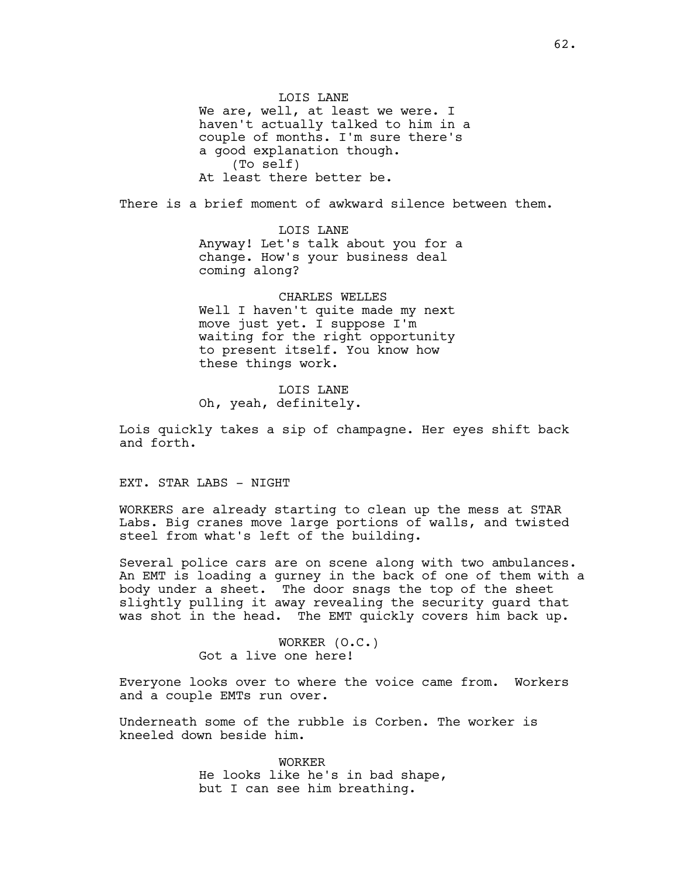LOIS LANE We are, well, at least we were. I haven't actually talked to him in a couple of months. I'm sure there's a good explanation though. (To self) At least there better be.

There is a brief moment of awkward silence between them.

LOIS LANE Anyway! Let's talk about you for a change. How's your business deal coming along?

CHARLES WELLES Well I haven't quite made my next move just yet. I suppose I'm waiting for the right opportunity to present itself. You know how these things work.

LOIS LANE Oh, yeah, definitely.

Lois quickly takes a sip of champagne. Her eyes shift back and forth.

EXT. STAR LABS - NIGHT

WORKERS are already starting to clean up the mess at STAR Labs. Big cranes move large portions of walls, and twisted steel from what's left of the building.

Several police cars are on scene along with two ambulances. An EMT is loading a gurney in the back of one of them with a body under a sheet. The door snags the top of the sheet slightly pulling it away revealing the security guard that was shot in the head. The EMT quickly covers him back up.

> WORKER (O.C.) Got a live one here!

Everyone looks over to where the voice came from. Workers and a couple EMTs run over.

Underneath some of the rubble is Corben. The worker is kneeled down beside him.

> WORKER He looks like he's in bad shape, but I can see him breathing.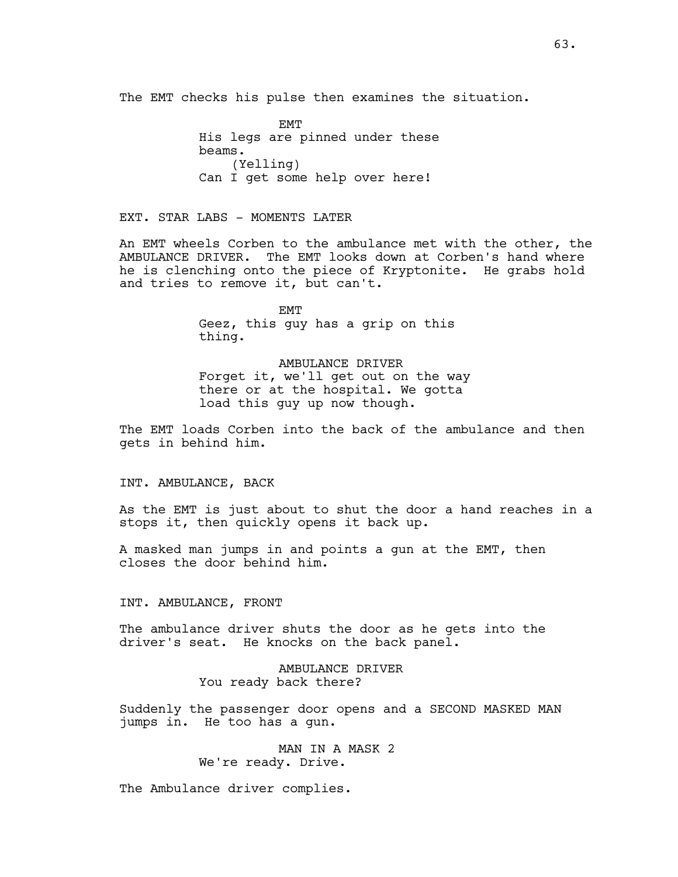The EMT checks his pulse then examines the situation.

EMT His legs are pinned under these beams. (Yelling) Can I get some help over here!

EXT. STAR LABS - MOMENTS LATER

An EMT wheels Corben to the ambulance met with the other, the AMBULANCE DRIVER. The EMT looks down at Corben's hand where he is clenching onto the piece of Kryptonite. He grabs hold and tries to remove it, but can't.

> EMT Geez, this guy has a grip on this thing.

AMBULANCE DRIVER Forget it, we'll get out on the way there or at the hospital. We gotta load this guy up now though.

The EMT loads Corben into the back of the ambulance and then gets in behind him.

## INT. AMBULANCE, BACK

As the EMT is just about to shut the door a hand reaches in a stops it, then quickly opens it back up.

A masked man jumps in and points a gun at the EMT, then closes the door behind him.

### INT. AMBULANCE, FRONT

The ambulance driver shuts the door as he gets into the driver's seat. He knocks on the back panel.

> AMBULANCE DRIVER You ready back there?

Suddenly the passenger door opens and a SECOND MASKED MAN jumps in. He too has a gun.

> MAN IN A MASK 2 We're ready. Drive.

The Ambulance driver complies.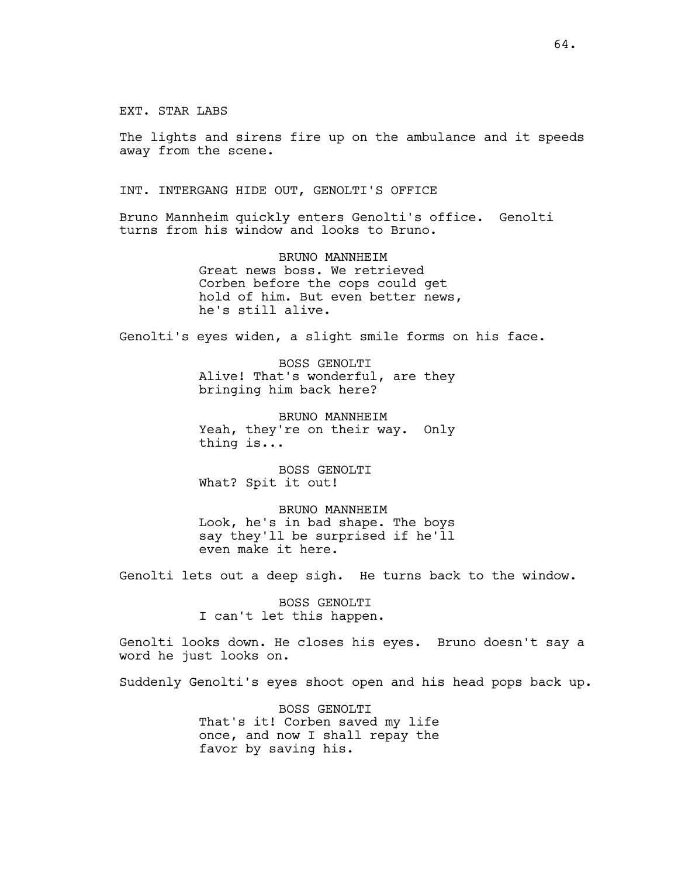EXT. STAR LABS

The lights and sirens fire up on the ambulance and it speeds away from the scene.

INT. INTERGANG HIDE OUT, GENOLTI'S OFFICE

Bruno Mannheim quickly enters Genolti's office. Genolti turns from his window and looks to Bruno.

> BRUNO MANNHEIM Great news boss. We retrieved Corben before the cops could get hold of him. But even better news, he's still alive.

Genolti's eyes widen, a slight smile forms on his face.

BOSS GENOLTI Alive! That's wonderful, are they bringing him back here?

BRUNO MANNHEIM Yeah, they're on their way. Only thing is...

BOSS GENOLTI What? Spit it out!

BRUNO MANNHEIM Look, he's in bad shape. The boys say they'll be surprised if he'll even make it here.

Genolti lets out a deep sigh. He turns back to the window.

BOSS GENOLTI I can't let this happen.

Genolti looks down. He closes his eyes. Bruno doesn't say a word he just looks on.

Suddenly Genolti's eyes shoot open and his head pops back up.

BOSS GENOLTI That's it! Corben saved my life once, and now I shall repay the favor by saving his.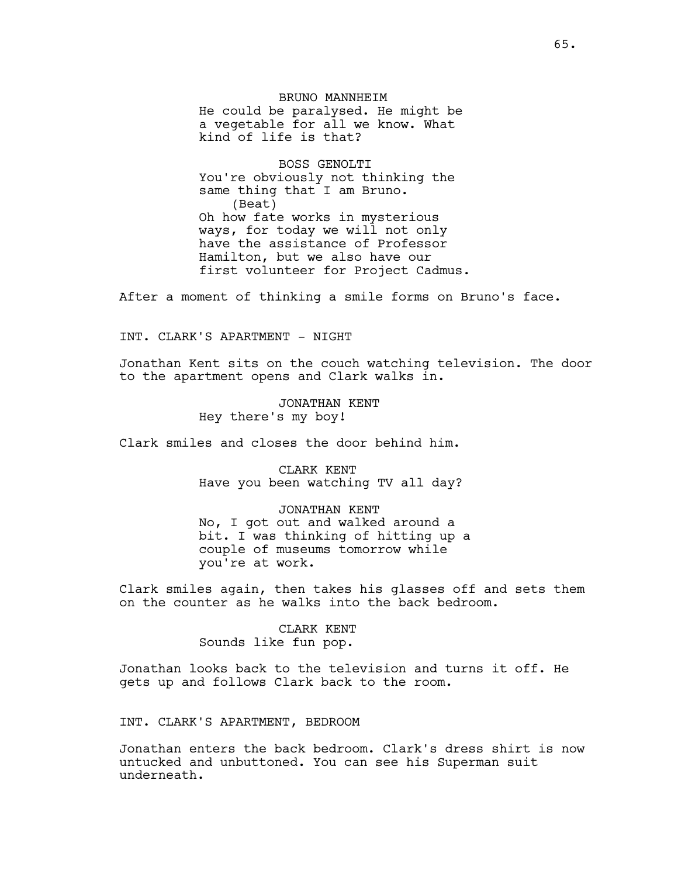BRUNO MANNHEIM He could be paralysed. He might be a vegetable for all we know. What kind of life is that?

BOSS GENOLTI You're obviously not thinking the same thing that I am Bruno. (Beat) Oh how fate works in mysterious ways, for today we will not only have the assistance of Professor Hamilton, but we also have our first volunteer for Project Cadmus.

After a moment of thinking a smile forms on Bruno's face.

INT. CLARK'S APARTMENT - NIGHT

Jonathan Kent sits on the couch watching television. The door to the apartment opens and Clark walks in.

> JONATHAN KENT Hey there's my boy!

Clark smiles and closes the door behind him.

CLARK KENT Have you been watching TV all day?

JONATHAN KENT No, I got out and walked around a bit. I was thinking of hitting up a couple of museums tomorrow while you're at work.

Clark smiles again, then takes his glasses off and sets them on the counter as he walks into the back bedroom.

> CLARK KENT Sounds like fun pop.

Jonathan looks back to the television and turns it off. He gets up and follows Clark back to the room.

INT. CLARK'S APARTMENT, BEDROOM

Jonathan enters the back bedroom. Clark's dress shirt is now untucked and unbuttoned. You can see his Superman suit underneath.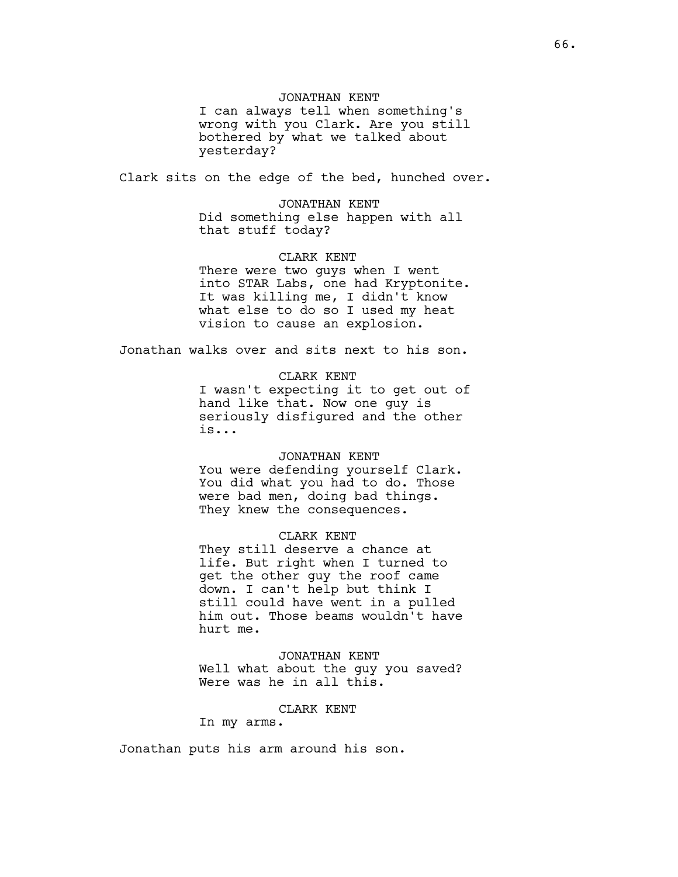## JONATHAN KENT

I can always tell when something's wrong with you Clark. Are you still bothered by what we talked about yesterday?

Clark sits on the edge of the bed, hunched over.

### JONATHAN KENT

Did something else happen with all that stuff today?

## CLARK KENT

There were two guys when I went into STAR Labs, one had Kryptonite. It was killing me, I didn't know what else to do so I used my heat vision to cause an explosion.

Jonathan walks over and sits next to his son.

# CLARK KENT

I wasn't expecting it to get out of hand like that. Now one guy is seriously disfigured and the other is...

# JONATHAN KENT

You were defending yourself Clark. You did what you had to do. Those were bad men, doing bad things. They knew the consequences.

### CLARK KENT

They still deserve a chance at life. But right when I turned to get the other guy the roof came down. I can't help but think I still could have went in a pulled him out. Those beams wouldn't have hurt me.

JONATHAN KENT Well what about the guy you saved? Were was he in all this.

### CLARK KENT

In my arms.

Jonathan puts his arm around his son.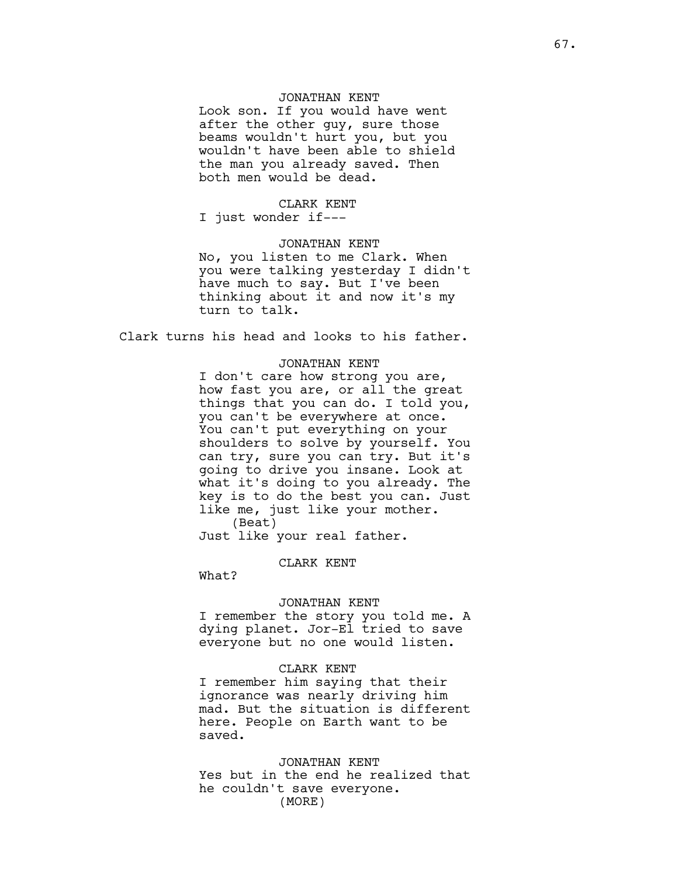# JONATHAN KENT

Look son. If you would have went after the other guy, sure those beams wouldn't hurt you, but you wouldn't have been able to shield the man you already saved. Then both men would be dead.

#### CLARK KENT

I just wonder if---

# JONATHAN KENT

No, you listen to me Clark. When you were talking yesterday I didn't have much to say. But I've been thinking about it and now it's my turn to talk.

Clark turns his head and looks to his father.

### JONATHAN KENT

I don't care how strong you are, how fast you are, or all the great things that you can do. I told you, you can't be everywhere at once. You can't put everything on your shoulders to solve by yourself. You can try, sure you can try. But it's going to drive you insane. Look at what it's doing to you already. The key is to do the best you can. Just like me, just like your mother. (Beat)

Just like your real father.

### CLARK KENT

What?

### JONATHAN KENT

I remember the story you told me. A dying planet. Jor-El tried to save everyone but no one would listen.

# CLARK KENT

I remember him saying that their ignorance was nearly driving him mad. But the situation is different here. People on Earth want to be saved.

## JONATHAN KENT

Yes but in the end he realized that he couldn't save everyone. (MORE)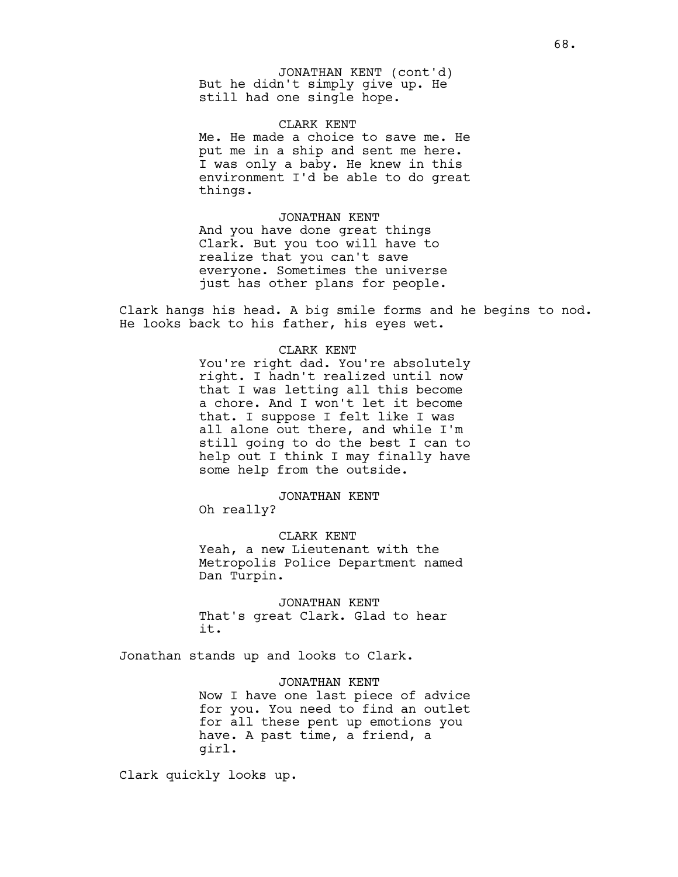But he didn't simply give up. He still had one single hope. JONATHAN KENT (cont'd)

### CLARK KENT

Me. He made a choice to save me. He put me in a ship and sent me here. I was only a baby. He knew in this environment I'd be able to do great things.

# JONATHAN KENT

And you have done great things Clark. But you too will have to realize that you can't save everyone. Sometimes the universe just has other plans for people.

Clark hangs his head. A big smile forms and he begins to nod. He looks back to his father, his eyes wet.

# CLARK KENT

You're right dad. You're absolutely right. I hadn't realized until now that I was letting all this become a chore. And I won't let it become that. I suppose I felt like I was all alone out there, and while I'm still going to do the best I can to help out I think I may finally have some help from the outside.

#### JONATHAN KENT

Oh really?

CLARK KENT Yeah, a new Lieutenant with the Metropolis Police Department named Dan Turpin.

JONATHAN KENT That's great Clark. Glad to hear it.

Jonathan stands up and looks to Clark.

JONATHAN KENT Now I have one last piece of advice for you. You need to find an outlet for all these pent up emotions you have. A past time, a friend, a girl.

Clark quickly looks up.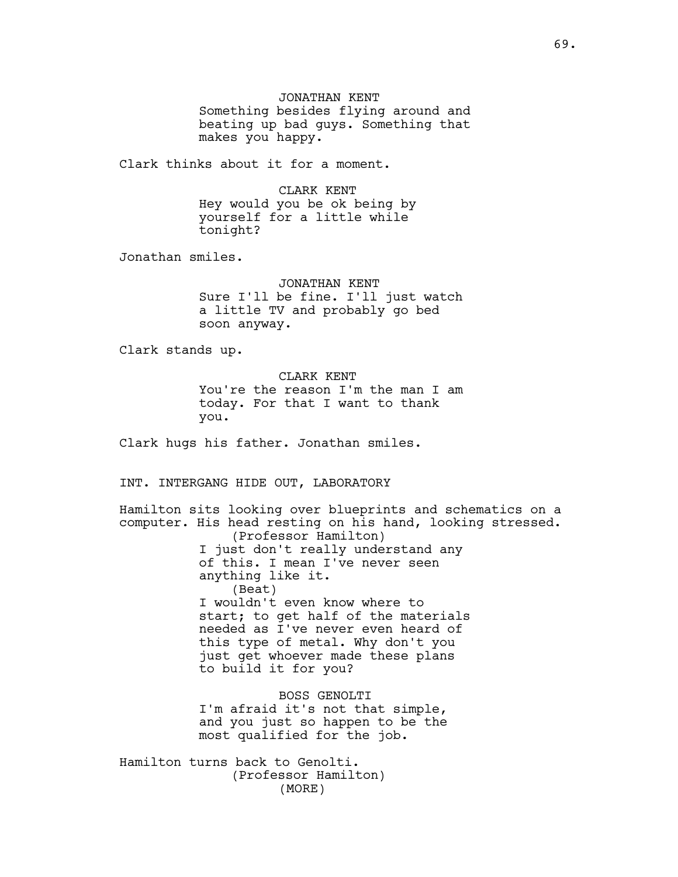JONATHAN KENT Something besides flying around and beating up bad guys. Something that makes you happy.

Clark thinks about it for a moment.

CLARK KENT Hey would you be ok being by yourself for a little while tonight?

Jonathan smiles.

JONATHAN KENT Sure I'll be fine. I'll just watch a little TV and probably go bed soon anyway.

Clark stands up.

CLARK KENT You're the reason I'm the man I am today. For that I want to thank you.

Clark hugs his father. Jonathan smiles.

INT. INTERGANG HIDE OUT, LABORATORY

Hamilton sits looking over blueprints and schematics on a computer. His head resting on his hand, looking stressed. (Professor Hamilton) I just don't really understand any of this. I mean I've never seen anything like it. (Beat) I wouldn't even know where to start; to get half of the materials needed as I've never even heard of this type of metal. Why don't you just get whoever made these plans to build it for you? BOSS GENOLTI I'm afraid it's not that simple, and you just so happen to be the most qualified for the job.

Hamilton turns back to Genolti. (Professor Hamilton) (MORE)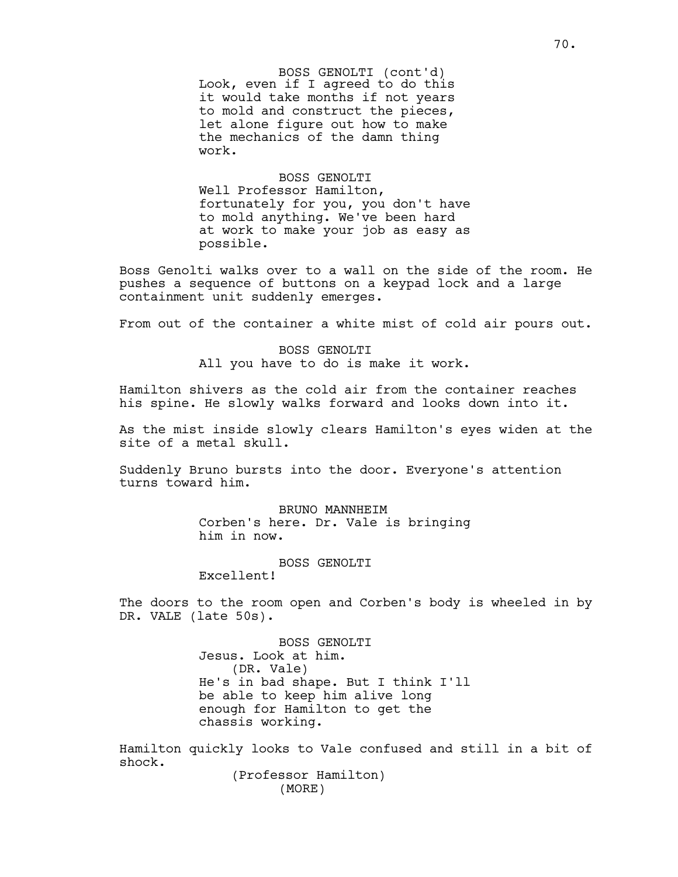Look, even if I agreed to do this it would take months if not years to mold and construct the pieces, let alone figure out how to make the mechanics of the damn thing work. BOSS GENOLTI (cont'd)

BOSS GENOLTI Well Professor Hamilton, fortunately for you, you don't have to mold anything. We've been hard at work to make your job as easy as possible.

Boss Genolti walks over to a wall on the side of the room. He pushes a sequence of buttons on a keypad lock and a large containment unit suddenly emerges.

From out of the container a white mist of cold air pours out.

BOSS GENOLTI All you have to do is make it work.

Hamilton shivers as the cold air from the container reaches his spine. He slowly walks forward and looks down into it.

As the mist inside slowly clears Hamilton's eyes widen at the site of a metal skull.

Suddenly Bruno bursts into the door. Everyone's attention turns toward him.

> BRUNO MANNHEIM Corben's here. Dr. Vale is bringing him in now.

> > BOSS GENOLTI

Excellent!

The doors to the room open and Corben's body is wheeled in by DR. VALE (late 50s).

> BOSS GENOLTI Jesus. Look at him. (DR. Vale) He's in bad shape. But I think I'll be able to keep him alive long enough for Hamilton to get the chassis working.

Hamilton quickly looks to Vale confused and still in a bit of shock.

(Professor Hamilton) (MORE)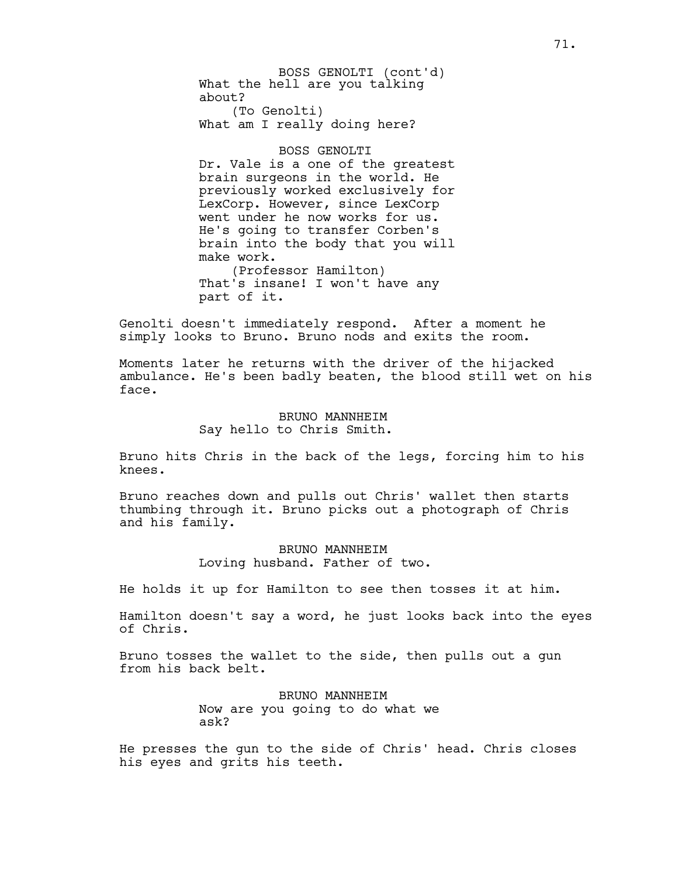What the hell are you talking about? (To Genolti) BOSS GENOLTI (cont'd)

What am I really doing here?

## BOSS GENOLTI

Dr. Vale is a one of the greatest brain surgeons in the world. He previously worked exclusively for LexCorp. However, since LexCorp went under he now works for us. He's going to transfer Corben's brain into the body that you will make work. (Professor Hamilton) That's insane! I won't have any

part of it.

Genolti doesn't immediately respond. After a moment he simply looks to Bruno. Bruno nods and exits the room.

Moments later he returns with the driver of the hijacked ambulance. He's been badly beaten, the blood still wet on his face.

### BRUNO MANNHEIM Say hello to Chris Smith.

Bruno hits Chris in the back of the legs, forcing him to his knees.

Bruno reaches down and pulls out Chris' wallet then starts thumbing through it. Bruno picks out a photograph of Chris and his family.

> BRUNO MANNHEIM Loving husband. Father of two.

He holds it up for Hamilton to see then tosses it at him.

Hamilton doesn't say a word, he just looks back into the eyes of Chris.

Bruno tosses the wallet to the side, then pulls out a gun from his back belt.

> BRUNO MANNHEIM Now are you going to do what we ask?

He presses the gun to the side of Chris' head. Chris closes his eyes and grits his teeth.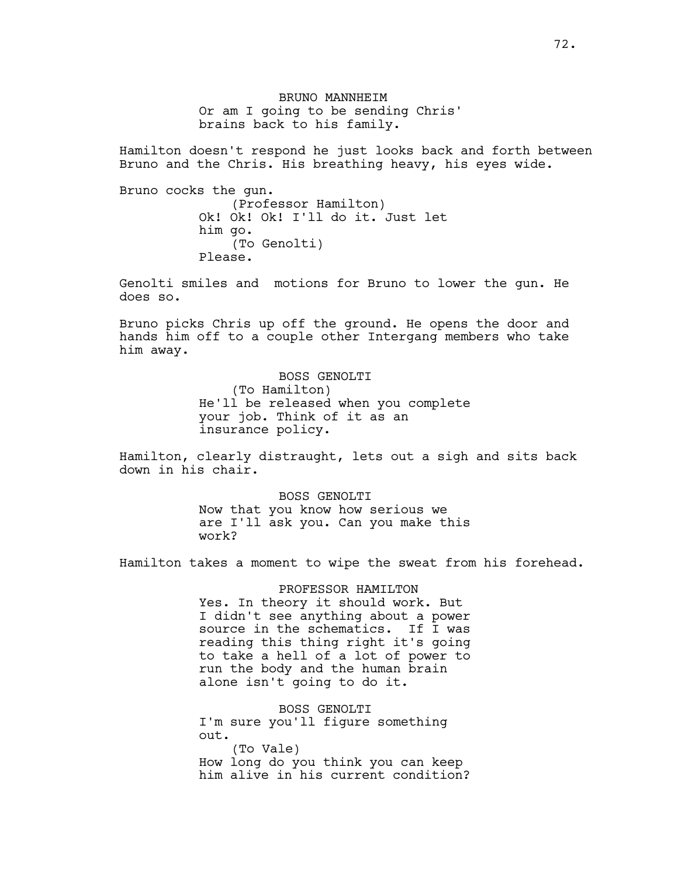BRUNO MANNHEIM Or am I going to be sending Chris' brains back to his family.

Hamilton doesn't respond he just looks back and forth between Bruno and the Chris. His breathing heavy, his eyes wide.

Bruno cocks the gun. (Professor Hamilton) Ok! Ok! Ok! I'll do it. Just let him go. (To Genolti) Please.

Genolti smiles and motions for Bruno to lower the gun. He does so.

Bruno picks Chris up off the ground. He opens the door and hands him off to a couple other Intergang members who take him away.

> BOSS GENOLTI (To Hamilton) He'll be released when you complete your job. Think of it as an insurance policy.

Hamilton, clearly distraught, lets out a sigh and sits back down in his chair.

> BOSS GENOLTI Now that you know how serious we are I'll ask you. Can you make this work?

Hamilton takes a moment to wipe the sweat from his forehead.

#### PROFESSOR HAMILTON

Yes. In theory it should work. But I didn't see anything about a power source in the schematics. If I was reading this thing right it's going to take a hell of a lot of power to run the body and the human brain alone isn't going to do it.

BOSS GENOLTI I'm sure you'll figure something out. (To Vale) How long do you think you can keep him alive in his current condition?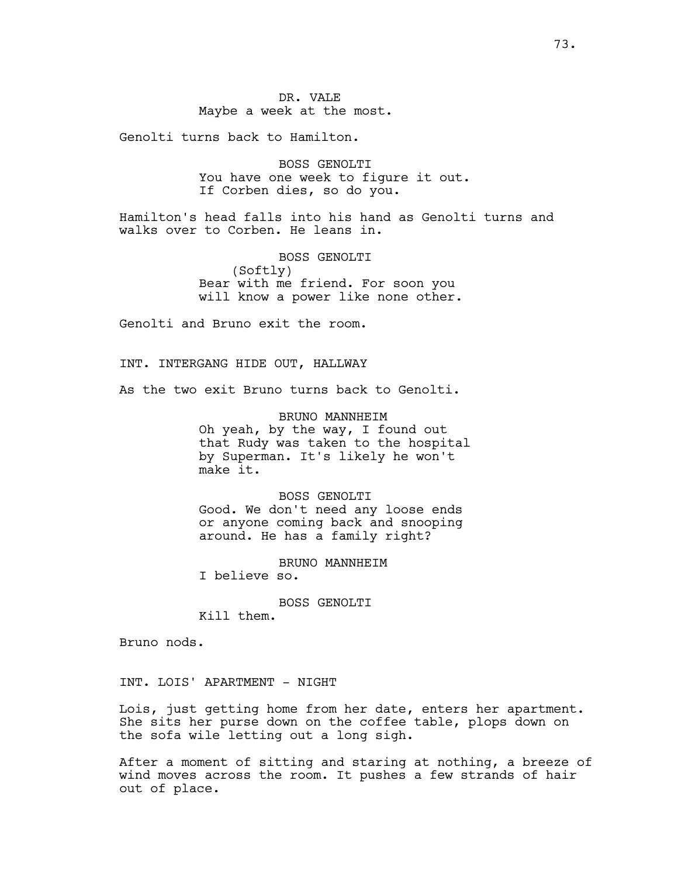Genolti turns back to Hamilton.

BOSS GENOLTI You have one week to figure it out. If Corben dies, so do you.

Hamilton's head falls into his hand as Genolti turns and walks over to Corben. He leans in.

> BOSS GENOLTI (Softly) Bear with me friend. For soon you will know a power like none other.

Genolti and Bruno exit the room.

INT. INTERGANG HIDE OUT, HALLWAY

As the two exit Bruno turns back to Genolti.

BRUNO MANNHEIM Oh yeah, by the way, I found out that Rudy was taken to the hospital by Superman. It's likely he won't make it.

BOSS GENOLTI Good. We don't need any loose ends or anyone coming back and snooping around. He has a family right?

BRUNO MANNHEIM

I believe so.

BOSS GENOLTI

Kill them.

Bruno nods.

INT. LOIS' APARTMENT - NIGHT

Lois, just getting home from her date, enters her apartment. She sits her purse down on the coffee table, plops down on the sofa wile letting out a long sigh.

After a moment of sitting and staring at nothing, a breeze of wind moves across the room. It pushes a few strands of hair out of place.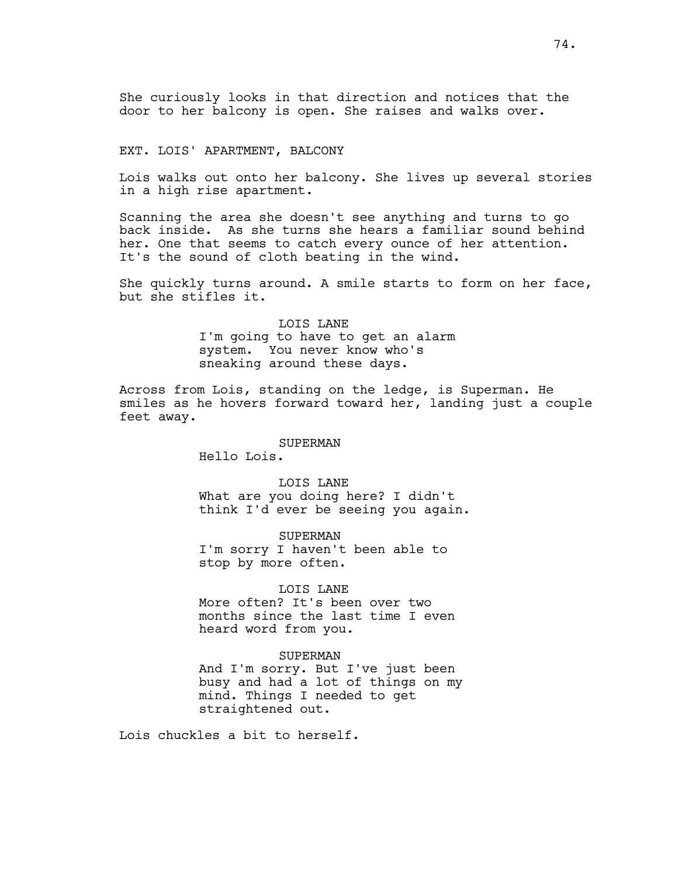She curiously looks in that direction and notices that the door to her balcony is open. She raises and walks over.

## EXT. LOIS' APARTMENT, BALCONY

Lois walks out onto her balcony. She lives up several stories in a high rise apartment.

Scanning the area she doesn't see anything and turns to go back inside. As she turns she hears a familiar sound behind her. One that seems to catch every ounce of her attention. It's the sound of cloth beating in the wind.

She quickly turns around. A smile starts to form on her face, but she stifles it.

> LOIS LANE I'm going to have to get an alarm system. You never know who's sneaking around these days.

Across from Lois, standing on the ledge, is Superman. He smiles as he hovers forward toward her, landing just a couple feet away.

#### SUPERMAN

Hello Lois.

LOIS LANE What are you doing here? I didn't think I'd ever be seeing you again.

SUPERMAN I'm sorry I haven't been able to stop by more often.

### LOIS LANE

More often? It's been over two months since the last time I even heard word from you.

#### SUPERMAN

And I'm sorry. But I've just been busy and had a lot of things on my mind. Things I needed to get straightened out.

Lois chuckles a bit to herself.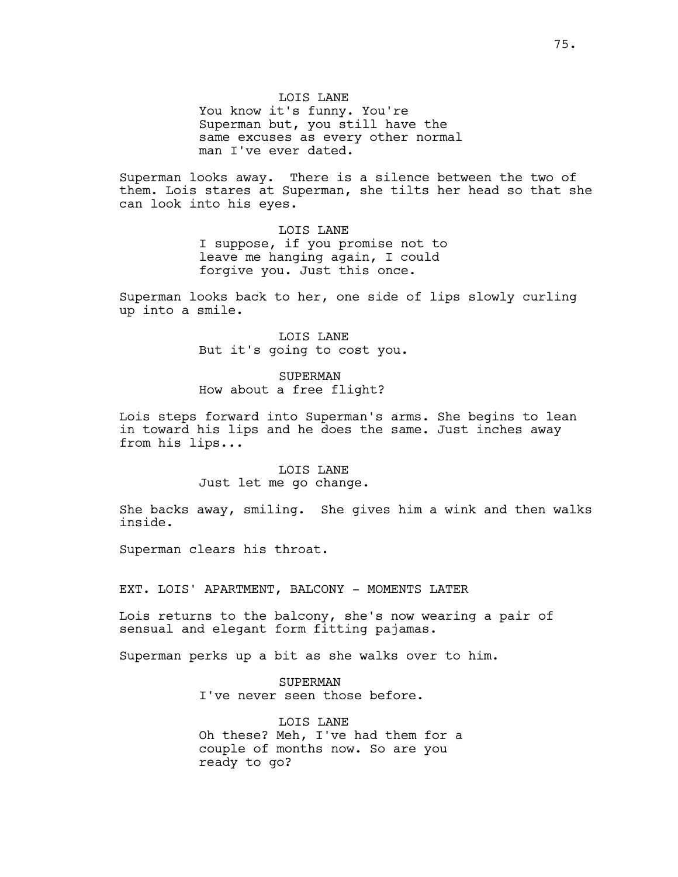LOIS LANE You know it's funny. You're Superman but, you still have the same excuses as every other normal man I've ever dated.

Superman looks away. There is a silence between the two of them. Lois stares at Superman, she tilts her head so that she can look into his eyes.

> LOIS LANE I suppose, if you promise not to leave me hanging again, I could forgive you. Just this once.

Superman looks back to her, one side of lips slowly curling up into a smile.

> LOIS LANE But it's going to cost you.

SUPERMAN How about a free flight?

Lois steps forward into Superman's arms. She begins to lean in toward his lips and he does the same. Just inches away from his lips...

> LOIS LANE Just let me go change.

She backs away, smiling. She gives him a wink and then walks inside.

Superman clears his throat.

EXT. LOIS' APARTMENT, BALCONY - MOMENTS LATER

Lois returns to the balcony, she's now wearing a pair of sensual and elegant form fitting pajamas.

Superman perks up a bit as she walks over to him.

SUPERMAN I've never seen those before.

LOIS LANE Oh these? Meh, I've had them for a couple of months now. So are you ready to go?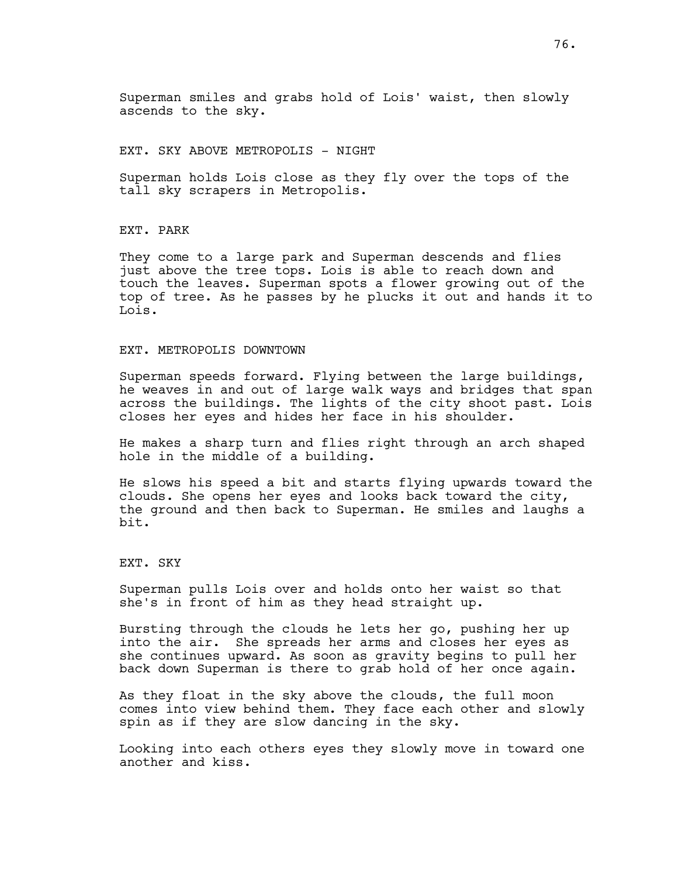EXT. SKY ABOVE METROPOLIS - NIGHT

Superman holds Lois close as they fly over the tops of the tall sky scrapers in Metropolis.

EXT. PARK

They come to a large park and Superman descends and flies just above the tree tops. Lois is able to reach down and touch the leaves. Superman spots a flower growing out of the top of tree. As he passes by he plucks it out and hands it to Lois.

#### EXT. METROPOLIS DOWNTOWN

Superman speeds forward. Flying between the large buildings, he weaves in and out of large walk ways and bridges that span across the buildings. The lights of the city shoot past. Lois closes her eyes and hides her face in his shoulder.

He makes a sharp turn and flies right through an arch shaped hole in the middle of a building.

He slows his speed a bit and starts flying upwards toward the clouds. She opens her eyes and looks back toward the city, the ground and then back to Superman. He smiles and laughs a bit.

EXT. SKY

Superman pulls Lois over and holds onto her waist so that she's in front of him as they head straight up.

Bursting through the clouds he lets her go, pushing her up into the air. She spreads her arms and closes her eyes as she continues upward. As soon as gravity begins to pull her back down Superman is there to grab hold of her once again.

As they float in the sky above the clouds, the full moon comes into view behind them. They face each other and slowly spin as if they are slow dancing in the sky.

Looking into each others eyes they slowly move in toward one another and kiss.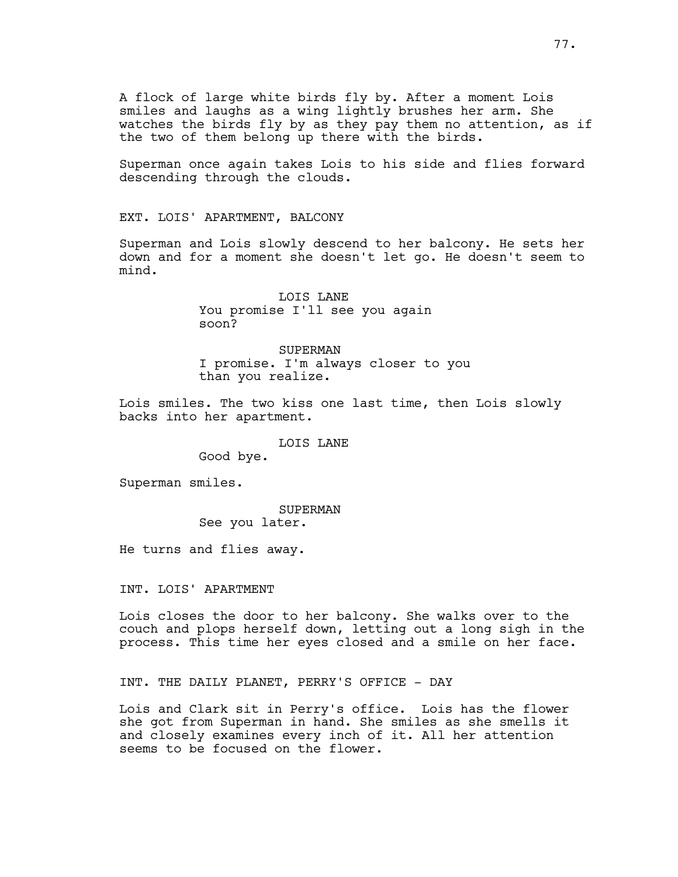A flock of large white birds fly by. After a moment Lois smiles and laughs as a wing lightly brushes her arm. She watches the birds fly by as they pay them no attention, as if the two of them belong up there with the birds.

Superman once again takes Lois to his side and flies forward descending through the clouds.

EXT. LOIS' APARTMENT, BALCONY

Superman and Lois slowly descend to her balcony. He sets her down and for a moment she doesn't let go. He doesn't seem to mind.

> LOIS LANE You promise I'll see you again soon?

SUPERMAN I promise. I'm always closer to you than you realize.

Lois smiles. The two kiss one last time, then Lois slowly backs into her apartment.

LOIS LANE

Good bye.

Superman smiles.

SUPERMAN See you later.

He turns and flies away.

INT. LOIS' APARTMENT

Lois closes the door to her balcony. She walks over to the couch and plops herself down, letting out a long sigh in the process. This time her eyes closed and a smile on her face.

INT. THE DAILY PLANET, PERRY'S OFFICE - DAY

Lois and Clark sit in Perry's office. Lois has the flower she got from Superman in hand. She smiles as she smells it and closely examines every inch of it. All her attention seems to be focused on the flower.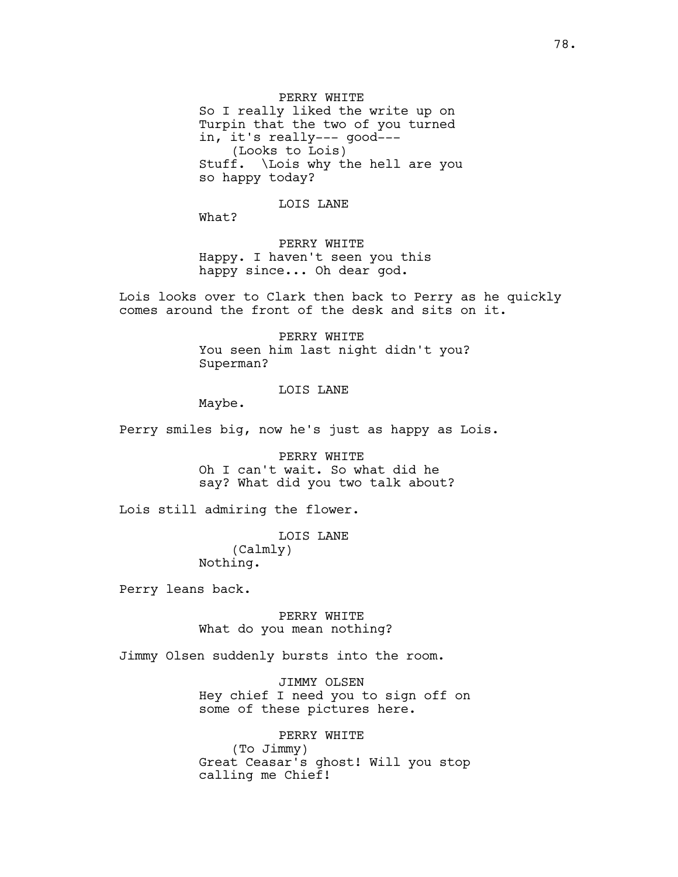PERRY WHITE So I really liked the write up on Turpin that the two of you turned in, it's really--- good--- (Looks to Lois) Stuff. \Lois why the hell are you so happy today?

LOIS LANE

What?

PERRY WHITE Happy. I haven't seen you this happy since... Oh dear god.

Lois looks over to Clark then back to Perry as he quickly comes around the front of the desk and sits on it.

> PERRY WHITE You seen him last night didn't you? Superman?

# LOIS LANE

Maybe.

Perry smiles big, now he's just as happy as Lois.

PERRY WHITE Oh I can't wait. So what did he say? What did you two talk about?

Lois still admiring the flower.

LOIS LANE (Calmly) Nothing.

Perry leans back.

PERRY WHITE What do you mean nothing?

Jimmy Olsen suddenly bursts into the room.

JIMMY OLSEN Hey chief I need you to sign off on some of these pictures here.

PERRY WHITE (To Jimmy) Great Ceasar's ghost! Will you stop calling me Chief!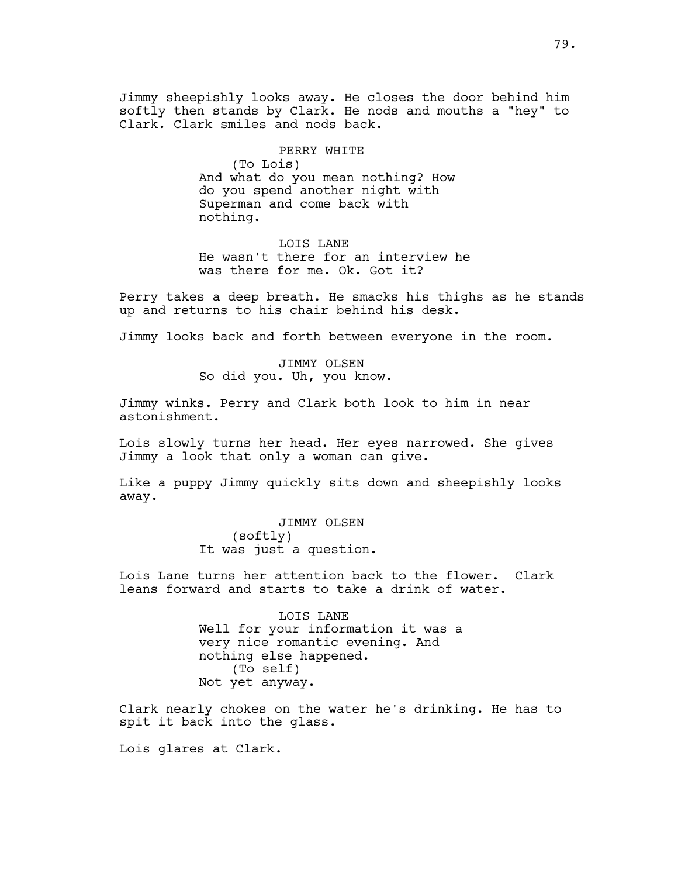Jimmy sheepishly looks away. He closes the door behind him softly then stands by Clark. He nods and mouths a "hey" to Clark. Clark smiles and nods back.

PERRY WHITE

(To Lois) And what do you mean nothing? How do you spend another night with Superman and come back with nothing.

LOIS LANE He wasn't there for an interview he was there for me. Ok. Got it?

Perry takes a deep breath. He smacks his thighs as he stands up and returns to his chair behind his desk.

Jimmy looks back and forth between everyone in the room.

JIMMY OLSEN So did you. Uh, you know.

Jimmy winks. Perry and Clark both look to him in near astonishment.

Lois slowly turns her head. Her eyes narrowed. She gives Jimmy a look that only a woman can give.

Like a puppy Jimmy quickly sits down and sheepishly looks away.

> JIMMY OLSEN (softly) It was just a question.

Lois Lane turns her attention back to the flower. Clark leans forward and starts to take a drink of water.

> LOIS LANE Well for your information it was a very nice romantic evening. And nothing else happened. (To self) Not yet anyway.

Clark nearly chokes on the water he's drinking. He has to spit it back into the glass.

Lois glares at Clark.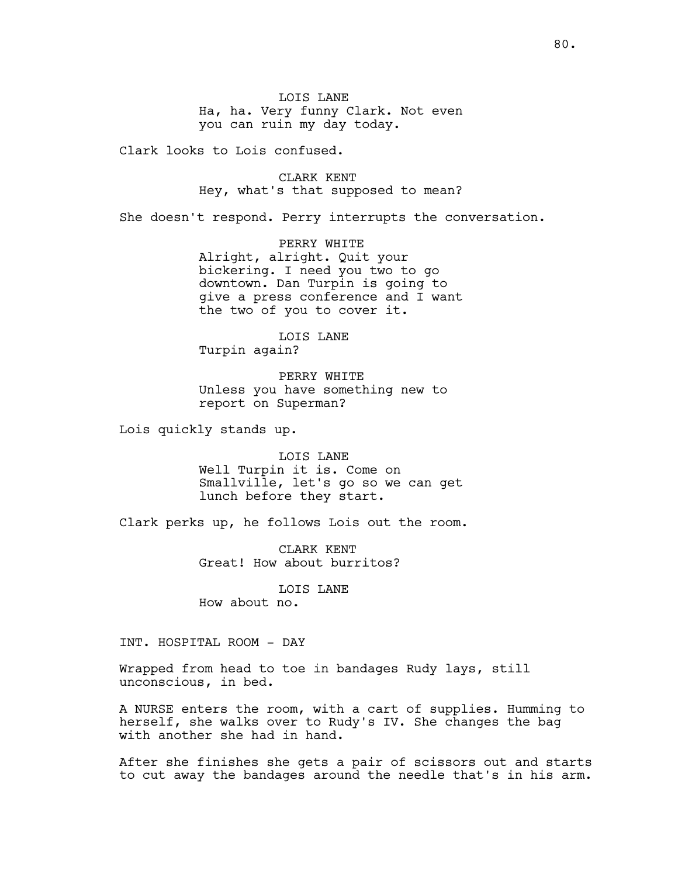LOIS LANE Ha, ha. Very funny Clark. Not even you can ruin my day today.

Clark looks to Lois confused.

CLARK KENT Hey, what's that supposed to mean?

She doesn't respond. Perry interrupts the conversation.

PERRY WHITE Alright, alright. Quit your bickering. I need you two to go downtown. Dan Turpin is going to give a press conference and I want the two of you to cover it.

LOIS LANE Turpin again?

PERRY WHITE Unless you have something new to report on Superman?

Lois quickly stands up.

LOIS LANE Well Turpin it is. Come on Smallville, let's go so we can get lunch before they start.

Clark perks up, he follows Lois out the room.

CLARK KENT Great! How about burritos?

LOIS LANE How about no.

INT. HOSPITAL ROOM - DAY

Wrapped from head to toe in bandages Rudy lays, still unconscious, in bed.

A NURSE enters the room, with a cart of supplies. Humming to herself, she walks over to Rudy's IV. She changes the bag with another she had in hand.

After she finishes she gets a pair of scissors out and starts to cut away the bandages around the needle that's in his arm.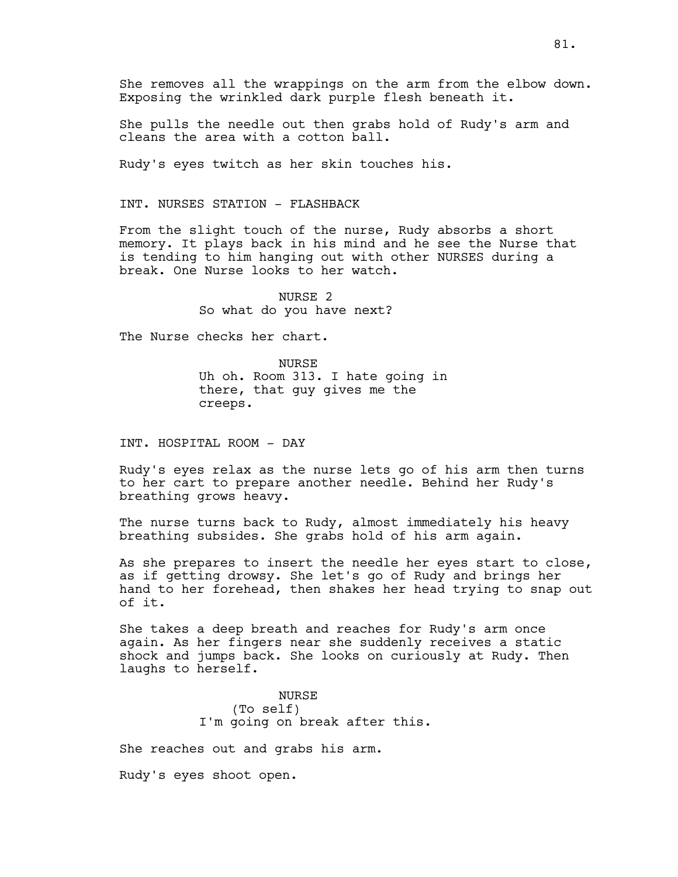She pulls the needle out then grabs hold of Rudy's arm and cleans the area with a cotton ball.

Rudy's eyes twitch as her skin touches his.

# INT. NURSES STATION - FLASHBACK

From the slight touch of the nurse, Rudy absorbs a short memory. It plays back in his mind and he see the Nurse that is tending to him hanging out with other NURSES during a break. One Nurse looks to her watch.

> NURSE 2 So what do you have next?

The Nurse checks her chart.

NURSE Uh oh. Room 313. I hate going in there, that guy gives me the creeps.

INT. HOSPITAL ROOM - DAY

Rudy's eyes relax as the nurse lets go of his arm then turns to her cart to prepare another needle. Behind her Rudy's breathing grows heavy.

The nurse turns back to Rudy, almost immediately his heavy breathing subsides. She grabs hold of his arm again.

As she prepares to insert the needle her eyes start to close, as if getting drowsy. She let's go of Rudy and brings her hand to her forehead, then shakes her head trying to snap out of it.

She takes a deep breath and reaches for Rudy's arm once again. As her fingers near she suddenly receives a static shock and jumps back. She looks on curiously at Rudy. Then laughs to herself.

> NURSE (To self) I'm going on break after this.

She reaches out and grabs his arm.

Rudy's eyes shoot open.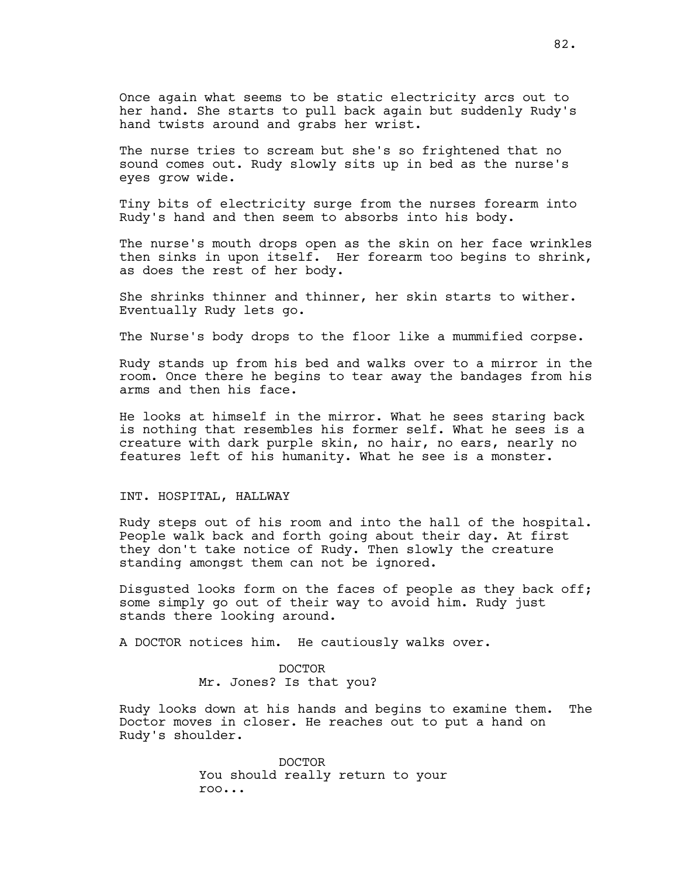Once again what seems to be static electricity arcs out to her hand. She starts to pull back again but suddenly Rudy's hand twists around and grabs her wrist.

The nurse tries to scream but she's so frightened that no sound comes out. Rudy slowly sits up in bed as the nurse's eyes grow wide.

Tiny bits of electricity surge from the nurses forearm into Rudy's hand and then seem to absorbs into his body.

The nurse's mouth drops open as the skin on her face wrinkles then sinks in upon itself. Her forearm too begins to shrink, as does the rest of her body.

She shrinks thinner and thinner, her skin starts to wither. Eventually Rudy lets go.

The Nurse's body drops to the floor like a mummified corpse.

Rudy stands up from his bed and walks over to a mirror in the room. Once there he begins to tear away the bandages from his arms and then his face.

He looks at himself in the mirror. What he sees staring back is nothing that resembles his former self. What he sees is a creature with dark purple skin, no hair, no ears, nearly no features left of his humanity. What he see is a monster.

## INT. HOSPITAL, HALLWAY

Rudy steps out of his room and into the hall of the hospital. People walk back and forth going about their day. At first they don't take notice of Rudy. Then slowly the creature standing amongst them can not be ignored.

Disgusted looks form on the faces of people as they back off; some simply go out of their way to avoid him. Rudy just stands there looking around.

A DOCTOR notices him. He cautiously walks over.

DOCTOR Mr. Jones? Is that you?

Rudy looks down at his hands and begins to examine them. The Doctor moves in closer. He reaches out to put a hand on Rudy's shoulder.

> DOCTOR You should really return to your roo...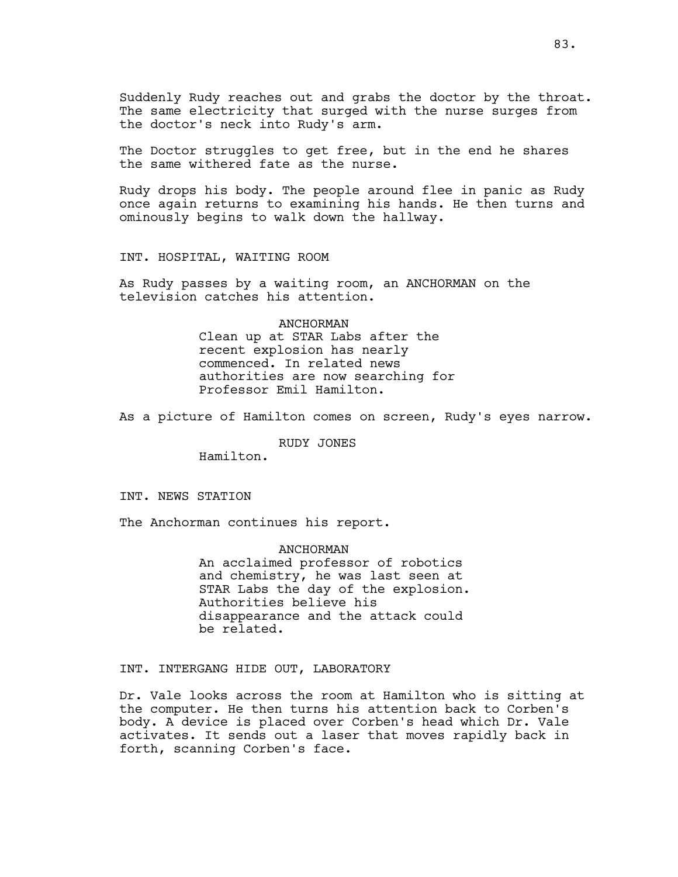Suddenly Rudy reaches out and grabs the doctor by the throat. The same electricity that surged with the nurse surges from the doctor's neck into Rudy's arm.

The Doctor struggles to get free, but in the end he shares the same withered fate as the nurse.

Rudy drops his body. The people around flee in panic as Rudy once again returns to examining his hands. He then turns and ominously begins to walk down the hallway.

INT. HOSPITAL, WAITING ROOM

As Rudy passes by a waiting room, an ANCHORMAN on the television catches his attention.

#### ANCHORMAN

Clean up at STAR Labs after the recent explosion has nearly commenced. In related news authorities are now searching for Professor Emil Hamilton.

As a picture of Hamilton comes on screen, Rudy's eyes narrow.

## RUDY JONES

Hamilton.

## INT. NEWS STATION

The Anchorman continues his report.

ANCHORMAN

An acclaimed professor of robotics and chemistry, he was last seen at STAR Labs the day of the explosion. Authorities believe his disappearance and the attack could be related.

INT. INTERGANG HIDE OUT, LABORATORY

Dr. Vale looks across the room at Hamilton who is sitting at the computer. He then turns his attention back to Corben's body. A device is placed over Corben's head which Dr. Vale activates. It sends out a laser that moves rapidly back in forth, scanning Corben's face.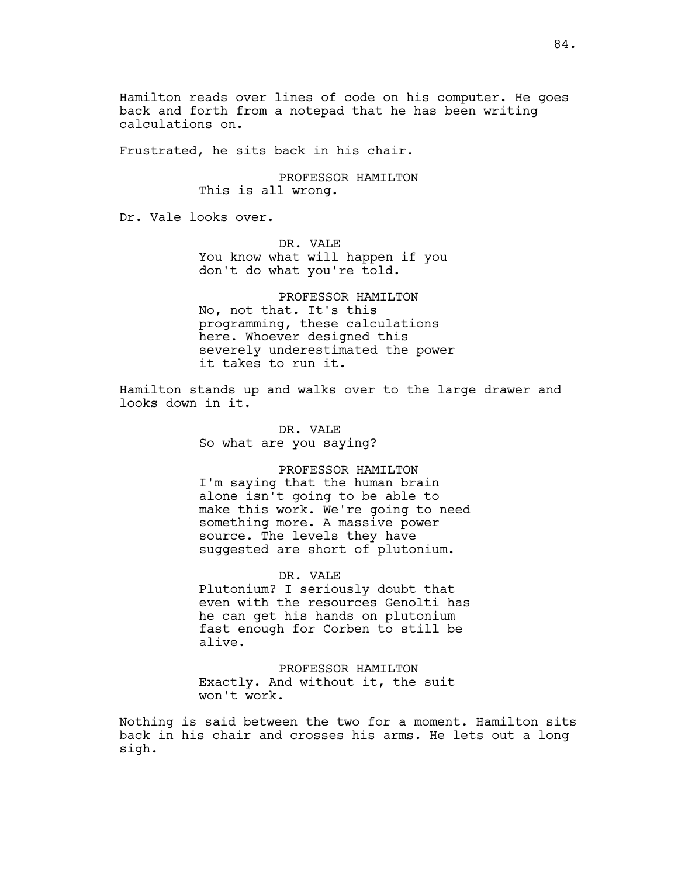Hamilton reads over lines of code on his computer. He goes back and forth from a notepad that he has been writing calculations on.

Frustrated, he sits back in his chair.

PROFESSOR HAMILTON This is all wrong.

Dr. Vale looks over.

DR. VALE You know what will happen if you don't do what you're told.

PROFESSOR HAMILTON No, not that. It's this programming, these calculations here. Whoever designed this severely underestimated the power it takes to run it.

Hamilton stands up and walks over to the large drawer and looks down in it.

> DR. VALE So what are you saying?

PROFESSOR HAMILTON I'm saying that the human brain alone isn't going to be able to make this work. We're going to need something more. A massive power source. The levels they have suggested are short of plutonium.

DR. VALE Plutonium? I seriously doubt that even with the resources Genolti has he can get his hands on plutonium fast enough for Corben to still be alive.

PROFESSOR HAMILTON Exactly. And without it, the suit won't work.

Nothing is said between the two for a moment. Hamilton sits back in his chair and crosses his arms. He lets out a long sigh.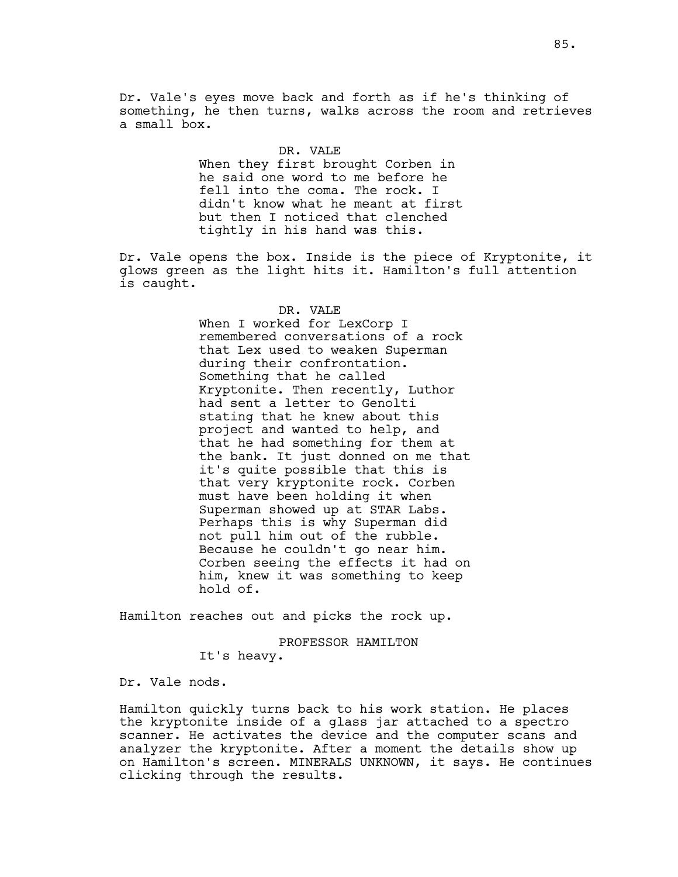Dr. Vale's eyes move back and forth as if he's thinking of something, he then turns, walks across the room and retrieves a small box.

#### DR. VALE

When they first brought Corben in he said one word to me before he fell into the coma. The rock. I didn't know what he meant at first but then I noticed that clenched tightly in his hand was this.

Dr. Vale opens the box. Inside is the piece of Kryptonite, it glows green as the light hits it. Hamilton's full attention is caught.

## DR. VALE

When I worked for LexCorp I remembered conversations of a rock that Lex used to weaken Superman during their confrontation. Something that he called Kryptonite. Then recently, Luthor had sent a letter to Genolti stating that he knew about this project and wanted to help, and that he had something for them at the bank. It just donned on me that it's quite possible that this is that very kryptonite rock. Corben must have been holding it when Superman showed up at STAR Labs. Perhaps this is why Superman did not pull him out of the rubble. Because he couldn't go near him. Corben seeing the effects it had on him, knew it was something to keep hold of.

Hamilton reaches out and picks the rock up.

PROFESSOR HAMILTON

It's heavy.

Dr. Vale nods.

Hamilton quickly turns back to his work station. He places the kryptonite inside of a glass jar attached to a spectro scanner. He activates the device and the computer scans and analyzer the kryptonite. After a moment the details show up on Hamilton's screen. MINERALS UNKNOWN, it says. He continues clicking through the results.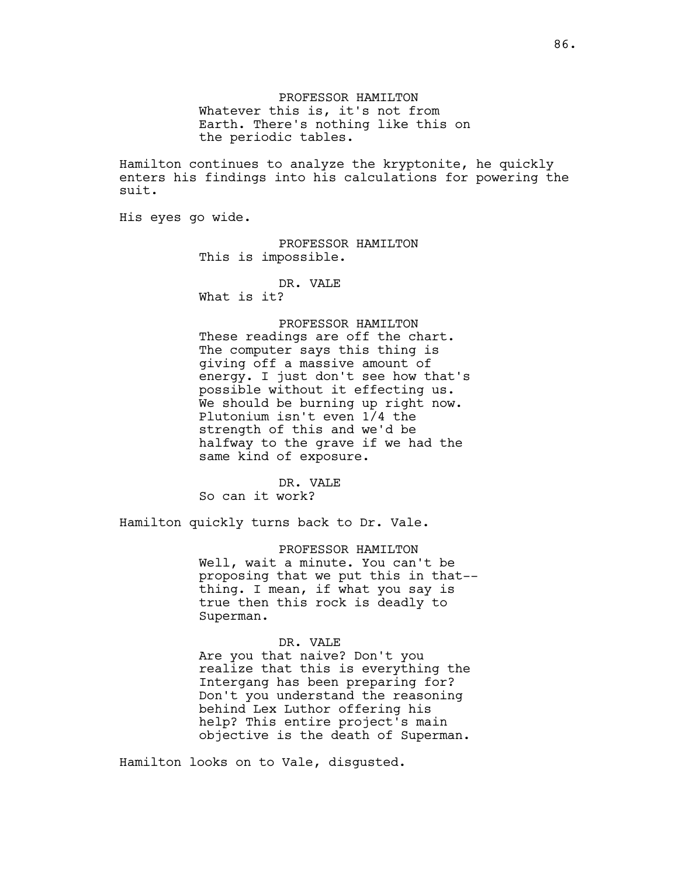PROFESSOR HAMILTON Whatever this is, it's not from Earth. There's nothing like this on the periodic tables.

Hamilton continues to analyze the kryptonite, he quickly enters his findings into his calculations for powering the suit.

His eyes go wide.

PROFESSOR HAMILTON This is impossible.

DR. VALE

What is it?

# PROFESSOR HAMILTON

These readings are off the chart. The computer says this thing is giving off a massive amount of energy. I just don't see how that's possible without it effecting us. We should be burning up right now. Plutonium isn't even 1/4 the strength of this and we'd be halfway to the grave if we had the same kind of exposure.

DR. VALE So can it work?

Hamilton quickly turns back to Dr. Vale.

PROFESSOR HAMILTON Well, wait a minute. You can't be proposing that we put this in that- thing. I mean, if what you say is true then this rock is deadly to Superman.

## DR. VALE

Are you that naive? Don't you realize that this is everything the Intergang has been preparing for? Don't you understand the reasoning behind Lex Luthor offering his help? This entire project's main objective is the death of Superman.

Hamilton looks on to Vale, disgusted.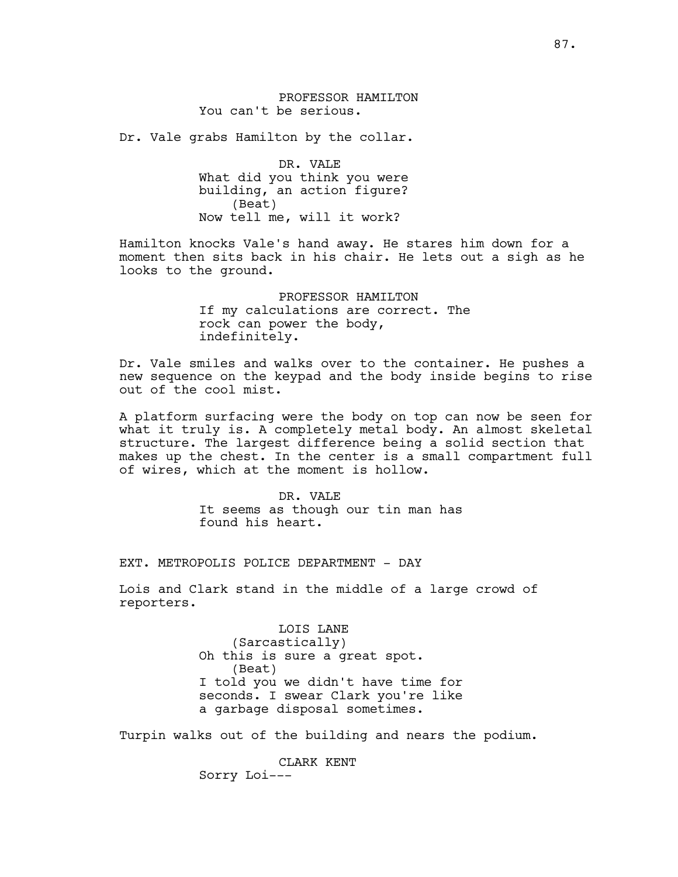PROFESSOR HAMILTON You can't be serious.

Dr. Vale grabs Hamilton by the collar.

DR. VALE What did you think you were building, an action figure? (Beat) Now tell me, will it work?

Hamilton knocks Vale's hand away. He stares him down for a moment then sits back in his chair. He lets out a sigh as he looks to the ground.

> PROFESSOR HAMILTON If my calculations are correct. The rock can power the body, indefinitely.

Dr. Vale smiles and walks over to the container. He pushes a new sequence on the keypad and the body inside begins to rise out of the cool mist.

A platform surfacing were the body on top can now be seen for what it truly is. A completely metal body. An almost skeletal structure. The largest difference being a solid section that makes up the chest. In the center is a small compartment full of wires, which at the moment is hollow.

> DR. VALE It seems as though our tin man has found his heart.

EXT. METROPOLIS POLICE DEPARTMENT - DAY

Lois and Clark stand in the middle of a large crowd of reporters.

> LOIS LANE (Sarcastically) Oh this is sure a great spot. (Beat) I told you we didn't have time for seconds. I swear Clark you're like a garbage disposal sometimes.

Turpin walks out of the building and nears the podium.

CLARK KENT Sorry Loi---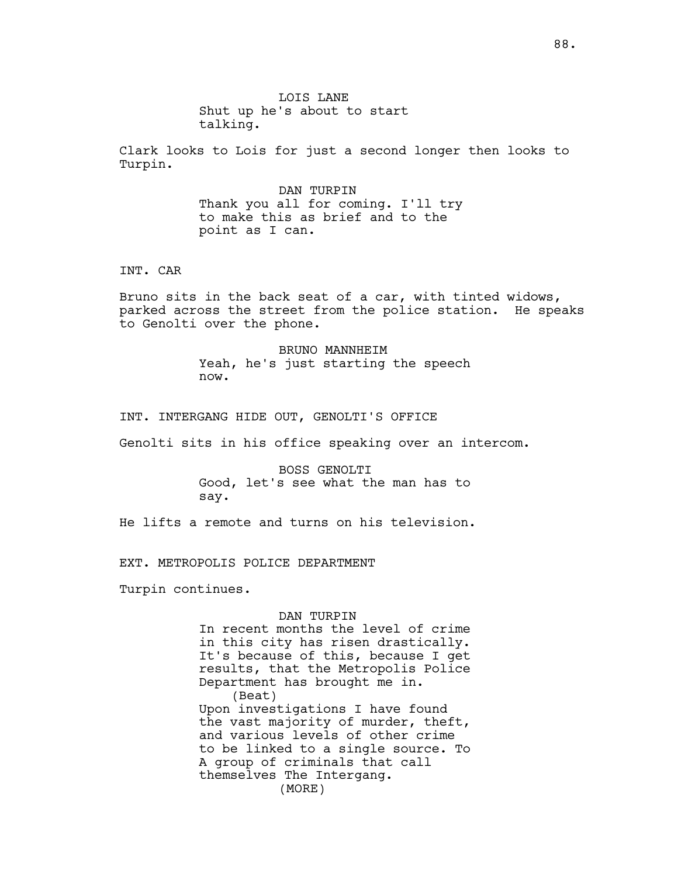LOIS LANE Shut up he's about to start talking.

Clark looks to Lois for just a second longer then looks to Turpin.

> DAN TURPIN Thank you all for coming. I'll try to make this as brief and to the point as I can.

INT. CAR

Bruno sits in the back seat of a car, with tinted widows, parked across the street from the police station. He speaks to Genolti over the phone.

> BRUNO MANNHEIM Yeah, he's just starting the speech now.

INT. INTERGANG HIDE OUT, GENOLTI'S OFFICE

Genolti sits in his office speaking over an intercom.

BOSS GENOLTI Good, let's see what the man has to say.

He lifts a remote and turns on his television.

EXT. METROPOLIS POLICE DEPARTMENT

Turpin continues.

## DAN TURPIN

In recent months the level of crime in this city has risen drastically. It's because of this, because I get results, that the Metropolis Police Department has brought me in. (Beat) Upon investigations I have found the vast majority of murder, theft, and various levels of other crime to be linked to a single source. To A group of criminals that call themselves The Intergang. (MORE)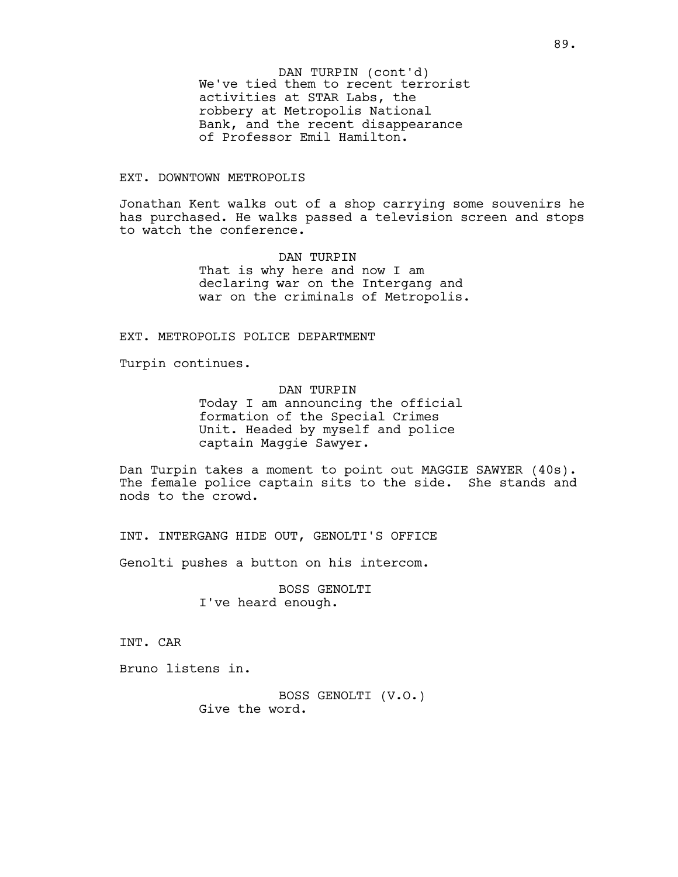We've tied them to recent terrorist activities at STAR Labs, the robbery at Metropolis National Bank, and the recent disappearance of Professor Emil Hamilton. DAN TURPIN (cont'd)

# EXT. DOWNTOWN METROPOLIS

Jonathan Kent walks out of a shop carrying some souvenirs he has purchased. He walks passed a television screen and stops to watch the conference.

> DAN TURPIN That is why here and now I am declaring war on the Intergang and war on the criminals of Metropolis.

EXT. METROPOLIS POLICE DEPARTMENT

Turpin continues.

DAN TURPIN Today I am announcing the official formation of the Special Crimes Unit. Headed by myself and police captain Maggie Sawyer.

Dan Turpin takes a moment to point out MAGGIE SAWYER (40s). The female police captain sits to the side. She stands and nods to the crowd.

INT. INTERGANG HIDE OUT, GENOLTI'S OFFICE

Genolti pushes a button on his intercom.

BOSS GENOLTI I've heard enough.

INT. CAR

Bruno listens in.

BOSS GENOLTI (V.O.) Give the word.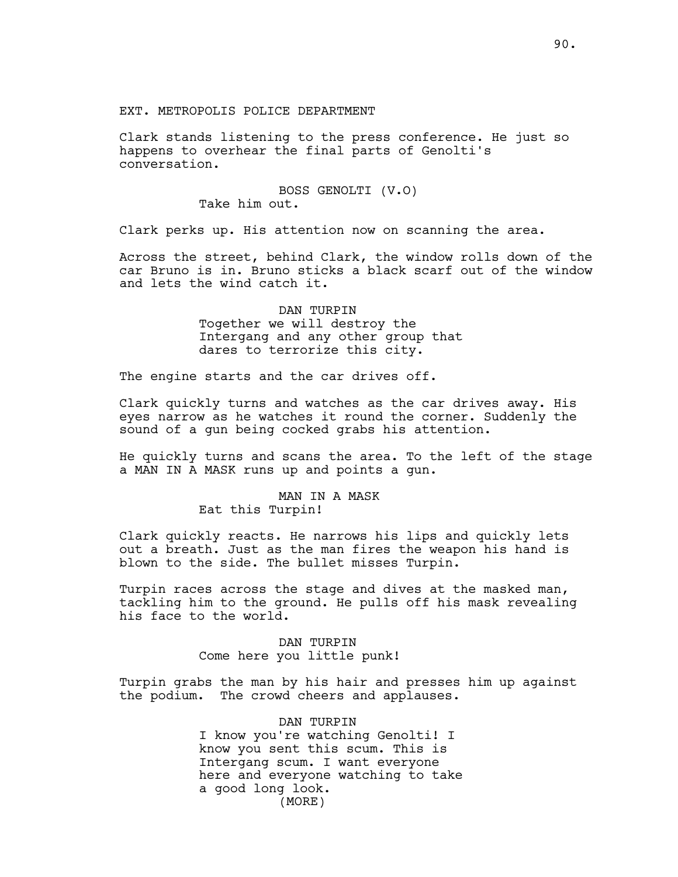Clark stands listening to the press conference. He just so happens to overhear the final parts of Genolti's conversation.

> BOSS GENOLTI (V.O) Take him out.

Clark perks up. His attention now on scanning the area.

Across the street, behind Clark, the window rolls down of the car Bruno is in. Bruno sticks a black scarf out of the window and lets the wind catch it.

> DAN TURPIN Together we will destroy the Intergang and any other group that dares to terrorize this city.

The engine starts and the car drives off.

Clark quickly turns and watches as the car drives away. His eyes narrow as he watches it round the corner. Suddenly the sound of a gun being cocked grabs his attention.

He quickly turns and scans the area. To the left of the stage a MAN IN A MASK runs up and points a gun.

# MAN IN A MASK Eat this Turpin!

Clark quickly reacts. He narrows his lips and quickly lets out a breath. Just as the man fires the weapon his hand is blown to the side. The bullet misses Turpin.

Turpin races across the stage and dives at the masked man, tackling him to the ground. He pulls off his mask revealing his face to the world.

> DAN TURPIN Come here you little punk!

Turpin grabs the man by his hair and presses him up against the podium. The crowd cheers and applauses.

> DAN TURPIN I know you're watching Genolti! I know you sent this scum. This is Intergang scum. I want everyone here and everyone watching to take a good long look. (MORE)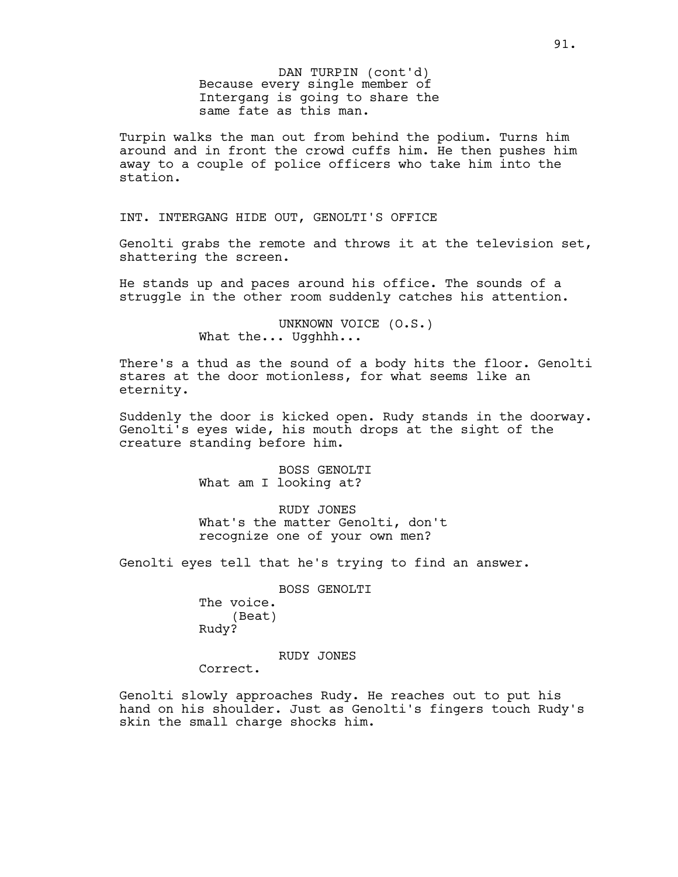Because every single member of Intergang is going to share the same fate as this man. DAN TURPIN (cont'd)

Turpin walks the man out from behind the podium. Turns him around and in front the crowd cuffs him. He then pushes him away to a couple of police officers who take him into the station.

INT. INTERGANG HIDE OUT, GENOLTI'S OFFICE

Genolti grabs the remote and throws it at the television set, shattering the screen.

He stands up and paces around his office. The sounds of a struggle in the other room suddenly catches his attention.

> UNKNOWN VOICE (O.S.) What the... Ugghhh...

There's a thud as the sound of a body hits the floor. Genolti stares at the door motionless, for what seems like an eternity.

Suddenly the door is kicked open. Rudy stands in the doorway. Genolti's eyes wide, his mouth drops at the sight of the creature standing before him.

> BOSS GENOLTI What am I looking at?

RUDY JONES What's the matter Genolti, don't recognize one of your own men?

Genolti eyes tell that he's trying to find an answer.

BOSS GENOLTI The voice. (Beat) Rudy?

RUDY JONES

Correct.

Genolti slowly approaches Rudy. He reaches out to put his hand on his shoulder. Just as Genolti's fingers touch Rudy's skin the small charge shocks him.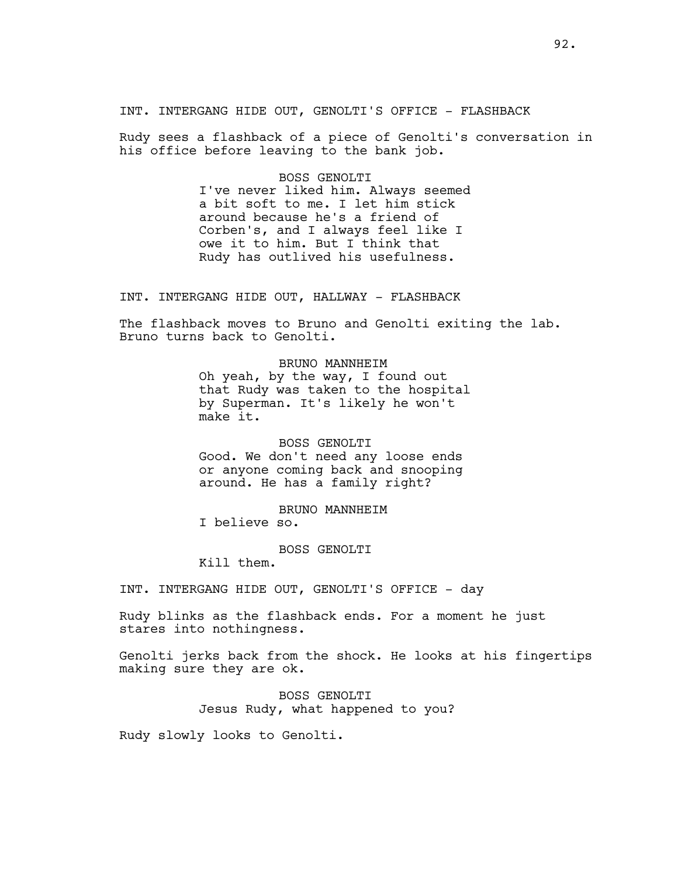INT. INTERGANG HIDE OUT, GENOLTI'S OFFICE - FLASHBACK

Rudy sees a flashback of a piece of Genolti's conversation in his office before leaving to the bank job.

> BOSS GENOLTI I've never liked him. Always seemed a bit soft to me. I let him stick around because he's a friend of Corben's, and I always feel like I owe it to him. But I think that Rudy has outlived his usefulness.

INT. INTERGANG HIDE OUT, HALLWAY - FLASHBACK

The flashback moves to Bruno and Genolti exiting the lab. Bruno turns back to Genolti.

> BRUNO MANNHEIM Oh yeah, by the way, I found out that Rudy was taken to the hospital by Superman. It's likely he won't make it.

BOSS GENOLTI Good. We don't need any loose ends or anyone coming back and snooping around. He has a family right?

BRUNO MANNHEIM I believe so.

BOSS GENOLTI

Kill them.

INT. INTERGANG HIDE OUT, GENOLTI'S OFFICE - day

Rudy blinks as the flashback ends. For a moment he just stares into nothingness.

Genolti jerks back from the shock. He looks at his fingertips making sure they are ok.

> BOSS GENOLTI Jesus Rudy, what happened to you?

Rudy slowly looks to Genolti.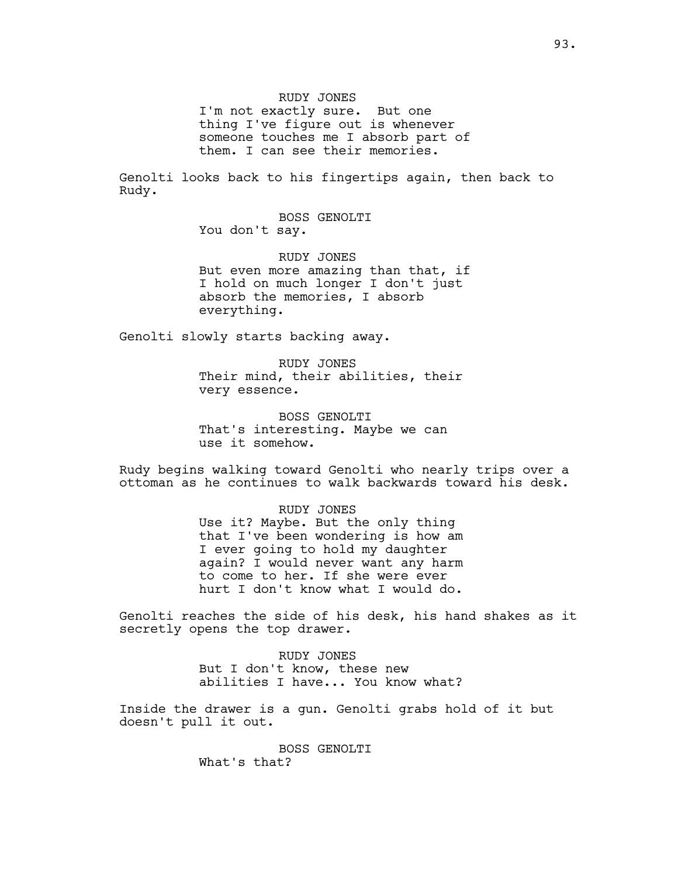RUDY JONES

I'm not exactly sure. But one thing I've figure out is whenever someone touches me I absorb part of them. I can see their memories.

Genolti looks back to his fingertips again, then back to Rudy.

> BOSS GENOLTI You don't say.

RUDY JONES But even more amazing than that, if I hold on much longer I don't just absorb the memories, I absorb everything.

Genolti slowly starts backing away.

RUDY JONES Their mind, their abilities, their very essence.

BOSS GENOLTI That's interesting. Maybe we can use it somehow.

Rudy begins walking toward Genolti who nearly trips over a ottoman as he continues to walk backwards toward his desk.

> RUDY JONES Use it? Maybe. But the only thing that I've been wondering is how am I ever going to hold my daughter again? I would never want any harm to come to her. If she were ever hurt I don't know what I would do.

Genolti reaches the side of his desk, his hand shakes as it secretly opens the top drawer.

> RUDY JONES But I don't know, these new abilities I have... You know what?

Inside the drawer is a gun. Genolti grabs hold of it but doesn't pull it out.

> BOSS GENOLTI What's that?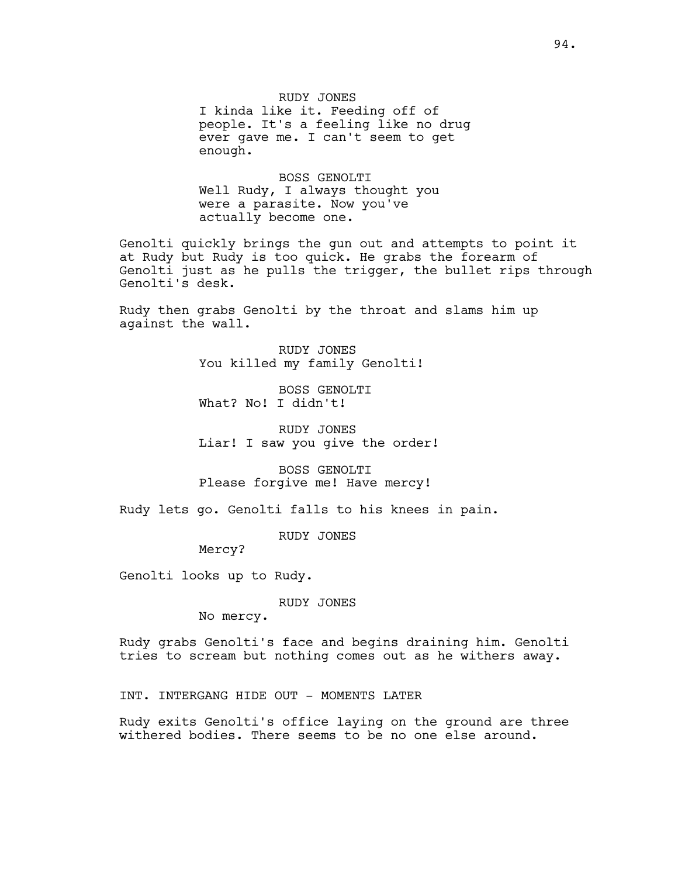RUDY JONES

I kinda like it. Feeding off of people. It's a feeling like no drug ever gave me. I can't seem to get enough.

BOSS GENOLTI Well Rudy, I always thought you were a parasite. Now you've actually become one.

Genolti quickly brings the gun out and attempts to point it at Rudy but Rudy is too quick. He grabs the forearm of Genolti just as he pulls the trigger, the bullet rips through Genolti's desk.

Rudy then grabs Genolti by the throat and slams him up against the wall.

> RUDY JONES You killed my family Genolti!

BOSS GENOLTI What? No! I didn't!

RUDY JONES Liar! I saw you give the order!

BOSS GENOLTI Please forgive me! Have mercy!

Rudy lets go. Genolti falls to his knees in pain.

RUDY JONES

Mercy?

Genolti looks up to Rudy.

RUDY JONES

No mercy.

Rudy grabs Genolti's face and begins draining him. Genolti tries to scream but nothing comes out as he withers away.

INT. INTERGANG HIDE OUT - MOMENTS LATER

Rudy exits Genolti's office laying on the ground are three withered bodies. There seems to be no one else around.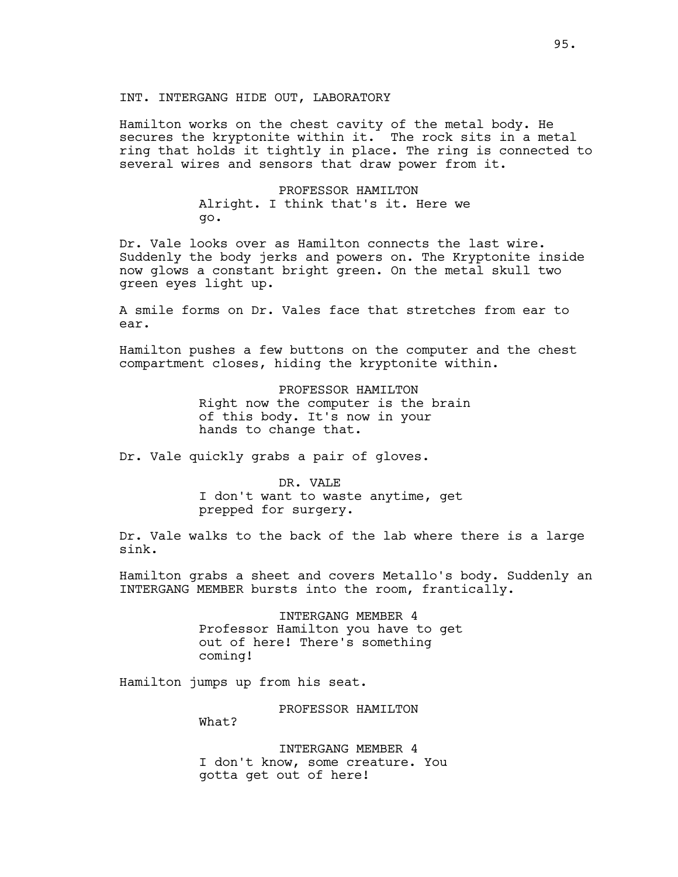## INT. INTERGANG HIDE OUT, LABORATORY

Hamilton works on the chest cavity of the metal body. He secures the kryptonite within it. The rock sits in a metal ring that holds it tightly in place. The ring is connected to several wires and sensors that draw power from it.

> PROFESSOR HAMILTON Alright. I think that's it. Here we go.

Dr. Vale looks over as Hamilton connects the last wire. Suddenly the body jerks and powers on. The Kryptonite inside now glows a constant bright green. On the metal skull two green eyes light up.

A smile forms on Dr. Vales face that stretches from ear to ear.

Hamilton pushes a few buttons on the computer and the chest compartment closes, hiding the kryptonite within.

> PROFESSOR HAMILTON Right now the computer is the brain of this body. It's now in your hands to change that.

Dr. Vale quickly grabs a pair of gloves.

DR. VALE I don't want to waste anytime, get prepped for surgery.

Dr. Vale walks to the back of the lab where there is a large sink.

Hamilton grabs a sheet and covers Metallo's body. Suddenly an INTERGANG MEMBER bursts into the room, frantically.

> INTERGANG MEMBER 4 Professor Hamilton you have to get out of here! There's something coming!

Hamilton jumps up from his seat.

PROFESSOR HAMILTON

What?

INTERGANG MEMBER 4 I don't know, some creature. You gotta get out of here!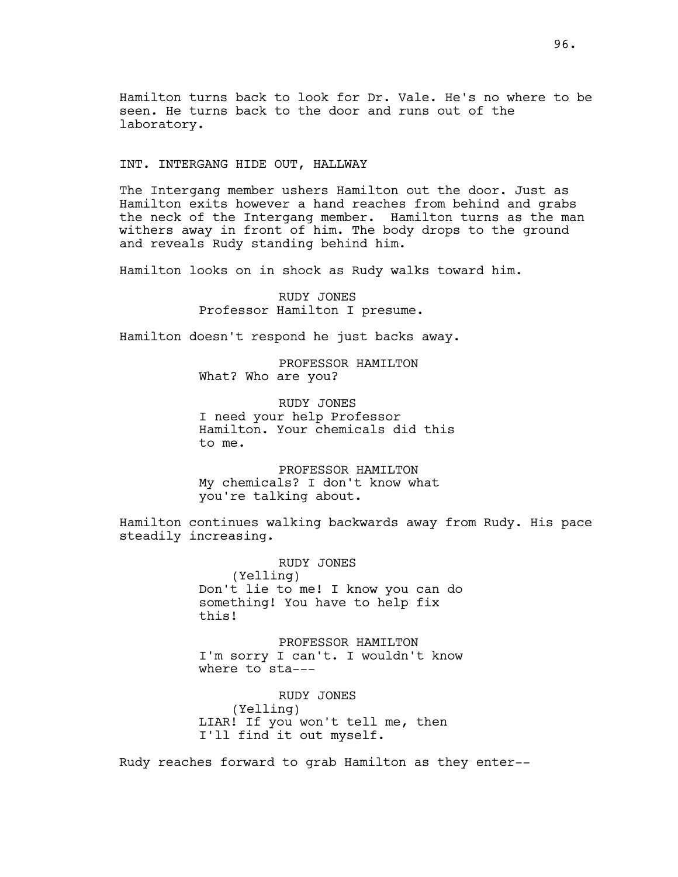Hamilton turns back to look for Dr. Vale. He's no where to be seen. He turns back to the door and runs out of the laboratory.

INT. INTERGANG HIDE OUT, HALLWAY

The Intergang member ushers Hamilton out the door. Just as Hamilton exits however a hand reaches from behind and grabs the neck of the Intergang member. Hamilton turns as the man withers away in front of him. The body drops to the ground and reveals Rudy standing behind him.

Hamilton looks on in shock as Rudy walks toward him.

RUDY JONES Professor Hamilton I presume.

Hamilton doesn't respond he just backs away.

PROFESSOR HAMILTON What? Who are you?

RUDY JONES I need your help Professor Hamilton. Your chemicals did this to me.

PROFESSOR HAMILTON My chemicals? I don't know what you're talking about.

Hamilton continues walking backwards away from Rudy. His pace steadily increasing.

> RUDY JONES (Yelling) Don't lie to me! I know you can do something! You have to help fix this!

> PROFESSOR HAMILTON I'm sorry I can't. I wouldn't know where to sta---

RUDY JONES (Yelling) LIAR! If you won't tell me, then I'll find it out myself.

Rudy reaches forward to grab Hamilton as they enter--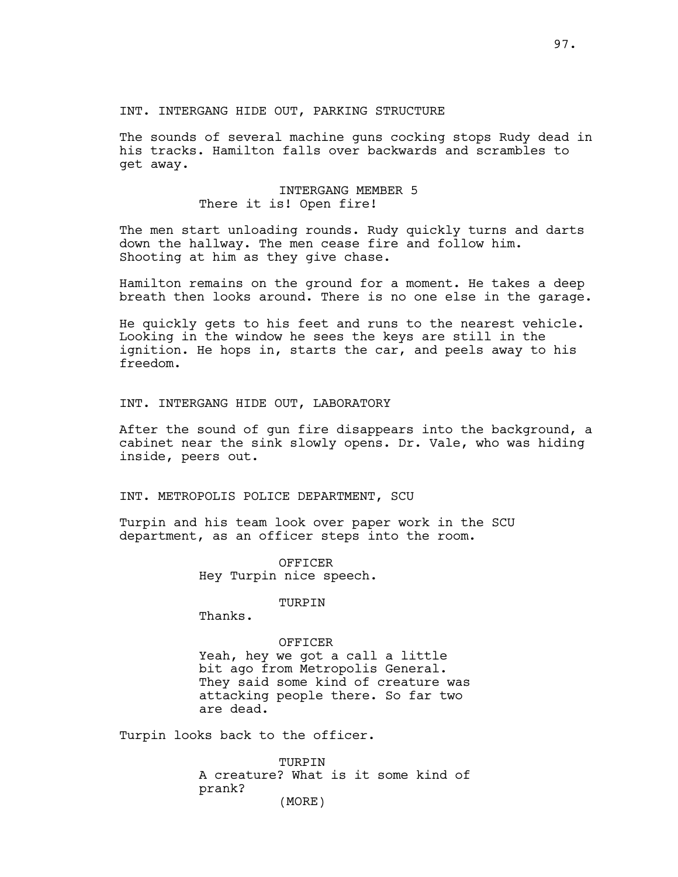#### INT. INTERGANG HIDE OUT, PARKING STRUCTURE

The sounds of several machine guns cocking stops Rudy dead in his tracks. Hamilton falls over backwards and scrambles to get away.

# INTERGANG MEMBER 5 There it is! Open fire!

The men start unloading rounds. Rudy quickly turns and darts down the hallway. The men cease fire and follow him. Shooting at him as they give chase.

Hamilton remains on the ground for a moment. He takes a deep breath then looks around. There is no one else in the garage.

He quickly gets to his feet and runs to the nearest vehicle. Looking in the window he sees the keys are still in the ignition. He hops in, starts the car, and peels away to his freedom.

#### INT. INTERGANG HIDE OUT, LABORATORY

After the sound of gun fire disappears into the background, a cabinet near the sink slowly opens. Dr. Vale, who was hiding inside, peers out.

#### INT. METROPOLIS POLICE DEPARTMENT, SCU

Turpin and his team look over paper work in the SCU department, as an officer steps into the room.

> OFFICER Hey Turpin nice speech.

# TURPIN

Thanks.

## OFFICER

Yeah, hey we got a call a little bit ago from Metropolis General. They said some kind of creature was attacking people there. So far two are dead.

Turpin looks back to the officer.

TURPIN A creature? What is it some kind of prank? (MORE)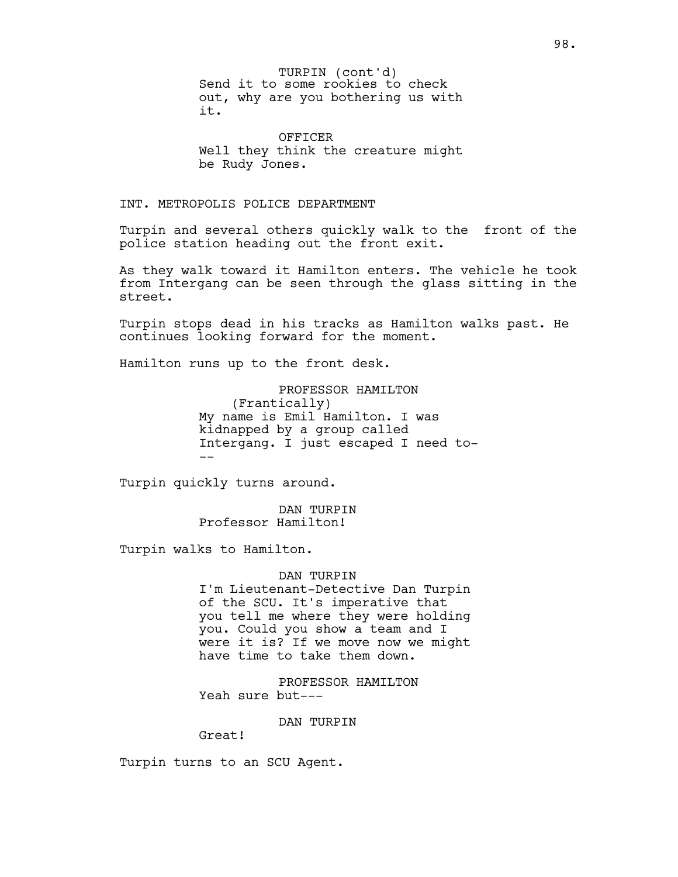Send it to some rookies to check out, why are you bothering us with it. TURPIN (cont'd)

OFFICER Well they think the creature might be Rudy Jones.

# INT. METROPOLIS POLICE DEPARTMENT

Turpin and several others quickly walk to the front of the police station heading out the front exit.

As they walk toward it Hamilton enters. The vehicle he took from Intergang can be seen through the glass sitting in the street.

Turpin stops dead in his tracks as Hamilton walks past. He continues looking forward for the moment.

Hamilton runs up to the front desk.

PROFESSOR HAMILTON (Frantically) My name is Emil Hamilton. I was kidnapped by a group called Intergang. I just escaped I need to- --

Turpin quickly turns around.

DAN TURPIN Professor Hamilton!

Turpin walks to Hamilton.

DAN TURPIN I'm Lieutenant-Detective Dan Turpin of the SCU. It's imperative that you tell me where they were holding you. Could you show a team and I were it is? If we move now we might have time to take them down.

PROFESSOR HAMILTON Yeah sure but---

DAN TURPIN

Great!

Turpin turns to an SCU Agent.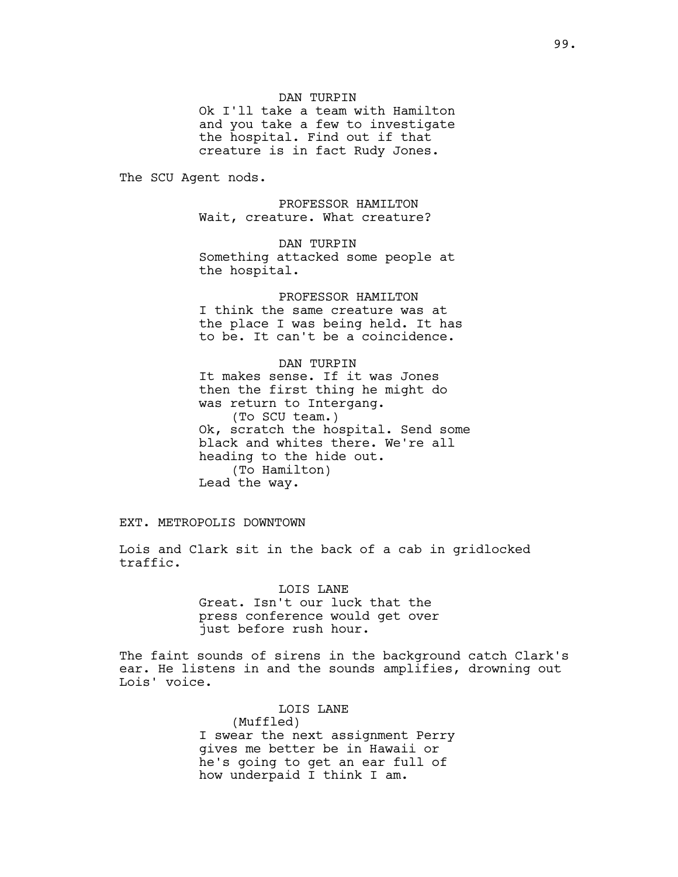#### DAN TURPIN

Ok I'll take a team with Hamilton and you take a few to investigate the hospital. Find out if that creature is in fact Rudy Jones.

The SCU Agent nods.

PROFESSOR HAMILTON Wait, creature. What creature?

DAN TURPIN Something attacked some people at the hospital.

PROFESSOR HAMILTON I think the same creature was at the place I was being held. It has to be. It can't be a coincidence.

DAN TURPIN It makes sense. If it was Jones then the first thing he might do was return to Intergang. (To SCU team.) Ok, scratch the hospital. Send some black and whites there. We're all heading to the hide out. (To Hamilton) Lead the way.

EXT. METROPOLIS DOWNTOWN

Lois and Clark sit in the back of a cab in gridlocked traffic.

> LOIS LANE Great. Isn't our luck that the press conference would get over just before rush hour.

The faint sounds of sirens in the background catch Clark's ear. He listens in and the sounds amplifies, drowning out Lois' voice.

LOIS LANE

(Muffled) I swear the next assignment Perry gives me better be in Hawaii or he's going to get an ear full of how underpaid I think I am.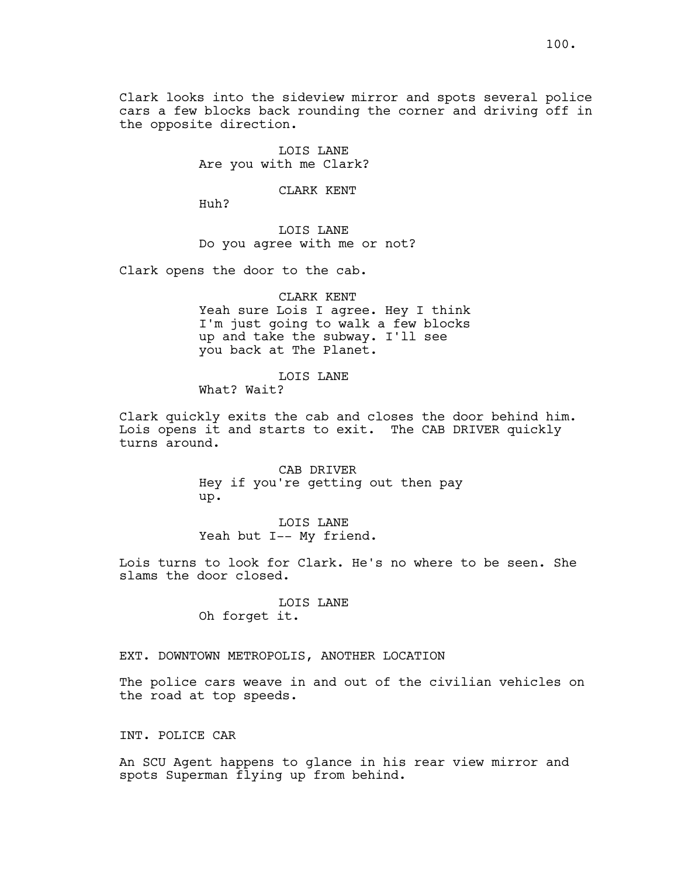Clark looks into the sideview mirror and spots several police cars a few blocks back rounding the corner and driving off in the opposite direction.

> LOIS LANE Are you with me Clark?

> > CLARK KENT

Huh?

LOIS LANE Do you agree with me or not?

Clark opens the door to the cab.

#### CLARK KENT

Yeah sure Lois I agree. Hey I think I'm just going to walk a few blocks up and take the subway. I'll see you back at The Planet.

#### LOIS LANE

What? Wait?

Clark quickly exits the cab and closes the door behind him. Lois opens it and starts to exit. The CAB DRIVER quickly turns around.

> CAB DRIVER Hey if you're getting out then pay up.

LOIS LANE Yeah but I-- My friend.

Lois turns to look for Clark. He's no where to be seen. She slams the door closed.

# LOIS LANE

Oh forget it.

## EXT. DOWNTOWN METROPOLIS, ANOTHER LOCATION

The police cars weave in and out of the civilian vehicles on the road at top speeds.

## INT. POLICE CAR

An SCU Agent happens to glance in his rear view mirror and spots Superman flying up from behind.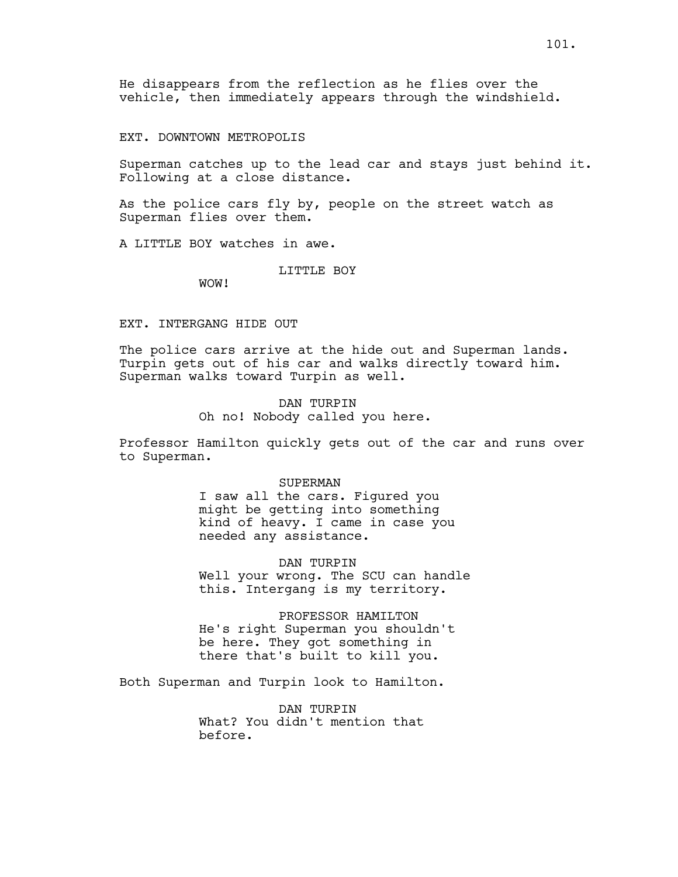EXT. DOWNTOWN METROPOLIS

Superman catches up to the lead car and stays just behind it. Following at a close distance.

As the police cars fly by, people on the street watch as Superman flies over them.

A LITTLE BOY watches in awe.

LITTLE BOY

WOW!

## EXT. INTERGANG HIDE OUT

The police cars arrive at the hide out and Superman lands. Turpin gets out of his car and walks directly toward him. Superman walks toward Turpin as well.

> DAN TURPIN Oh no! Nobody called you here.

Professor Hamilton quickly gets out of the car and runs over to Superman.

#### SUPERMAN

I saw all the cars. Figured you might be getting into something kind of heavy. I came in case you needed any assistance.

DAN TURPIN Well your wrong. The SCU can handle this. Intergang is my territory.

PROFESSOR HAMILTON He's right Superman you shouldn't be here. They got something in there that's built to kill you.

Both Superman and Turpin look to Hamilton.

DAN TURPIN What? You didn't mention that before.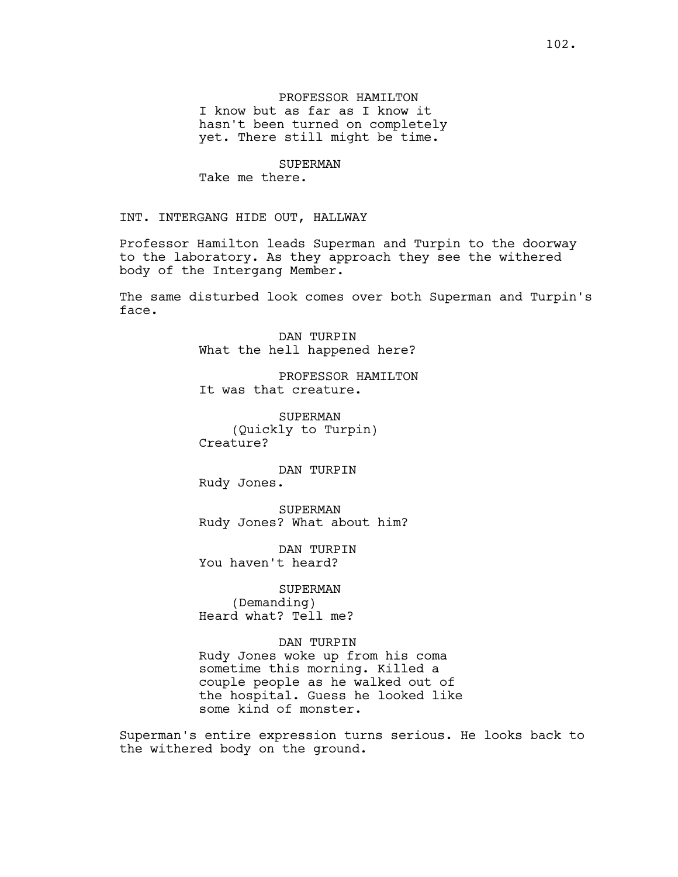PROFESSOR HAMILTON I know but as far as I know it hasn't been turned on completely yet. There still might be time.

SUPERMAN Take me there.

INT. INTERGANG HIDE OUT, HALLWAY

Professor Hamilton leads Superman and Turpin to the doorway to the laboratory. As they approach they see the withered body of the Intergang Member.

The same disturbed look comes over both Superman and Turpin's face.

> DAN TURPIN What the hell happened here?

PROFESSOR HAMILTON It was that creature.

SUPERMAN (Quickly to Turpin) Creature?

DAN TURPIN Rudy Jones.

SUPERMAN Rudy Jones? What about him?

DAN TURPIN You haven't heard?

SUPERMAN (Demanding) Heard what? Tell me?

DAN TURPIN Rudy Jones woke up from his coma sometime this morning. Killed a couple people as he walked out of the hospital. Guess he looked like some kind of monster.

Superman's entire expression turns serious. He looks back to the withered body on the ground.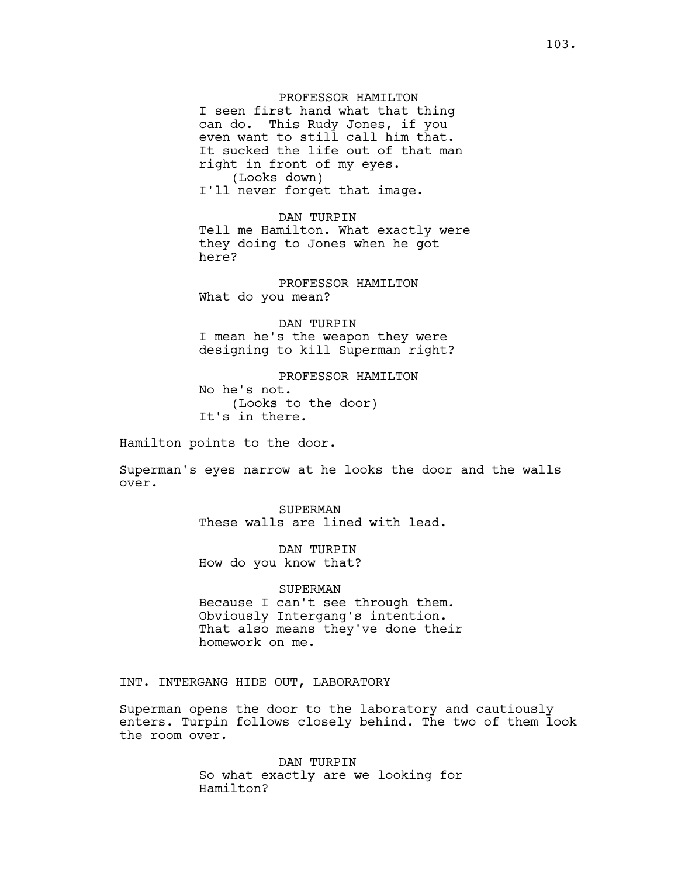PROFESSOR HAMILTON I seen first hand what that thing can do. This Rudy Jones, if you even want to still call him that. It sucked the life out of that man right in front of my eyes. (Looks down) I'll never forget that image.

DAN TURPIN Tell me Hamilton. What exactly were they doing to Jones when he got here?

PROFESSOR HAMILTON What do you mean?

DAN TURPIN I mean he's the weapon they were designing to kill Superman right?

PROFESSOR HAMILTON No he's not. (Looks to the door) It's in there.

Hamilton points to the door.

Superman's eyes narrow at he looks the door and the walls over.

> SUPERMAN These walls are lined with lead.

DAN TURPIN How do you know that?

#### SUPERMAN

Because I can't see through them. Obviously Intergang's intention. That also means they've done their homework on me.

INT. INTERGANG HIDE OUT, LABORATORY

Superman opens the door to the laboratory and cautiously enters. Turpin follows closely behind. The two of them look the room over.

> DAN TURPIN So what exactly are we looking for Hamilton?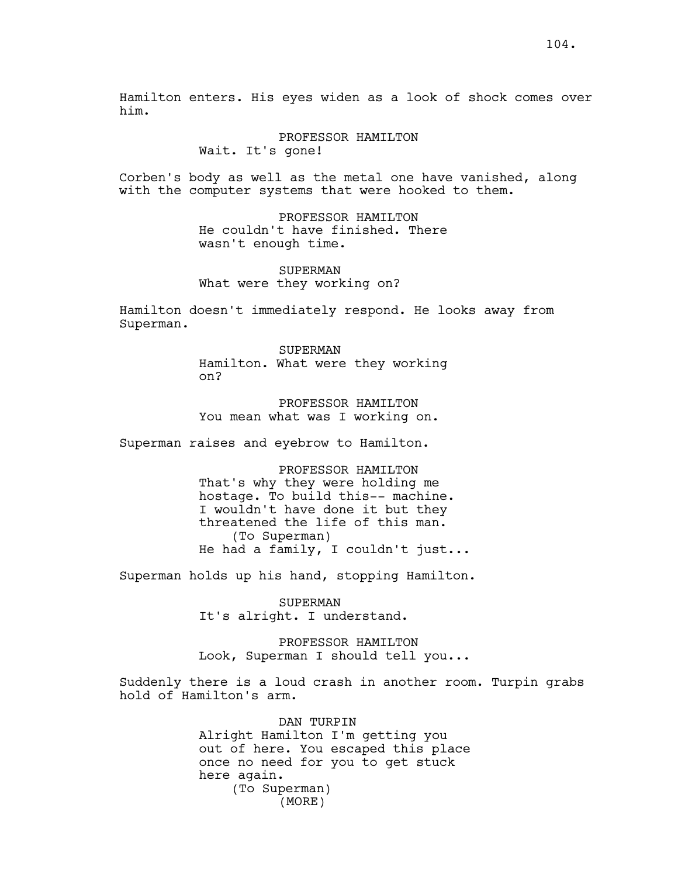Hamilton enters. His eyes widen as a look of shock comes over him.

#### PROFESSOR HAMILTON

Wait. It's gone!

Corben's body as well as the metal one have vanished, along with the computer systems that were hooked to them.

> PROFESSOR HAMILTON He couldn't have finished. There wasn't enough time.

SUPERMAN What were they working on?

Hamilton doesn't immediately respond. He looks away from Superman.

> SUPERMAN Hamilton. What were they working on?

PROFESSOR HAMILTON You mean what was I working on.

Superman raises and eyebrow to Hamilton.

PROFESSOR HAMILTON That's why they were holding me hostage. To build this-- machine. I wouldn't have done it but they threatened the life of this man. (To Superman) He had a family, I couldn't just...

Superman holds up his hand, stopping Hamilton.

SUPERMAN It's alright. I understand.

PROFESSOR HAMILTON Look, Superman I should tell you...

Suddenly there is a loud crash in another room. Turpin grabs hold of Hamilton's arm.

> DAN TURPIN Alright Hamilton I'm getting you out of here. You escaped this place once no need for you to get stuck here again. (To Superman) (MORE)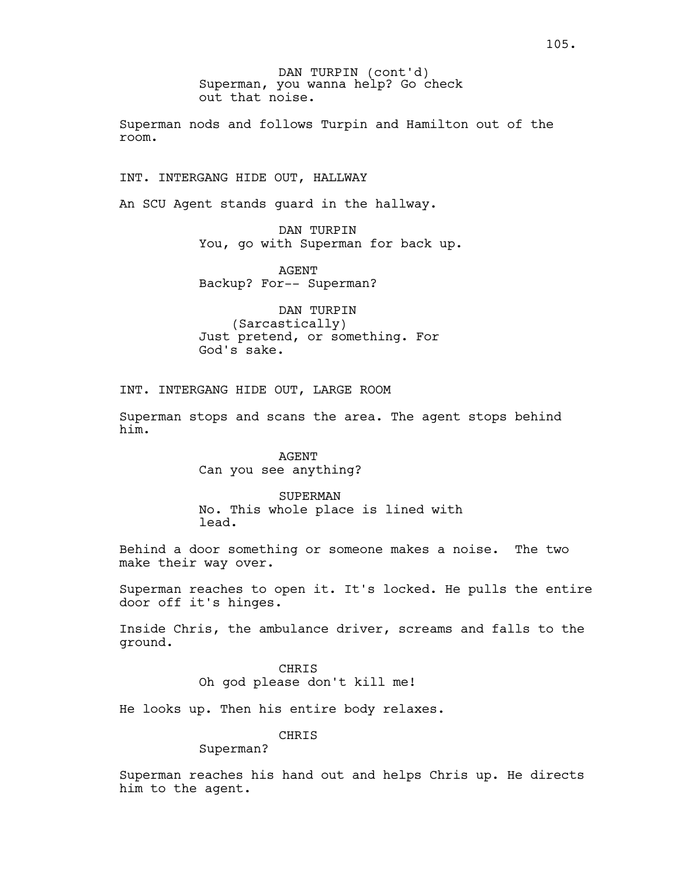Superman, you wanna help? Go check out that noise. DAN TURPIN (cont'd)

Superman nods and follows Turpin and Hamilton out of the room.

INT. INTERGANG HIDE OUT, HALLWAY

An SCU Agent stands guard in the hallway.

DAN TURPIN You, go with Superman for back up.

AGENT Backup? For-- Superman?

DAN TURPIN (Sarcastically) Just pretend, or something. For God's sake.

INT. INTERGANG HIDE OUT, LARGE ROOM

Superman stops and scans the area. The agent stops behind him.

> AGENT Can you see anything?

SUPERMAN No. This whole place is lined with lead.

Behind a door something or someone makes a noise. The two make their way over.

Superman reaches to open it. It's locked. He pulls the entire door off it's hinges.

Inside Chris, the ambulance driver, screams and falls to the ground.

> CHRIS Oh god please don't kill me!

He looks up. Then his entire body relaxes.

CHRIS

Superman?

Superman reaches his hand out and helps Chris up. He directs him to the agent.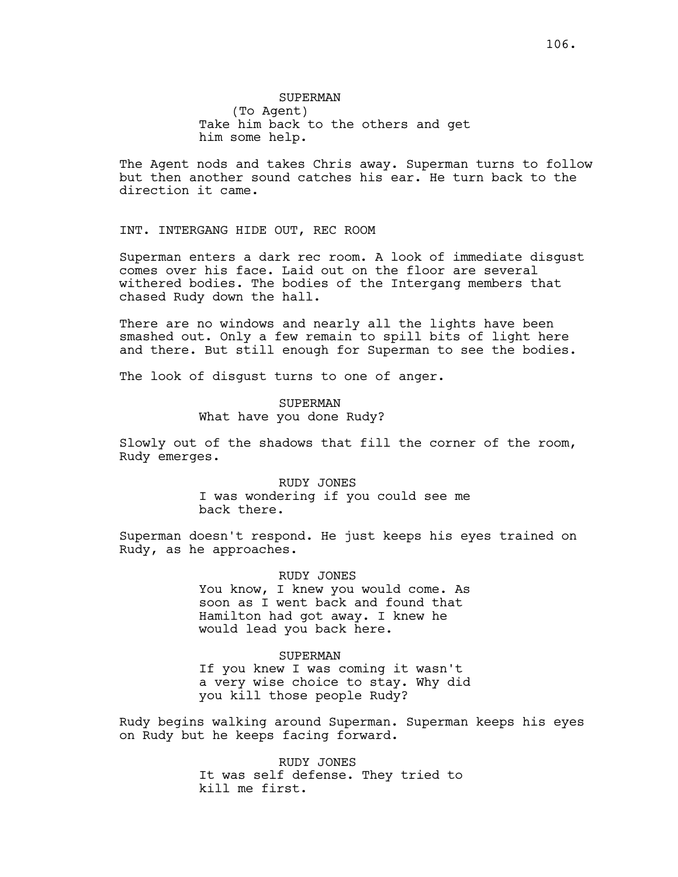# SUPERMAN (To Agent) Take him back to the others and get him some help.

The Agent nods and takes Chris away. Superman turns to follow but then another sound catches his ear. He turn back to the direction it came.

INT. INTERGANG HIDE OUT, REC ROOM

Superman enters a dark rec room. A look of immediate disgust comes over his face. Laid out on the floor are several withered bodies. The bodies of the Intergang members that chased Rudy down the hall.

There are no windows and nearly all the lights have been smashed out. Only a few remain to spill bits of light here and there. But still enough for Superman to see the bodies.

The look of disgust turns to one of anger.

SUPERMAN What have you done Rudy?

Slowly out of the shadows that fill the corner of the room, Rudy emerges.

> RUDY JONES I was wondering if you could see me back there.

Superman doesn't respond. He just keeps his eyes trained on Rudy, as he approaches.

> RUDY JONES You know, I knew you would come. As soon as I went back and found that Hamilton had got away. I knew he would lead you back here.

> > SUPERMAN

If you knew I was coming it wasn't a very wise choice to stay. Why did you kill those people Rudy?

Rudy begins walking around Superman. Superman keeps his eyes on Rudy but he keeps facing forward.

> RUDY JONES It was self defense. They tried to kill me first.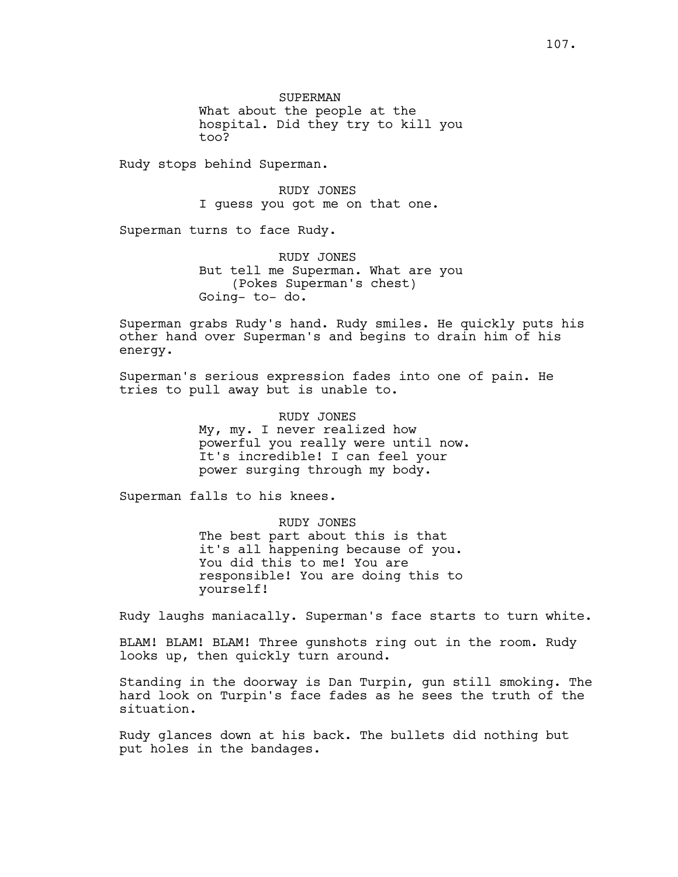SUPERMAN What about the people at the hospital. Did they try to kill you too?

Rudy stops behind Superman.

RUDY JONES I guess you got me on that one.

Superman turns to face Rudy.

RUDY JONES But tell me Superman. What are you (Pokes Superman's chest) Going- to- do.

Superman grabs Rudy's hand. Rudy smiles. He quickly puts his other hand over Superman's and begins to drain him of his energy.

Superman's serious expression fades into one of pain. He tries to pull away but is unable to.

> RUDY JONES My, my. I never realized how powerful you really were until now. It's incredible! I can feel your power surging through my body.

Superman falls to his knees.

RUDY JONES The best part about this is that it's all happening because of you. You did this to me! You are responsible! You are doing this to yourself!

Rudy laughs maniacally. Superman's face starts to turn white.

BLAM! BLAM! BLAM! Three gunshots ring out in the room. Rudy looks up, then quickly turn around.

Standing in the doorway is Dan Turpin, gun still smoking. The hard look on Turpin's face fades as he sees the truth of the situation.

Rudy glances down at his back. The bullets did nothing but put holes in the bandages.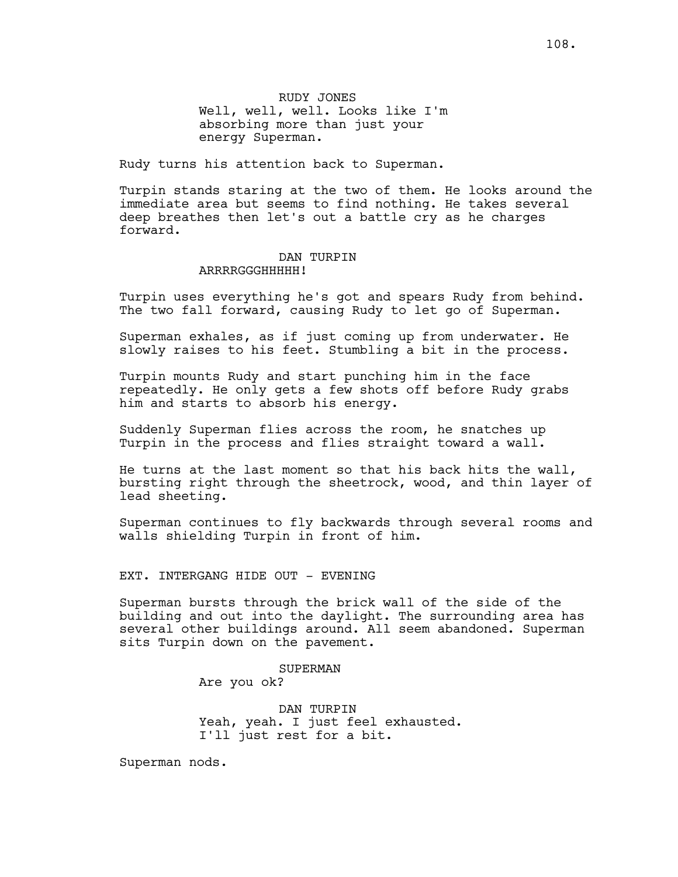RUDY JONES Well, well, well. Looks like I'm absorbing more than just your energy Superman.

Rudy turns his attention back to Superman.

Turpin stands staring at the two of them. He looks around the immediate area but seems to find nothing. He takes several deep breathes then let's out a battle cry as he charges forward.

### DAN TURPIN ARRRRGGGHHHHH!

Turpin uses everything he's got and spears Rudy from behind. The two fall forward, causing Rudy to let go of Superman.

Superman exhales, as if just coming up from underwater. He slowly raises to his feet. Stumbling a bit in the process.

Turpin mounts Rudy and start punching him in the face repeatedly. He only gets a few shots off before Rudy grabs him and starts to absorb his energy.

Suddenly Superman flies across the room, he snatches up Turpin in the process and flies straight toward a wall.

He turns at the last moment so that his back hits the wall, bursting right through the sheetrock, wood, and thin layer of lead sheeting.

Superman continues to fly backwards through several rooms and walls shielding Turpin in front of him.

EXT. INTERGANG HIDE OUT - EVENING

Superman bursts through the brick wall of the side of the building and out into the daylight. The surrounding area has several other buildings around. All seem abandoned. Superman sits Turpin down on the pavement.

> SUPERMAN Are you ok?

DAN TURPIN Yeah, yeah. I just feel exhausted. I'll just rest for a bit.

Superman nods.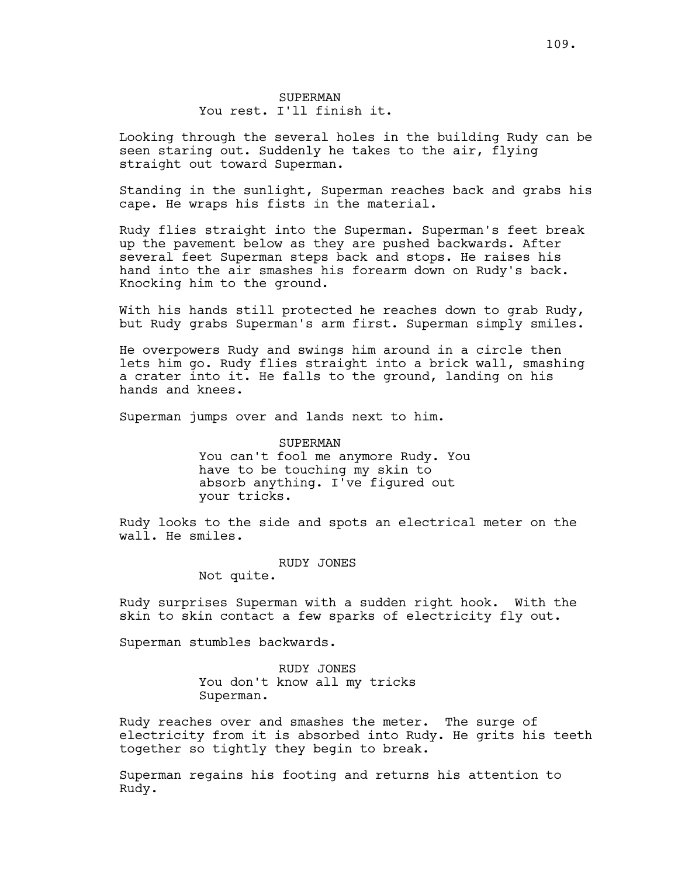Looking through the several holes in the building Rudy can be seen staring out. Suddenly he takes to the air, flying straight out toward Superman.

Standing in the sunlight, Superman reaches back and grabs his cape. He wraps his fists in the material.

Rudy flies straight into the Superman. Superman's feet break up the pavement below as they are pushed backwards. After several feet Superman steps back and stops. He raises his hand into the air smashes his forearm down on Rudy's back. Knocking him to the ground.

With his hands still protected he reaches down to grab Rudy, but Rudy grabs Superman's arm first. Superman simply smiles.

He overpowers Rudy and swings him around in a circle then lets him go. Rudy flies straight into a brick wall, smashing a crater into it. He falls to the ground, landing on his hands and knees.

Superman jumps over and lands next to him.

SUPERMAN You can't fool me anymore Rudy. You have to be touching my skin to absorb anything. I've figured out your tricks.

Rudy looks to the side and spots an electrical meter on the wall. He smiles.

RUDY JONES

Not quite.

Rudy surprises Superman with a sudden right hook. With the skin to skin contact a few sparks of electricity fly out.

Superman stumbles backwards.

RUDY JONES You don't know all my tricks Superman.

Rudy reaches over and smashes the meter. The surge of electricity from it is absorbed into Rudy. He grits his teeth together so tightly they begin to break.

Superman regains his footing and returns his attention to Rudy.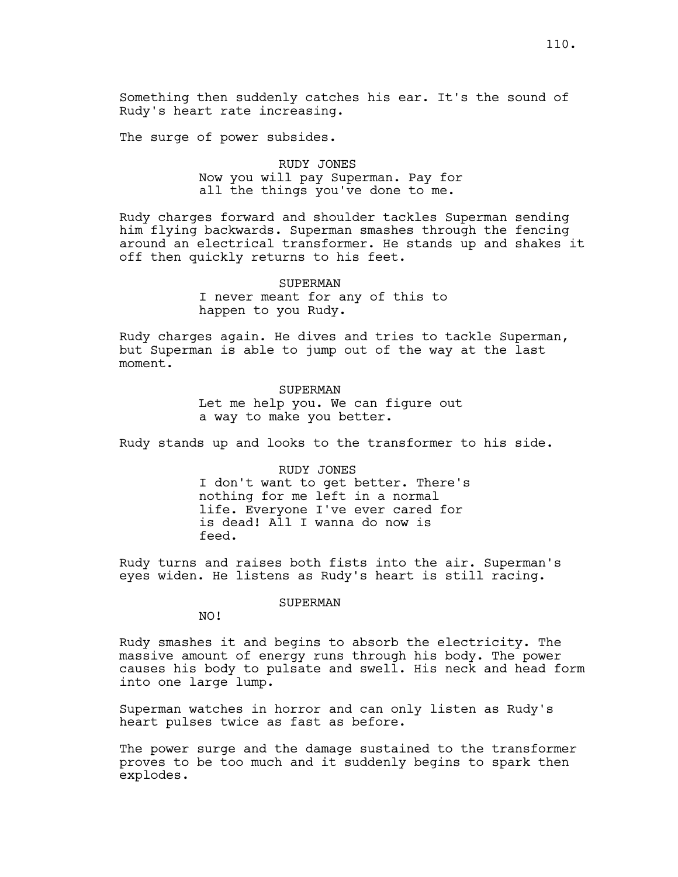Something then suddenly catches his ear. It's the sound of Rudy's heart rate increasing.

The surge of power subsides.

# RUDY JONES Now you will pay Superman. Pay for all the things you've done to me.

Rudy charges forward and shoulder tackles Superman sending him flying backwards. Superman smashes through the fencing around an electrical transformer. He stands up and shakes it off then quickly returns to his feet.

> SUPERMAN I never meant for any of this to happen to you Rudy.

Rudy charges again. He dives and tries to tackle Superman, but Superman is able to jump out of the way at the last moment.

> **SUPERMAN** Let me help you. We can figure out a way to make you better.

Rudy stands up and looks to the transformer to his side.

RUDY JONES I don't want to get better. There's nothing for me left in a normal life. Everyone I've ever cared for is dead! All I wanna do now is feed.

Rudy turns and raises both fists into the air. Superman's eyes widen. He listens as Rudy's heart is still racing.

SUPERMAN

NO!

Rudy smashes it and begins to absorb the electricity. The massive amount of energy runs through his body. The power causes his body to pulsate and swell. His neck and head form into one large lump.

Superman watches in horror and can only listen as Rudy's heart pulses twice as fast as before.

The power surge and the damage sustained to the transformer proves to be too much and it suddenly begins to spark then explodes.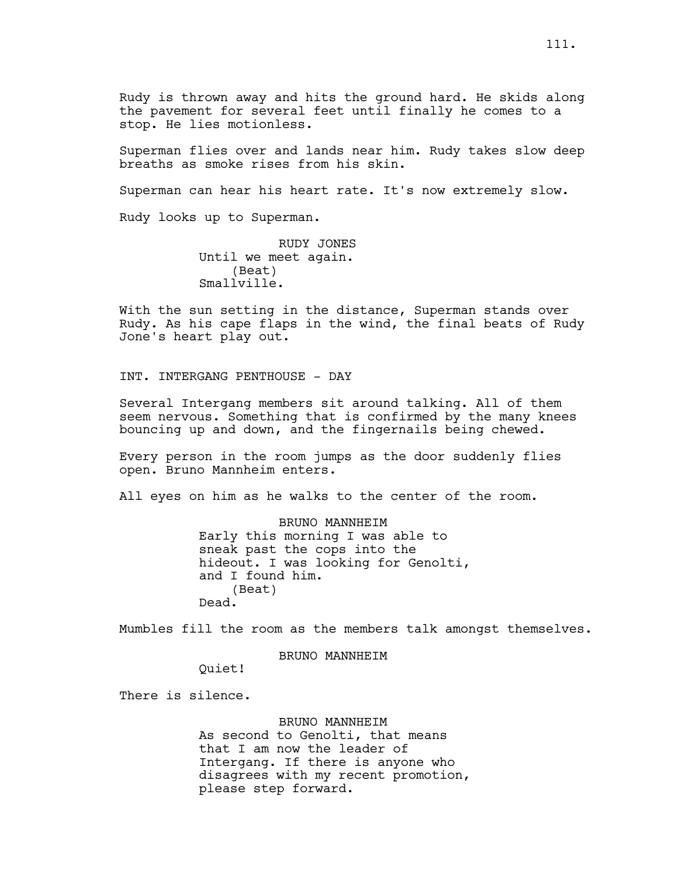Rudy is thrown away and hits the ground hard. He skids along the pavement for several feet until finally he comes to a stop. He lies motionless.

Superman flies over and lands near him. Rudy takes slow deep breaths as smoke rises from his skin.

Superman can hear his heart rate. It's now extremely slow.

Rudy looks up to Superman.

RUDY JONES Until we meet again. (Beat) Smallville.

With the sun setting in the distance, Superman stands over Rudy. As his cape flaps in the wind, the final beats of Rudy Jone's heart play out.

INT. INTERGANG PENTHOUSE - DAY

Several Intergang members sit around talking. All of them seem nervous. Something that is confirmed by the many knees bouncing up and down, and the fingernails being chewed.

Every person in the room jumps as the door suddenly flies open. Bruno Mannheim enters.

All eyes on him as he walks to the center of the room.

BRUNO MANNHEIM Early this morning I was able to sneak past the cops into the hideout. I was looking for Genolti, and I found him. (Beat) Dead.

Mumbles fill the room as the members talk amongst themselves.

BRUNO MANNHEIM

Quiet!

There is silence.

BRUNO MANNHEIM

As second to Genolti, that means that I am now the leader of Intergang. If there is anyone who disagrees with my recent promotion, please step forward.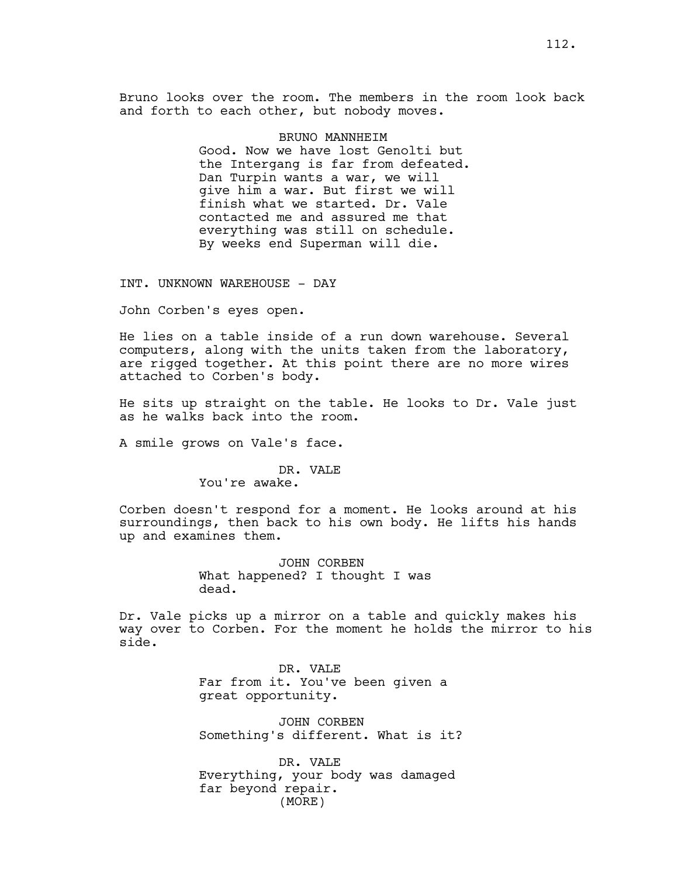Bruno looks over the room. The members in the room look back and forth to each other, but nobody moves.

> BRUNO MANNHEIM Good. Now we have lost Genolti but the Intergang is far from defeated. Dan Turpin wants a war, we will give him a war. But first we will finish what we started. Dr. Vale contacted me and assured me that everything was still on schedule. By weeks end Superman will die.

INT. UNKNOWN WAREHOUSE - DAY

John Corben's eyes open.

He lies on a table inside of a run down warehouse. Several computers, along with the units taken from the laboratory, are rigged together. At this point there are no more wires attached to Corben's body.

He sits up straight on the table. He looks to Dr. Vale just as he walks back into the room.

A smile grows on Vale's face.

### DR. VALE

You're awake.

Corben doesn't respond for a moment. He looks around at his surroundings, then back to his own body. He lifts his hands up and examines them.

> JOHN CORBEN What happened? I thought I was dead.

Dr. Vale picks up a mirror on a table and quickly makes his way over to Corben. For the moment he holds the mirror to his side.

> DR. VALE Far from it. You've been given a great opportunity.

JOHN CORBEN Something's different. What is it?

DR. VALE Everything, your body was damaged far beyond repair. (MORE)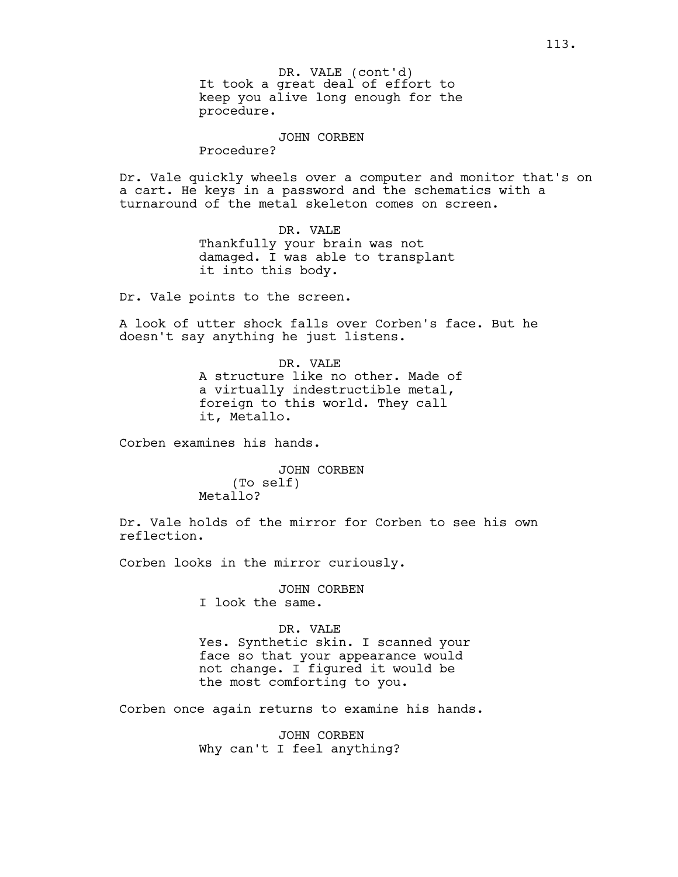It took a great deal of effort to keep you alive long enough for the procedure. DR. VALE (cont'd)

JOHN CORBEN

Procedure?

Dr. Vale quickly wheels over a computer and monitor that's on a cart. He keys in a password and the schematics with a turnaround of the metal skeleton comes on screen.

> DR. VALE Thankfully your brain was not damaged. I was able to transplant it into this body.

Dr. Vale points to the screen.

A look of utter shock falls over Corben's face. But he doesn't say anything he just listens.

> DR. VALE A structure like no other. Made of a virtually indestructible metal, foreign to this world. They call it, Metallo.

Corben examines his hands.

JOHN CORBEN (To self) Metallo?

Dr. Vale holds of the mirror for Corben to see his own reflection.

Corben looks in the mirror curiously.

JOHN CORBEN I look the same.

DR. VALE Yes. Synthetic skin. I scanned your face so that your appearance would not change. I figured it would be the most comforting to you.

Corben once again returns to examine his hands.

JOHN CORBEN Why can't I feel anything?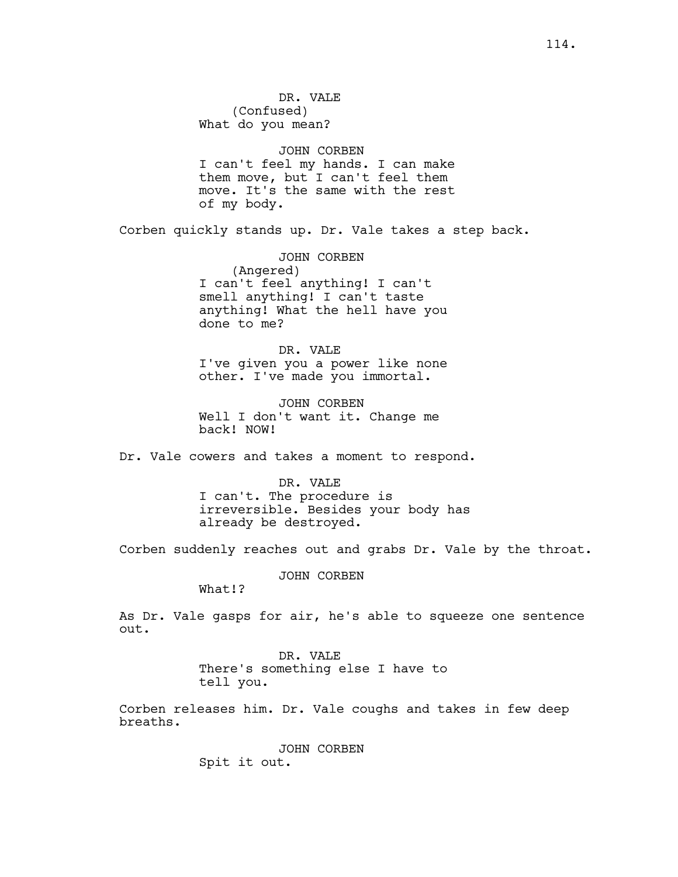DR. VALE (Confused) What do you mean?

#### JOHN CORBEN

I can't feel my hands. I can make them move, but I can't feel them move. It's the same with the rest of my body.

Corben quickly stands up. Dr. Vale takes a step back.

JOHN CORBEN (Angered) I can't feel anything! I can't smell anything! I can't taste anything! What the hell have you done to me?

DR. VALE I've given you a power like none other. I've made you immortal.

JOHN CORBEN Well I don't want it. Change me back! NOW!

Dr. Vale cowers and takes a moment to respond.

DR. VALE I can't. The procedure is irreversible. Besides your body has already be destroyed.

Corben suddenly reaches out and grabs Dr. Vale by the throat.

JOHN CORBEN

What!?

As Dr. Vale gasps for air, he's able to squeeze one sentence out.

> DR. VALE There's something else I have to tell you.

Corben releases him. Dr. Vale coughs and takes in few deep breaths.

> JOHN CORBEN Spit it out.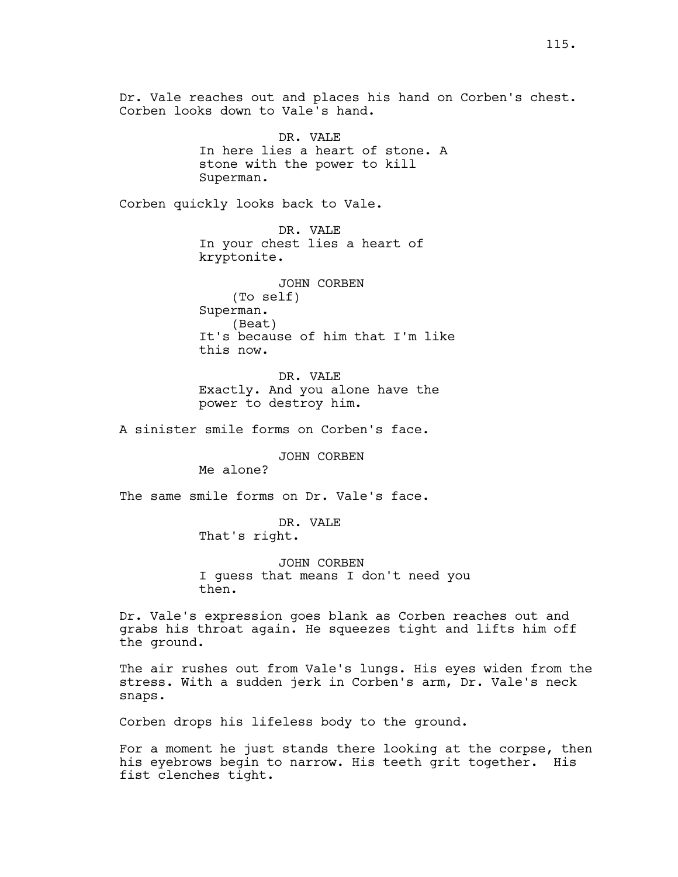Dr. Vale reaches out and places his hand on Corben's chest. Corben looks down to Vale's hand. DR. VALE In here lies a heart of stone. A stone with the power to kill Superman. Corben quickly looks back to Vale. DR. VALE In your chest lies a heart of kryptonite. JOHN CORBEN (To self) Superman. (Beat) It's because of him that I'm like this now. DR. VALE Exactly. And you alone have the power to destroy him. A sinister smile forms on Corben's face. JOHN CORBEN Me alone? The same smile forms on Dr. Vale's face. DR. VALE That's right. JOHN CORBEN I guess that means I don't need you then. Dr. Vale's expression goes blank as Corben reaches out and grabs his throat again. He squeezes tight and lifts him off the ground. The air rushes out from Vale's lungs. His eyes widen from the stress. With a sudden jerk in Corben's arm, Dr. Vale's neck snaps. Corben drops his lifeless body to the ground.

For a moment he just stands there looking at the corpse, then his eyebrows begin to narrow. His teeth grit together. His fist clenches tight.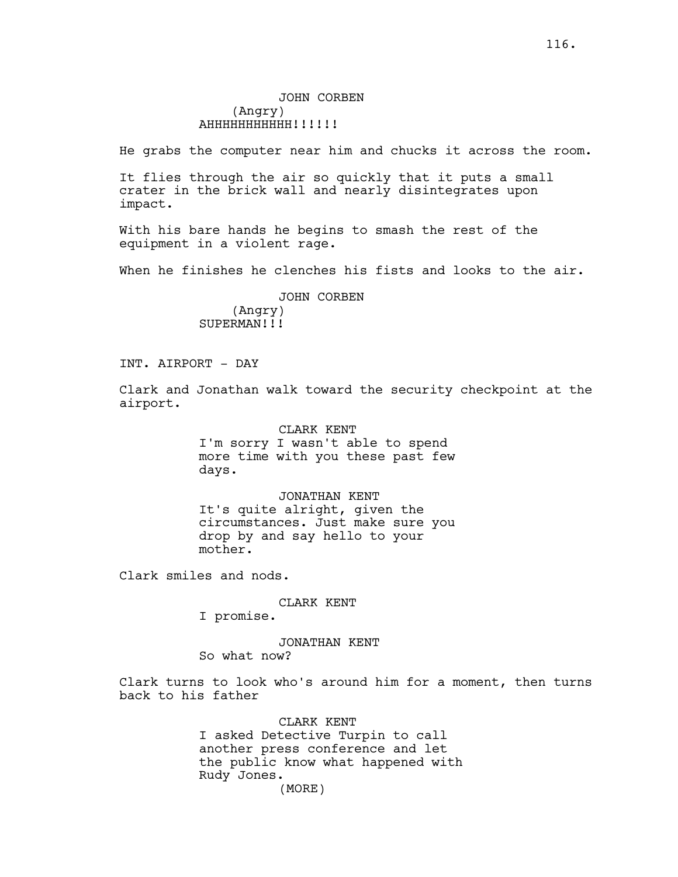He grabs the computer near him and chucks it across the room.

It flies through the air so quickly that it puts a small crater in the brick wall and nearly disintegrates upon impact.

With his bare hands he begins to smash the rest of the equipment in a violent rage.

When he finishes he clenches his fists and looks to the air.

JOHN CORBEN (Angry) SUPERMAN!!!

INT. AIRPORT - DAY

Clark and Jonathan walk toward the security checkpoint at the airport.

> CLARK KENT I'm sorry I wasn't able to spend more time with you these past few days.

> JONATHAN KENT It's quite alright, given the circumstances. Just make sure you drop by and say hello to your mother.

Clark smiles and nods.

## CLARK KENT

I promise.

JONATHAN KENT

So what now?

Clark turns to look who's around him for a moment, then turns back to his father

> CLARK KENT I asked Detective Turpin to call another press conference and let the public know what happened with Rudy Jones. (MORE)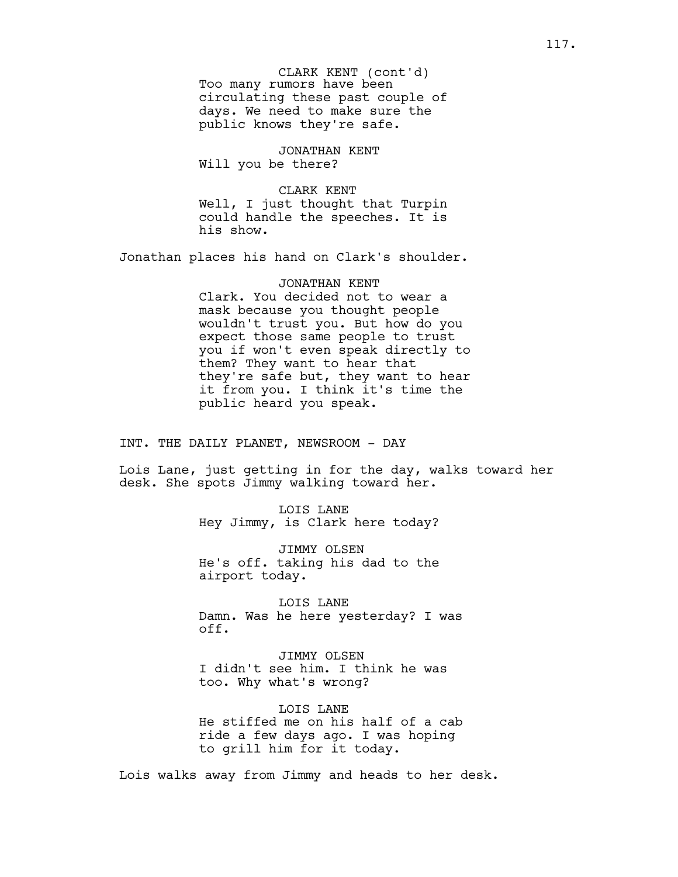Too many rumors have been circulating these past couple of days. We need to make sure the public knows they're safe. CLARK KENT (cont'd)

JONATHAN KENT Will you be there?

CLARK KENT Well, I just thought that Turpin could handle the speeches. It is his show.

Jonathan places his hand on Clark's shoulder.

JONATHAN KENT Clark. You decided not to wear a mask because you thought people wouldn't trust you. But how do you expect those same people to trust you if won't even speak directly to them? They want to hear that they're safe but, they want to hear it from you. I think it's time the public heard you speak.

INT. THE DAILY PLANET, NEWSROOM - DAY

Lois Lane, just getting in for the day, walks toward her desk. She spots Jimmy walking toward her.

> LOIS LANE Hey Jimmy, is Clark here today?

> JIMMY OLSEN He's off. taking his dad to the airport today.

LOIS LANE Damn. Was he here yesterday? I was off.

JIMMY OLSEN I didn't see him. I think he was too. Why what's wrong?

LOIS LANE He stiffed me on his half of a cab ride a few days ago. I was hoping to grill him for it today.

Lois walks away from Jimmy and heads to her desk.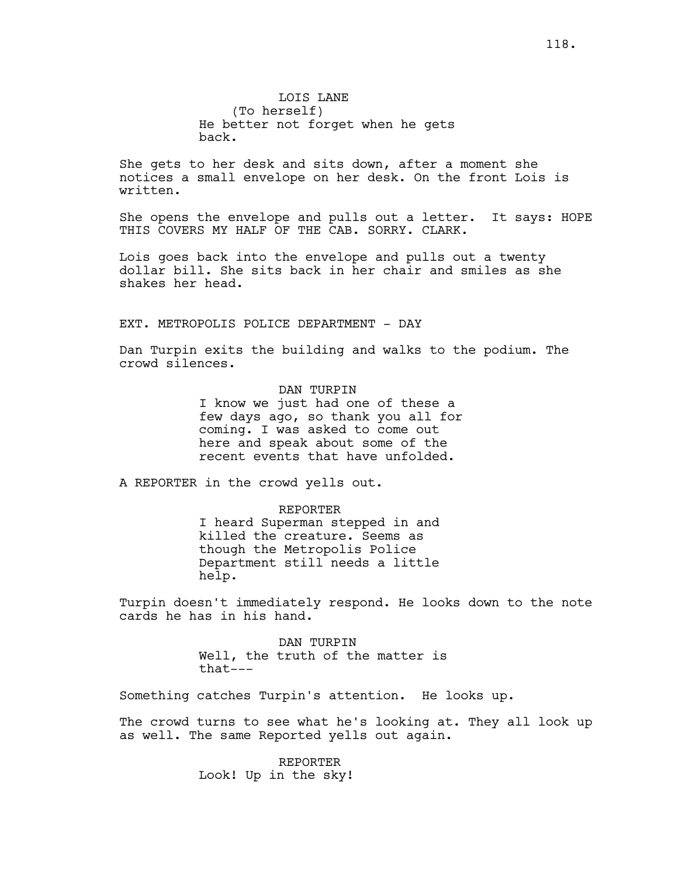LOIS LANE (To herself) He better not forget when he gets back.

She gets to her desk and sits down, after a moment she notices a small envelope on her desk. On the front Lois is written.

She opens the envelope and pulls out a letter. It says: HOPE THIS COVERS MY HALF OF THE CAB. SORRY. CLARK.

Lois goes back into the envelope and pulls out a twenty dollar bill. She sits back in her chair and smiles as she shakes her head.

## EXT. METROPOLIS POLICE DEPARTMENT - DAY

Dan Turpin exits the building and walks to the podium. The crowd silences.

> DAN TURPIN I know we just had one of these a few days ago, so thank you all for coming. I was asked to come out here and speak about some of the recent events that have unfolded.

A REPORTER in the crowd yells out.

REPORTER I heard Superman stepped in and killed the creature. Seems as though the Metropolis Police Department still needs a little help.

Turpin doesn't immediately respond. He looks down to the note cards he has in his hand.

> DAN TURPIN Well, the truth of the matter is that---

Something catches Turpin's attention. He looks up.

The crowd turns to see what he's looking at. They all look up as well. The same Reported yells out again.

> REPORTER Look! Up in the sky!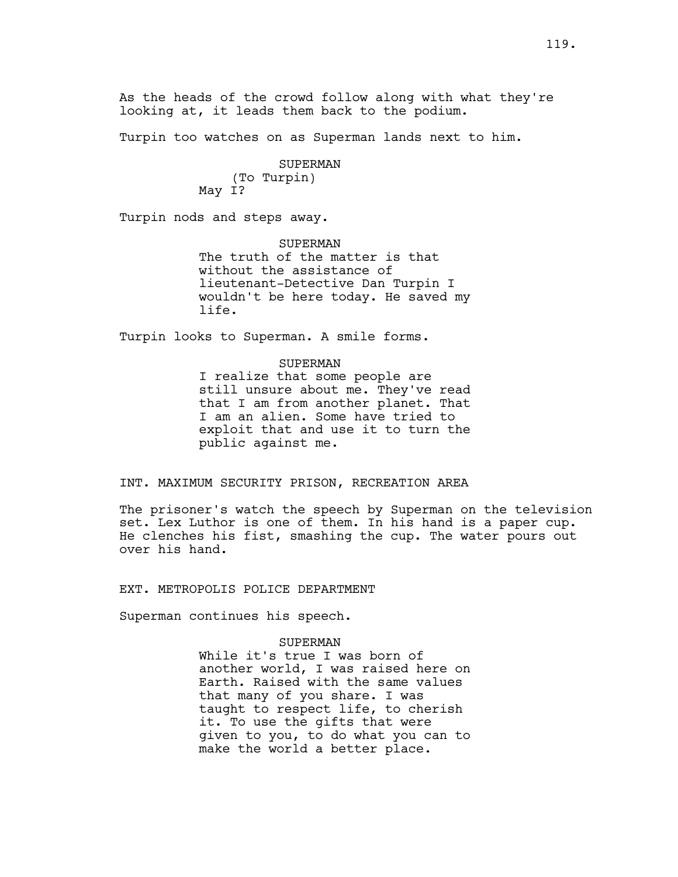Turpin too watches on as Superman lands next to him.

SUPERMAN (To Turpin) May I?

Turpin nods and steps away.

SUPERMAN The truth of the matter is that without the assistance of lieutenant-Detective Dan Turpin I wouldn't be here today. He saved my life.

Turpin looks to Superman. A smile forms.

# SUPERMAN I realize that some people are still unsure about me. They've read that I am from another planet. That I am an alien. Some have tried to exploit that and use it to turn the public against me.

## INT. MAXIMUM SECURITY PRISON, RECREATION AREA

The prisoner's watch the speech by Superman on the television set. Lex Luthor is one of them. In his hand is a paper cup. He clenches his fist, smashing the cup. The water pours out over his hand.

EXT. METROPOLIS POLICE DEPARTMENT

Superman continues his speech.

### SUPERMAN

While it's true I was born of another world, I was raised here on Earth. Raised with the same values that many of you share. I was taught to respect life, to cherish it. To use the gifts that were given to you, to do what you can to make the world a better place.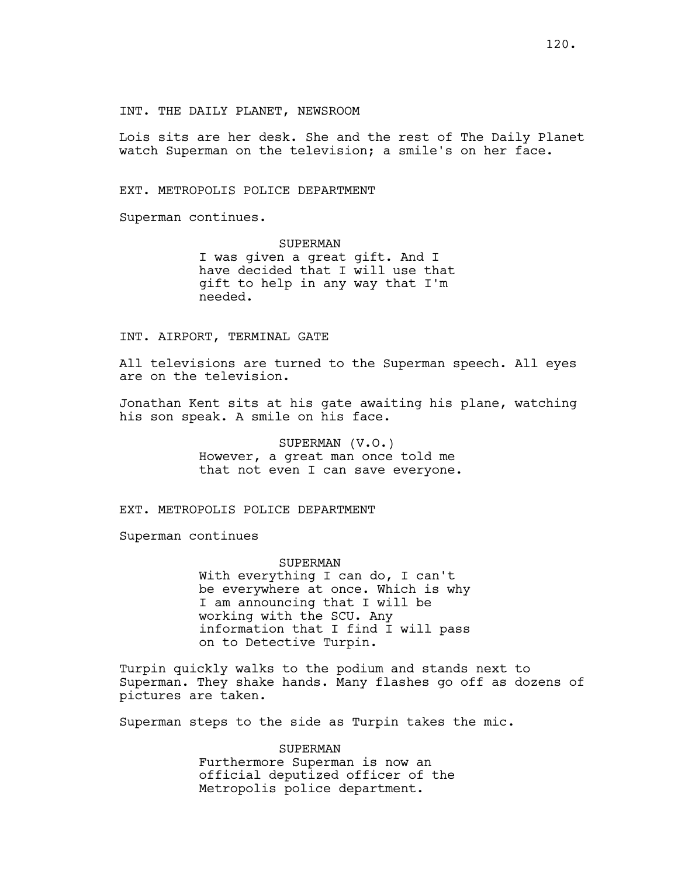Lois sits are her desk. She and the rest of The Daily Planet watch Superman on the television; a smile's on her face.

EXT. METROPOLIS POLICE DEPARTMENT

Superman continues.

**SUPERMAN** I was given a great gift. And I have decided that I will use that gift to help in any way that I'm needed.

## INT. AIRPORT, TERMINAL GATE

All televisions are turned to the Superman speech. All eyes are on the television.

Jonathan Kent sits at his gate awaiting his plane, watching his son speak. A smile on his face.

> SUPERMAN (V.O.) However, a great man once told me that not even I can save everyone.

EXT. METROPOLIS POLICE DEPARTMENT

Superman continues

#### SUPERMAN

With everything I can do, I can't be everywhere at once. Which is why I am announcing that I will be working with the SCU. Any information that I find I will pass on to Detective Turpin.

Turpin quickly walks to the podium and stands next to Superman. They shake hands. Many flashes go off as dozens of pictures are taken.

Superman steps to the side as Turpin takes the mic.

SUPERMAN Furthermore Superman is now an official deputized officer of the Metropolis police department.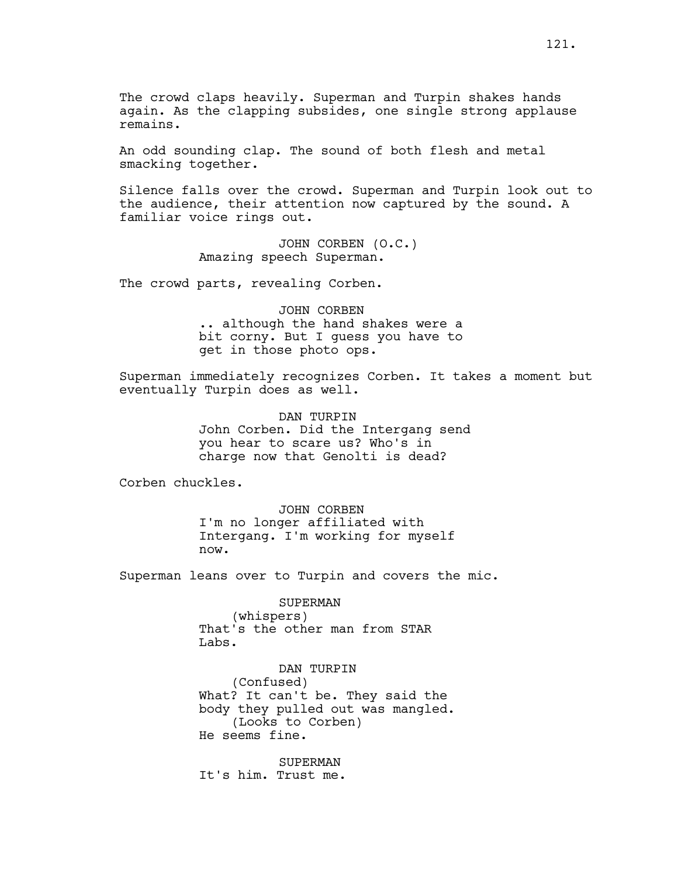The crowd claps heavily. Superman and Turpin shakes hands again. As the clapping subsides, one single strong applause remains.

An odd sounding clap. The sound of both flesh and metal smacking together.

Silence falls over the crowd. Superman and Turpin look out to the audience, their attention now captured by the sound. A familiar voice rings out.

> JOHN CORBEN (O.C.) Amazing speech Superman.

The crowd parts, revealing Corben.

JOHN CORBEN .. although the hand shakes were a bit corny. But I guess you have to get in those photo ops.

Superman immediately recognizes Corben. It takes a moment but eventually Turpin does as well.

> DAN TURPIN John Corben. Did the Intergang send you hear to scare us? Who's in charge now that Genolti is dead?

Corben chuckles.

JOHN CORBEN I'm no longer affiliated with Intergang. I'm working for myself now.

Superman leans over to Turpin and covers the mic.

SUPERMAN (whispers) That's the other man from STAR Labs.

DAN TURPIN (Confused) What? It can't be. They said the body they pulled out was mangled. (Looks to Corben) He seems fine.

SUPERMAN It's him. Trust me.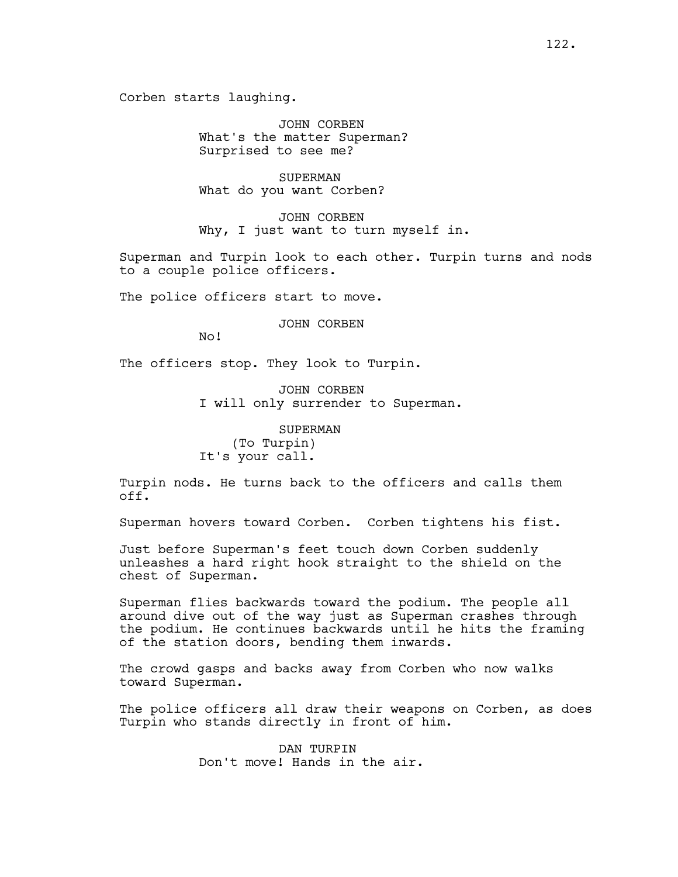JOHN CORBEN What's the matter Superman? Surprised to see me?

SUPERMAN What do you want Corben?

JOHN CORBEN Why, I just want to turn myself in.

Superman and Turpin look to each other. Turpin turns and nods to a couple police officers.

The police officers start to move.

JOHN CORBEN

No!

The officers stop. They look to Turpin.

JOHN CORBEN I will only surrender to Superman.

#### SUPERMAN

(To Turpin) It's your call.

Turpin nods. He turns back to the officers and calls them off.

Superman hovers toward Corben. Corben tightens his fist.

Just before Superman's feet touch down Corben suddenly unleashes a hard right hook straight to the shield on the chest of Superman.

Superman flies backwards toward the podium. The people all around dive out of the way just as Superman crashes through the podium. He continues backwards until he hits the framing of the station doors, bending them inwards.

The crowd gasps and backs away from Corben who now walks toward Superman.

The police officers all draw their weapons on Corben, as does Turpin who stands directly in front of him.

> DAN TURPIN Don't move! Hands in the air.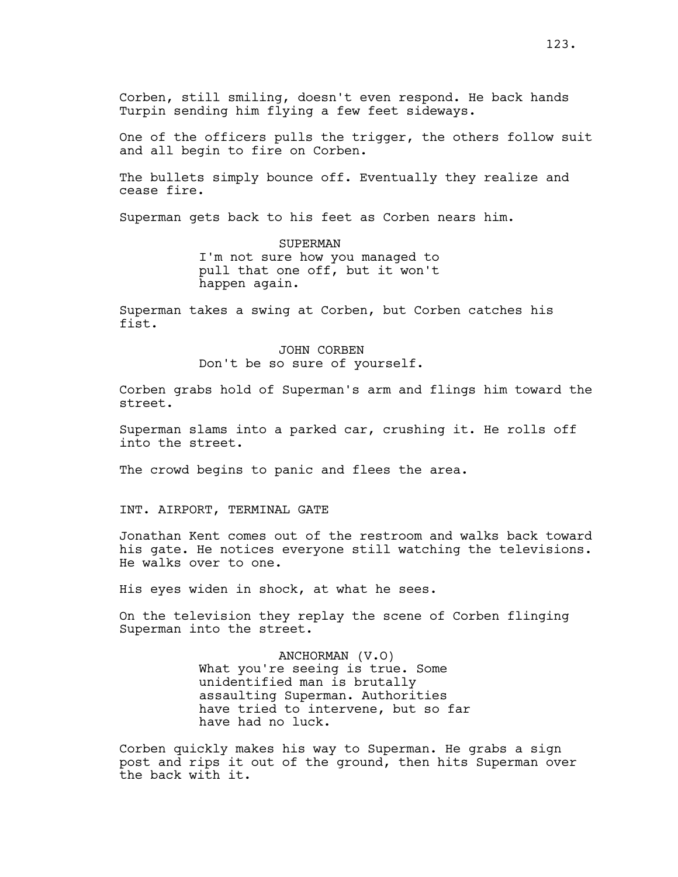Corben, still smiling, doesn't even respond. He back hands Turpin sending him flying a few feet sideways.

One of the officers pulls the trigger, the others follow suit and all begin to fire on Corben.

The bullets simply bounce off. Eventually they realize and cease fire.

Superman gets back to his feet as Corben nears him.

SUPERMAN I'm not sure how you managed to pull that one off, but it won't happen again.

Superman takes a swing at Corben, but Corben catches his fist.

# JOHN CORBEN Don't be so sure of yourself.

Corben grabs hold of Superman's arm and flings him toward the street.

Superman slams into a parked car, crushing it. He rolls off into the street.

The crowd begins to panic and flees the area.

INT. AIRPORT, TERMINAL GATE

Jonathan Kent comes out of the restroom and walks back toward his gate. He notices everyone still watching the televisions. He walks over to one.

His eyes widen in shock, at what he sees.

On the television they replay the scene of Corben flinging Superman into the street.

> ANCHORMAN (V.O) What you're seeing is true. Some unidentified man is brutally assaulting Superman. Authorities have tried to intervene, but so far have had no luck.

Corben quickly makes his way to Superman. He grabs a sign post and rips it out of the ground, then hits Superman over the back with it.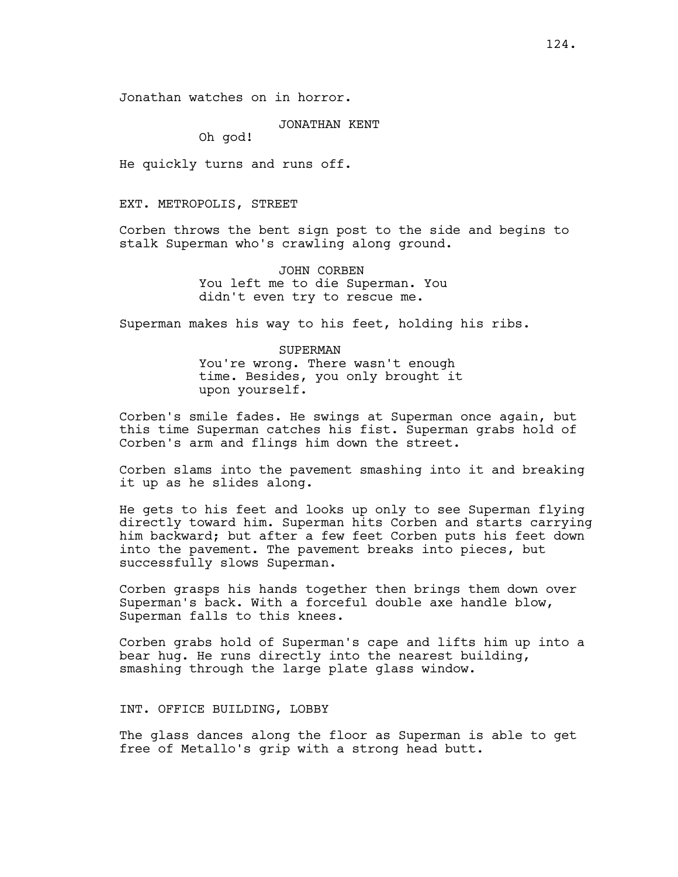#### JONATHAN KENT

Oh god!

He quickly turns and runs off.

### EXT. METROPOLIS, STREET

Corben throws the bent sign post to the side and begins to stalk Superman who's crawling along ground.

> JOHN CORBEN You left me to die Superman. You didn't even try to rescue me.

Superman makes his way to his feet, holding his ribs.

# SUPERMAN You're wrong. There wasn't enough time. Besides, you only brought it upon yourself.

Corben's smile fades. He swings at Superman once again, but this time Superman catches his fist. Superman grabs hold of Corben's arm and flings him down the street.

Corben slams into the pavement smashing into it and breaking it up as he slides along.

He gets to his feet and looks up only to see Superman flying directly toward him. Superman hits Corben and starts carrying him backward; but after a few feet Corben puts his feet down into the pavement. The pavement breaks into pieces, but successfully slows Superman.

Corben grasps his hands together then brings them down over Superman's back. With a forceful double axe handle blow, Superman falls to this knees.

Corben grabs hold of Superman's cape and lifts him up into a bear hug. He runs directly into the nearest building, smashing through the large plate glass window.

### INT. OFFICE BUILDING, LOBBY

The glass dances along the floor as Superman is able to get free of Metallo's grip with a strong head butt.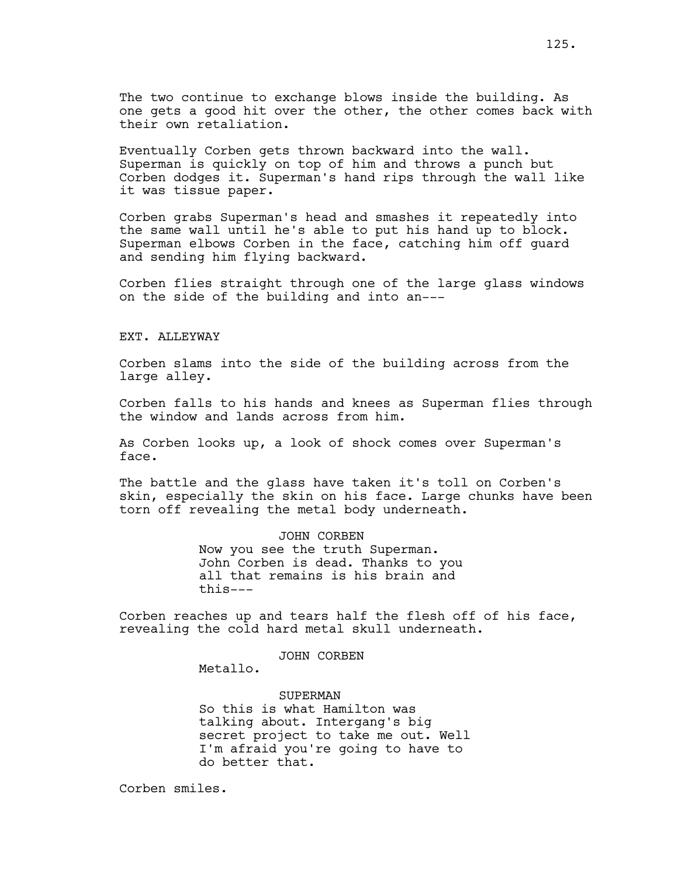The two continue to exchange blows inside the building. As one gets a good hit over the other, the other comes back with their own retaliation.

Eventually Corben gets thrown backward into the wall. Superman is quickly on top of him and throws a punch but Corben dodges it. Superman's hand rips through the wall like it was tissue paper.

Corben grabs Superman's head and smashes it repeatedly into the same wall until he's able to put his hand up to block. Superman elbows Corben in the face, catching him off guard and sending him flying backward.

Corben flies straight through one of the large glass windows on the side of the building and into an---

### EXT. ALLEYWAY

Corben slams into the side of the building across from the large alley.

Corben falls to his hands and knees as Superman flies through the window and lands across from him.

As Corben looks up, a look of shock comes over Superman's face.

The battle and the glass have taken it's toll on Corben's skin, especially the skin on his face. Large chunks have been torn off revealing the metal body underneath.

> JOHN CORBEN Now you see the truth Superman. John Corben is dead. Thanks to you all that remains is his brain and this---

Corben reaches up and tears half the flesh off of his face, revealing the cold hard metal skull underneath.

JOHN CORBEN

Metallo.

SUPERMAN So this is what Hamilton was talking about. Intergang's big secret project to take me out. Well I'm afraid you're going to have to do better that.

Corben smiles.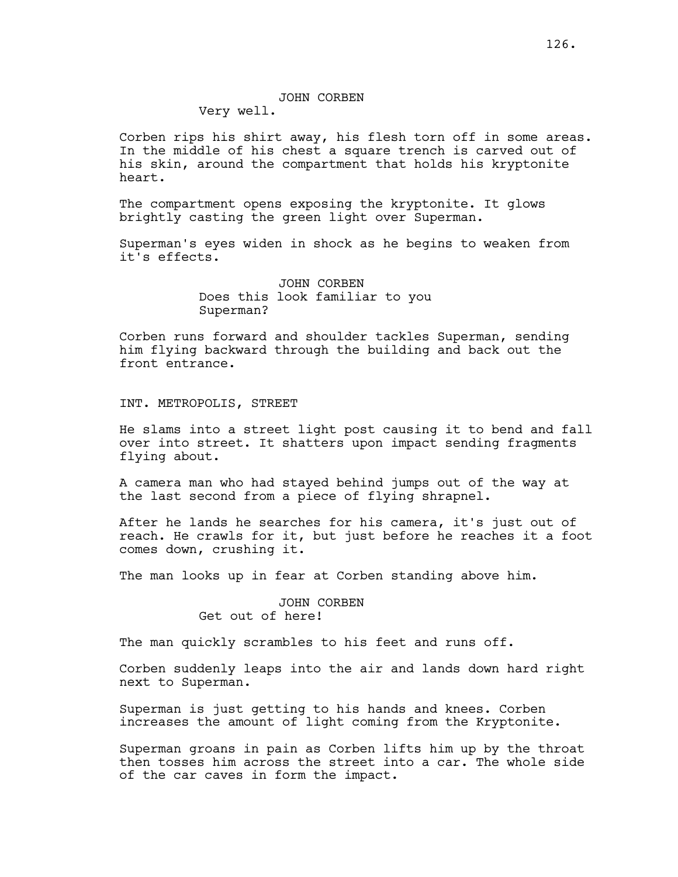Very well.

Corben rips his shirt away, his flesh torn off in some areas. In the middle of his chest a square trench is carved out of his skin, around the compartment that holds his kryptonite heart.

The compartment opens exposing the kryptonite. It glows brightly casting the green light over Superman.

Superman's eyes widen in shock as he begins to weaken from it's effects.

> JOHN CORBEN Does this look familiar to you Superman?

Corben runs forward and shoulder tackles Superman, sending him flying backward through the building and back out the front entrance.

INT. METROPOLIS, STREET

He slams into a street light post causing it to bend and fall over into street. It shatters upon impact sending fragments flying about.

A camera man who had stayed behind jumps out of the way at the last second from a piece of flying shrapnel.

After he lands he searches for his camera, it's just out of reach. He crawls for it, but just before he reaches it a foot comes down, crushing it.

The man looks up in fear at Corben standing above him.

JOHN CORBEN Get out of here!

The man quickly scrambles to his feet and runs off.

Corben suddenly leaps into the air and lands down hard right next to Superman.

Superman is just getting to his hands and knees. Corben increases the amount of light coming from the Kryptonite.

Superman groans in pain as Corben lifts him up by the throat then tosses him across the street into a car. The whole side of the car caves in form the impact.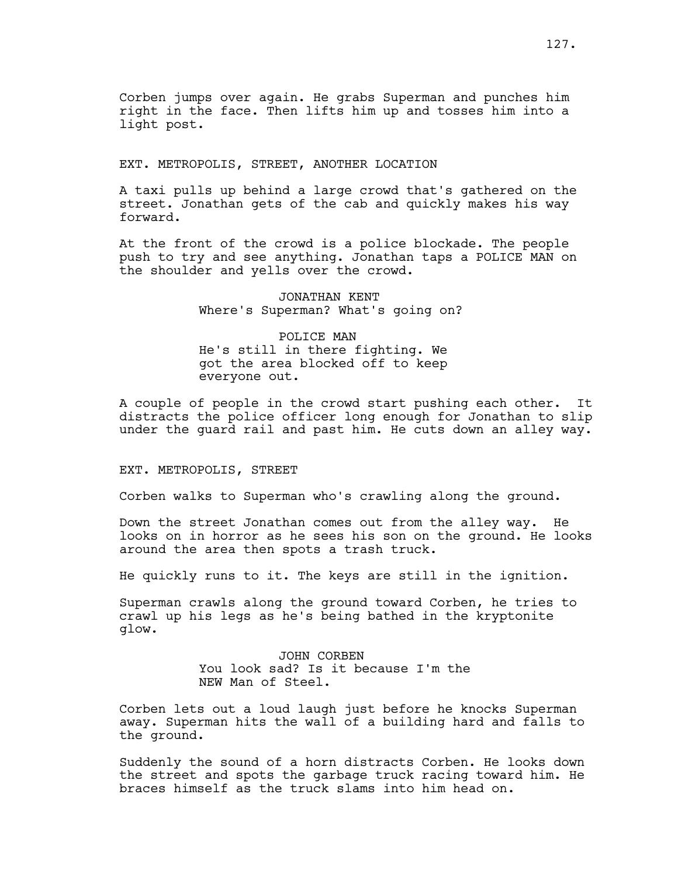Corben jumps over again. He grabs Superman and punches him right in the face. Then lifts him up and tosses him into a light post.

EXT. METROPOLIS, STREET, ANOTHER LOCATION

A taxi pulls up behind a large crowd that's gathered on the street. Jonathan gets of the cab and quickly makes his way forward.

At the front of the crowd is a police blockade. The people push to try and see anything. Jonathan taps a POLICE MAN on the shoulder and yells over the crowd.

> JONATHAN KENT Where's Superman? What's going on?

POLICE MAN He's still in there fighting. We got the area blocked off to keep everyone out.

A couple of people in the crowd start pushing each other. It distracts the police officer long enough for Jonathan to slip under the guard rail and past him. He cuts down an alley way.

#### EXT. METROPOLIS, STREET

Corben walks to Superman who's crawling along the ground.

Down the street Jonathan comes out from the alley way. He looks on in horror as he sees his son on the ground. He looks around the area then spots a trash truck.

He quickly runs to it. The keys are still in the ignition.

Superman crawls along the ground toward Corben, he tries to crawl up his legs as he's being bathed in the kryptonite glow.

> JOHN CORBEN You look sad? Is it because I'm the NEW Man of Steel.

Corben lets out a loud laugh just before he knocks Superman away. Superman hits the wall of a building hard and falls to the ground.

Suddenly the sound of a horn distracts Corben. He looks down the street and spots the garbage truck racing toward him. He braces himself as the truck slams into him head on.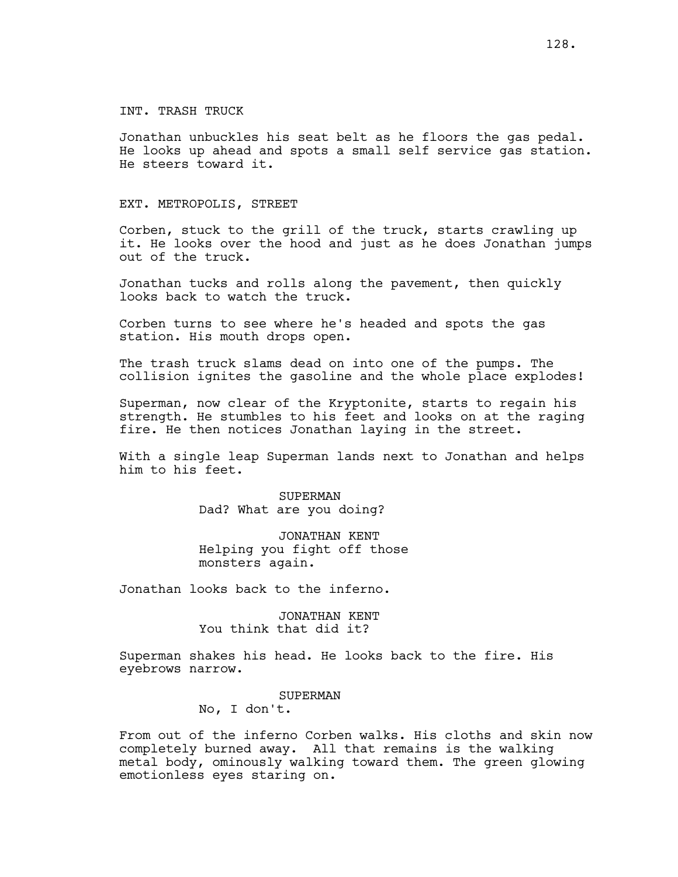## INT. TRASH TRUCK

Jonathan unbuckles his seat belt as he floors the gas pedal. He looks up ahead and spots a small self service gas station. He steers toward it.

### EXT. METROPOLIS, STREET

Corben, stuck to the grill of the truck, starts crawling up it. He looks over the hood and just as he does Jonathan jumps out of the truck.

Jonathan tucks and rolls along the pavement, then quickly looks back to watch the truck.

Corben turns to see where he's headed and spots the gas station. His mouth drops open.

The trash truck slams dead on into one of the pumps. The collision ignites the gasoline and the whole place explodes!

Superman, now clear of the Kryptonite, starts to regain his strength. He stumbles to his feet and looks on at the raging fire. He then notices Jonathan laying in the street.

With a single leap Superman lands next to Jonathan and helps him to his feet.

> SUPERMAN Dad? What are you doing?

JONATHAN KENT Helping you fight off those monsters again.

Jonathan looks back to the inferno.

JONATHAN KENT You think that did it?

Superman shakes his head. He looks back to the fire. His eyebrows narrow.

SUPERMAN

No, I don't.

From out of the inferno Corben walks. His cloths and skin now completely burned away. All that remains is the walking metal body, ominously walking toward them. The green glowing emotionless eyes staring on.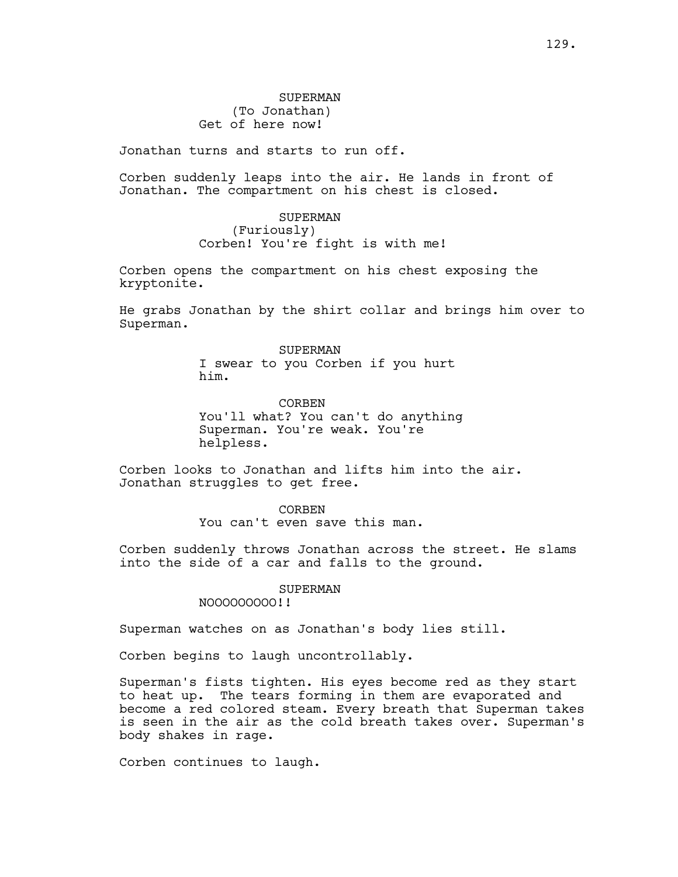Jonathan turns and starts to run off.

Corben suddenly leaps into the air. He lands in front of Jonathan. The compartment on his chest is closed.

> SUPERMAN (Furiously) Corben! You're fight is with me!

Corben opens the compartment on his chest exposing the kryptonite.

He grabs Jonathan by the shirt collar and brings him over to Superman.

> SUPERMAN I swear to you Corben if you hurt him.

CORBEN You'll what? You can't do anything Superman. You're weak. You're helpless.

Corben looks to Jonathan and lifts him into the air. Jonathan struggles to get free.

> CORBEN You can't even save this man.

Corben suddenly throws Jonathan across the street. He slams into the side of a car and falls to the ground.

# SUPERMAN

NOOOOOOOOO!!

Superman watches on as Jonathan's body lies still.

Corben begins to laugh uncontrollably.

Superman's fists tighten. His eyes become red as they start to heat up. The tears forming in them are evaporated and become a red colored steam. Every breath that Superman takes is seen in the air as the cold breath takes over. Superman's body shakes in rage.

Corben continues to laugh.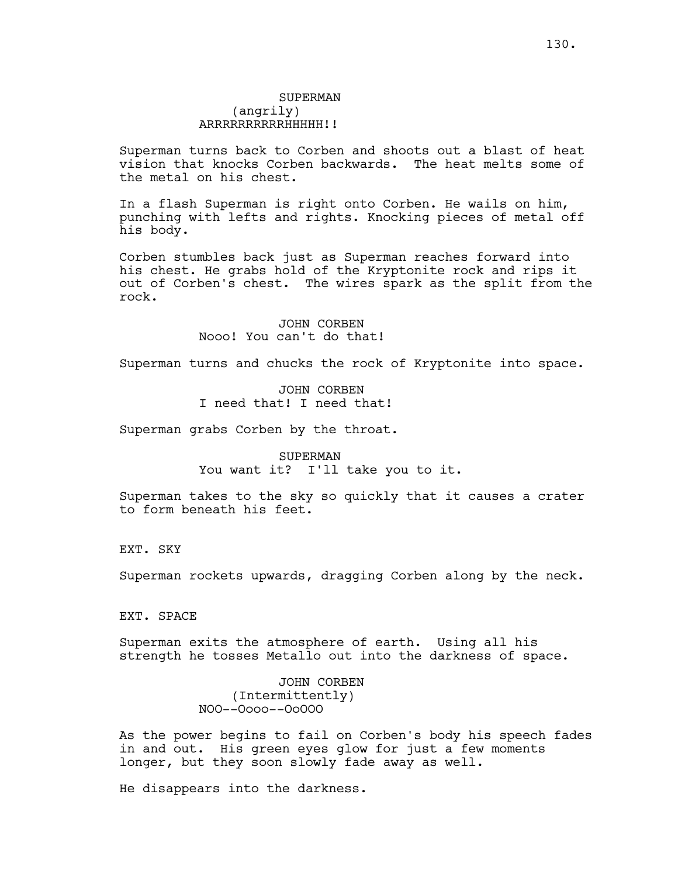# SUPERMAN (angrily) ARRRRRRRRRRHHHHH!!

Superman turns back to Corben and shoots out a blast of heat vision that knocks Corben backwards. The heat melts some of the metal on his chest.

In a flash Superman is right onto Corben. He wails on him, punching with lefts and rights. Knocking pieces of metal off his body.

Corben stumbles back just as Superman reaches forward into his chest. He grabs hold of the Kryptonite rock and rips it out of Corben's chest. The wires spark as the split from the rock.

> JOHN CORBEN Nooo! You can't do that!

Superman turns and chucks the rock of Kryptonite into space.

JOHN CORBEN I need that! I need that!

Superman grabs Corben by the throat.

SUPERMAN You want it? I'll take you to it.

Superman takes to the sky so quickly that it causes a crater to form beneath his feet.

EXT. SKY

Superman rockets upwards, dragging Corben along by the neck.

EXT. SPACE

Superman exits the atmosphere of earth. Using all his strength he tosses Metallo out into the darkness of space.

> JOHN CORBEN (Intermittently) NOO--Oooo--OoOOO

As the power begins to fail on Corben's body his speech fades in and out. His green eyes glow for just a few moments longer, but they soon slowly fade away as well.

He disappears into the darkness.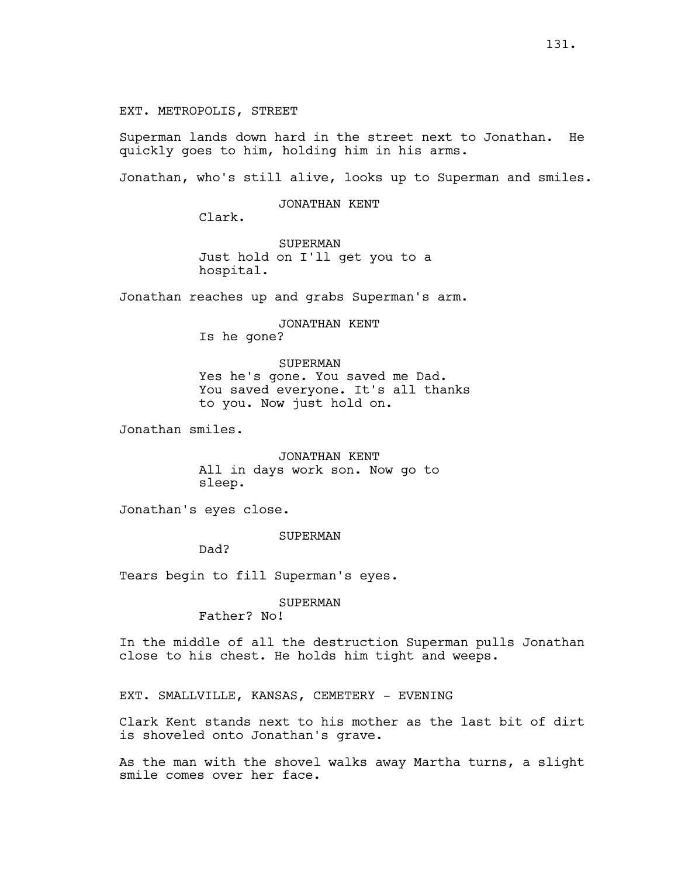EXT. METROPOLIS, STREET

Superman lands down hard in the street next to Jonathan. He quickly goes to him, holding him in his arms.

Jonathan, who's still alive, looks up to Superman and smiles.

JONATHAN KENT

Clark.

SUPERMAN Just hold on I'll get you to a hospital.

Jonathan reaches up and grabs Superman's arm.

JONATHAN KENT Is he gone?

SUPERMAN Yes he's gone. You saved me Dad. You saved everyone. It's all thanks to you. Now just hold on.

Jonathan smiles.

JONATHAN KENT All in days work son. Now go to sleep.

Jonathan's eyes close.

SUPERMAN

Dad?

Tears begin to fill Superman's eyes.

SUPERMAN

Father? No!

In the middle of all the destruction Superman pulls Jonathan close to his chest. He holds him tight and weeps.

EXT. SMALLVILLE, KANSAS, CEMETERY - EVENING

Clark Kent stands next to his mother as the last bit of dirt is shoveled onto Jonathan's grave.

As the man with the shovel walks away Martha turns, a slight smile comes over her face.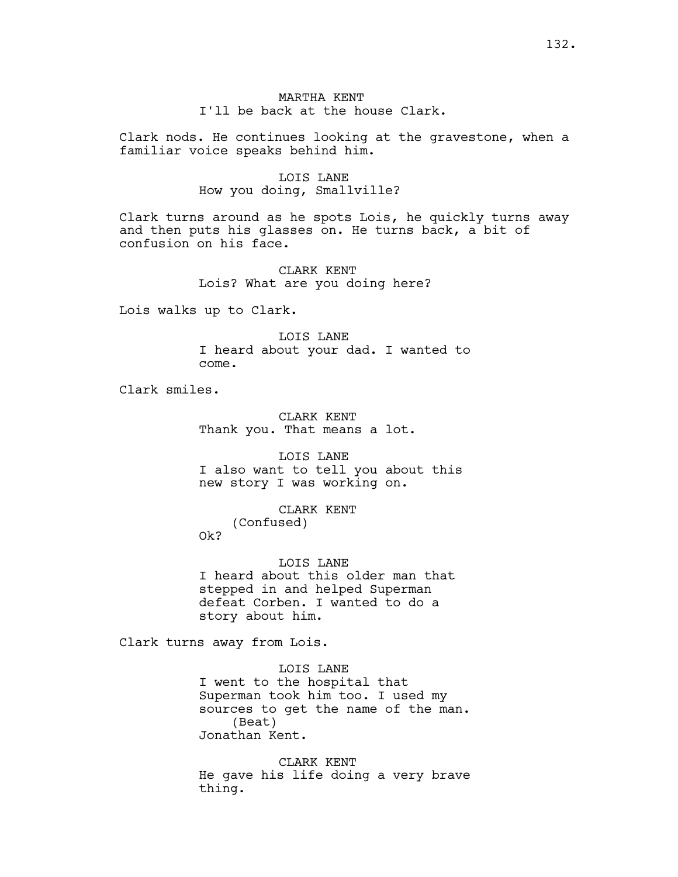# MARTHA KENT I'll be back at the house Clark.

Clark nods. He continues looking at the gravestone, when a familiar voice speaks behind him.

# LOIS LANE How you doing, Smallville?

Clark turns around as he spots Lois, he quickly turns away and then puts his glasses on. He turns back, a bit of confusion on his face.

> CLARK KENT Lois? What are you doing here?

Lois walks up to Clark.

LOIS LANE I heard about your dad. I wanted to come.

Clark smiles.

CLARK KENT Thank you. That means a lot.

LOIS LANE I also want to tell you about this new story I was working on.

> CLARK KENT (Confused)

Ok?

LOIS LANE I heard about this older man that stepped in and helped Superman defeat Corben. I wanted to do a story about him.

Clark turns away from Lois.

LOIS LANE I went to the hospital that Superman took him too. I used my sources to get the name of the man. (Beat) Jonathan Kent.

CLARK KENT He gave his life doing a very brave thing.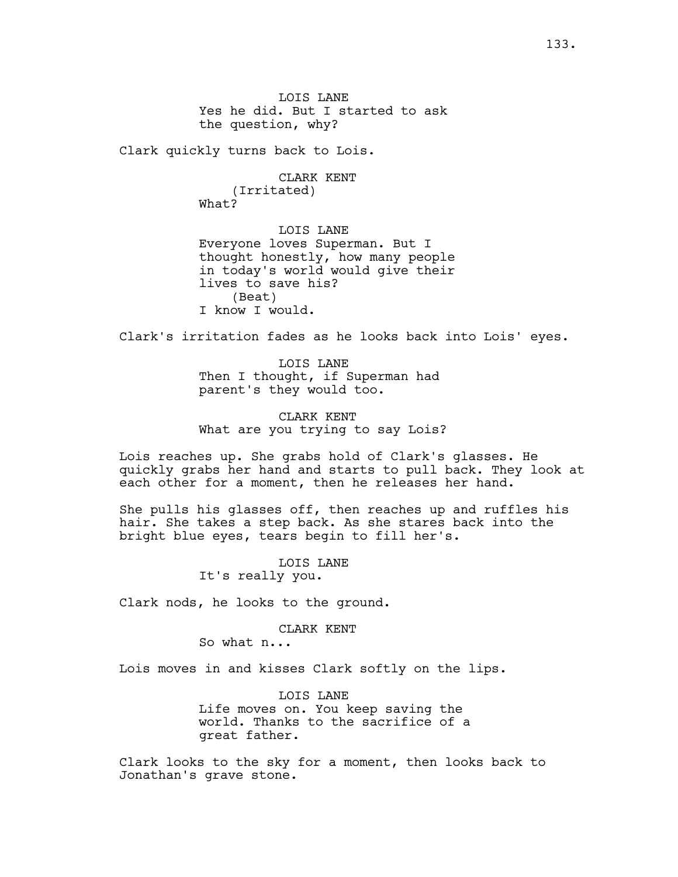Clark quickly turns back to Lois.

CLARK KENT (Irritated) What?

LOIS LANE Everyone loves Superman. But I thought honestly, how many people in today's world would give their lives to save his? (Beat) I know I would.

Clark's irritation fades as he looks back into Lois' eyes.

LOIS LANE Then I thought, if Superman had parent's they would too.

CLARK KENT What are you trying to say Lois?

Lois reaches up. She grabs hold of Clark's glasses. He quickly grabs her hand and starts to pull back. They look at each other for a moment, then he releases her hand.

She pulls his glasses off, then reaches up and ruffles his hair. She takes a step back. As she stares back into the bright blue eyes, tears begin to fill her's.

> LOIS LANE It's really you.

Clark nods, he looks to the ground.

### CLARK KENT

So what n...

Lois moves in and kisses Clark softly on the lips.

LOIS LANE Life moves on. You keep saving the world. Thanks to the sacrifice of a great father.

Clark looks to the sky for a moment, then looks back to Jonathan's grave stone.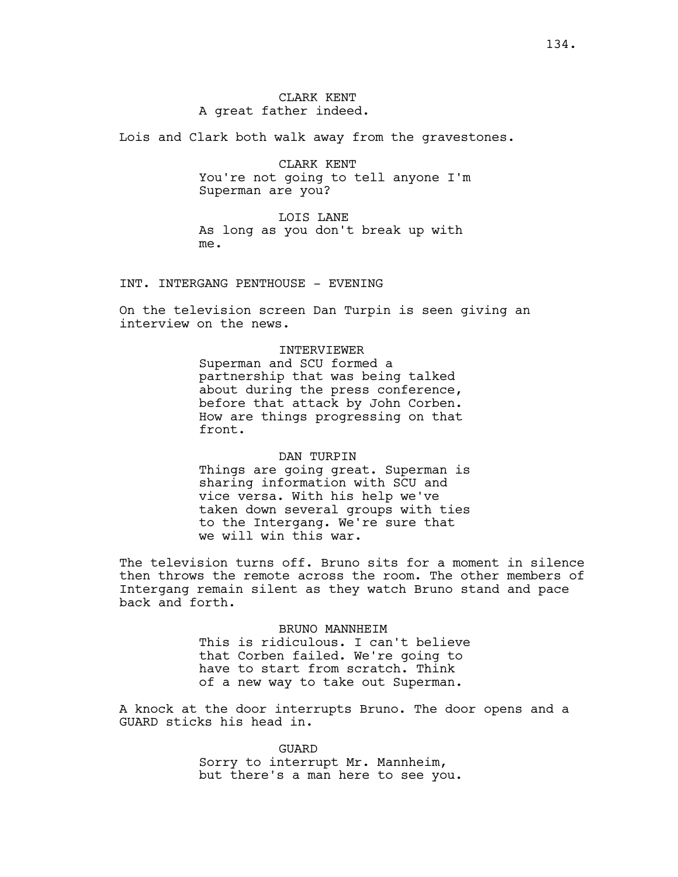Lois and Clark both walk away from the gravestones.

CLARK KENT You're not going to tell anyone I'm Superman are you?

LOIS LANE As long as you don't break up with me.

INT. INTERGANG PENTHOUSE - EVENING

On the television screen Dan Turpin is seen giving an interview on the news.

#### INTERVIEWER

Superman and SCU formed a partnership that was being talked about during the press conference, before that attack by John Corben. How are things progressing on that front.

### DAN TURPIN

Things are going great. Superman is sharing information with SCU and vice versa. With his help we've taken down several groups with ties to the Intergang. We're sure that we will win this war.

The television turns off. Bruno sits for a moment in silence then throws the remote across the room. The other members of Intergang remain silent as they watch Bruno stand and pace back and forth.

> BRUNO MANNHEIM This is ridiculous. I can't believe that Corben failed. We're going to have to start from scratch. Think of a new way to take out Superman.

A knock at the door interrupts Bruno. The door opens and a GUARD sticks his head in.

> GUARD Sorry to interrupt Mr. Mannheim, but there's a man here to see you.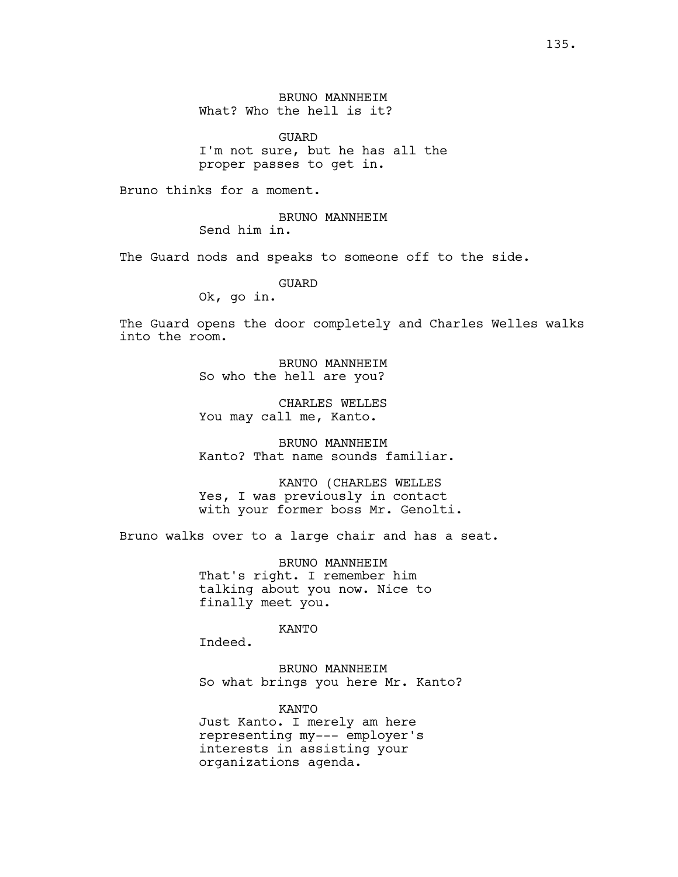BRUNO MANNHEIM What? Who the hell is it?

GUARD I'm not sure, but he has all the proper passes to get in.

Bruno thinks for a moment.

BRUNO MANNHEIM Send him in.

The Guard nods and speaks to someone off to the side.

GUARD

Ok, go in.

The Guard opens the door completely and Charles Welles walks into the room.

> BRUNO MANNHEIM So who the hell are you?

> CHARLES WELLES You may call me, Kanto.

BRUNO MANNHEIM Kanto? That name sounds familiar.

KANTO (CHARLES WELLES Yes, I was previously in contact with your former boss Mr. Genolti.

Bruno walks over to a large chair and has a seat.

BRUNO MANNHEIM That's right. I remember him talking about you now. Nice to finally meet you.

KANTO

Indeed.

BRUNO MANNHEIM So what brings you here Mr. Kanto?

KANTO Just Kanto. I merely am here representing my--- employer's interests in assisting your organizations agenda.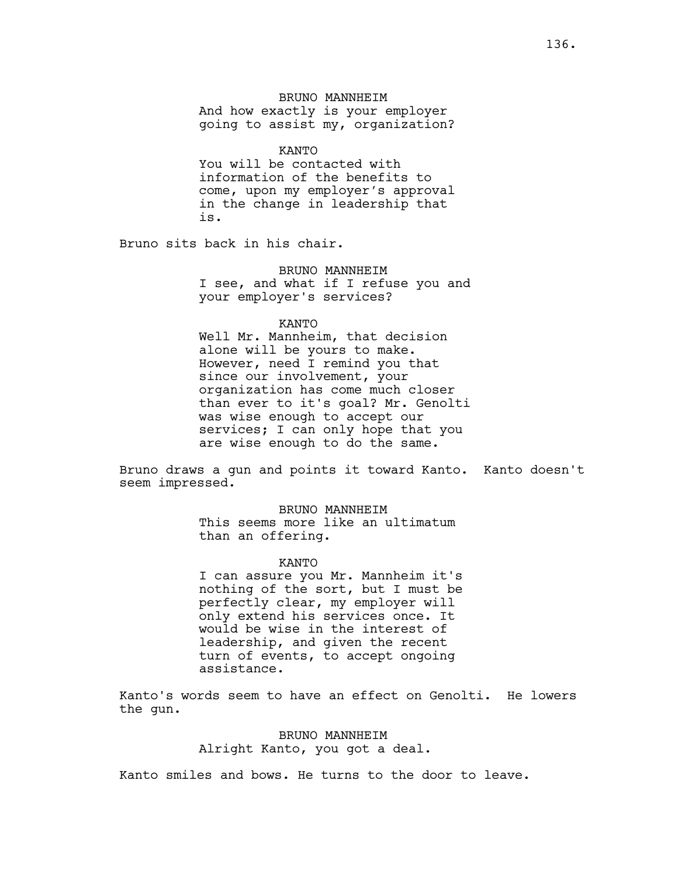KANTO

You will be contacted with information of the benefits to come, upon my employer's approval in the change in leadership that is.

Bruno sits back in his chair.

BRUNO MANNHEIM I see, and what if I refuse you and your employer's services?

KANTO

Well Mr. Mannheim, that decision alone will be yours to make. However, need I remind you that since our involvement, your organization has come much closer than ever to it's goal? Mr. Genolti was wise enough to accept our services; I can only hope that you are wise enough to do the same.

Bruno draws a gun and points it toward Kanto. Kanto doesn't seem impressed.

> BRUNO MANNHEIM This seems more like an ultimatum than an offering.

> > KANTO

I can assure you Mr. Mannheim it's nothing of the sort, but I must be perfectly clear, my employer will only extend his services once. It would be wise in the interest of leadership, and given the recent turn of events, to accept ongoing assistance.

Kanto's words seem to have an effect on Genolti. He lowers the gun.

> BRUNO MANNHEIM Alright Kanto, you got a deal.

Kanto smiles and bows. He turns to the door to leave.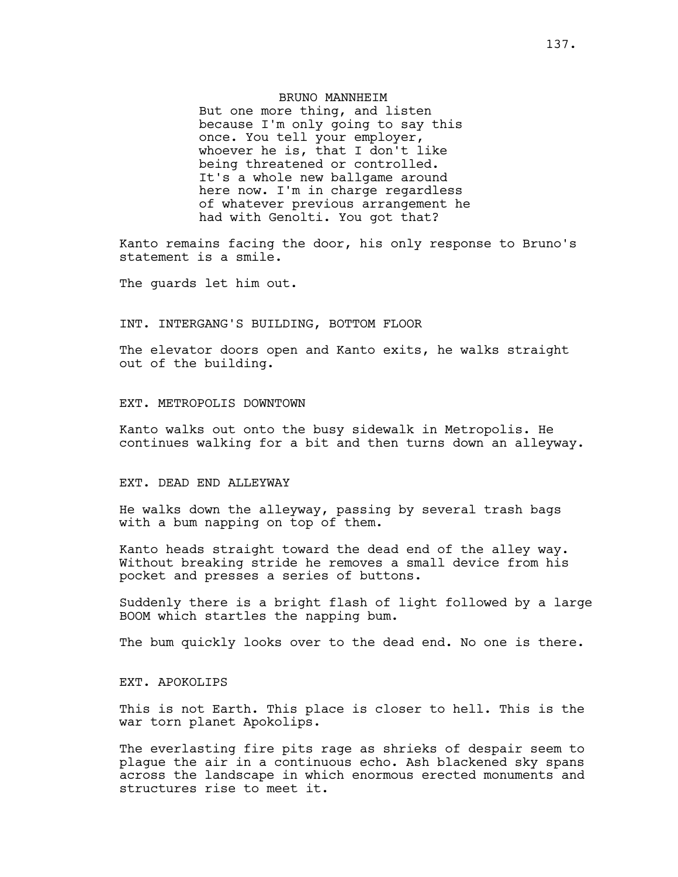# BRUNO MANNHEIM But one more thing, and listen because I'm only going to say this once. You tell your employer, whoever he is, that I don't like being threatened or controlled. It's a whole new ballgame around here now. I'm in charge regardless of whatever previous arrangement he had with Genolti. You got that?

Kanto remains facing the door, his only response to Bruno's statement is a smile.

The guards let him out.

# INT. INTERGANG'S BUILDING, BOTTOM FLOOR

The elevator doors open and Kanto exits, he walks straight out of the building.

### EXT. METROPOLIS DOWNTOWN

Kanto walks out onto the busy sidewalk in Metropolis. He continues walking for a bit and then turns down an alleyway.

### EXT. DEAD END ALLEYWAY

He walks down the alleyway, passing by several trash bags with a bum napping on top of them.

Kanto heads straight toward the dead end of the alley way. Without breaking stride he removes a small device from his pocket and presses a series of buttons.

Suddenly there is a bright flash of light followed by a large BOOM which startles the napping bum.

The bum quickly looks over to the dead end. No one is there.

### EXT. APOKOLIPS

This is not Earth. This place is closer to hell. This is the war torn planet Apokolips.

The everlasting fire pits rage as shrieks of despair seem to plague the air in a continuous echo. Ash blackened sky spans across the landscape in which enormous erected monuments and structures rise to meet it.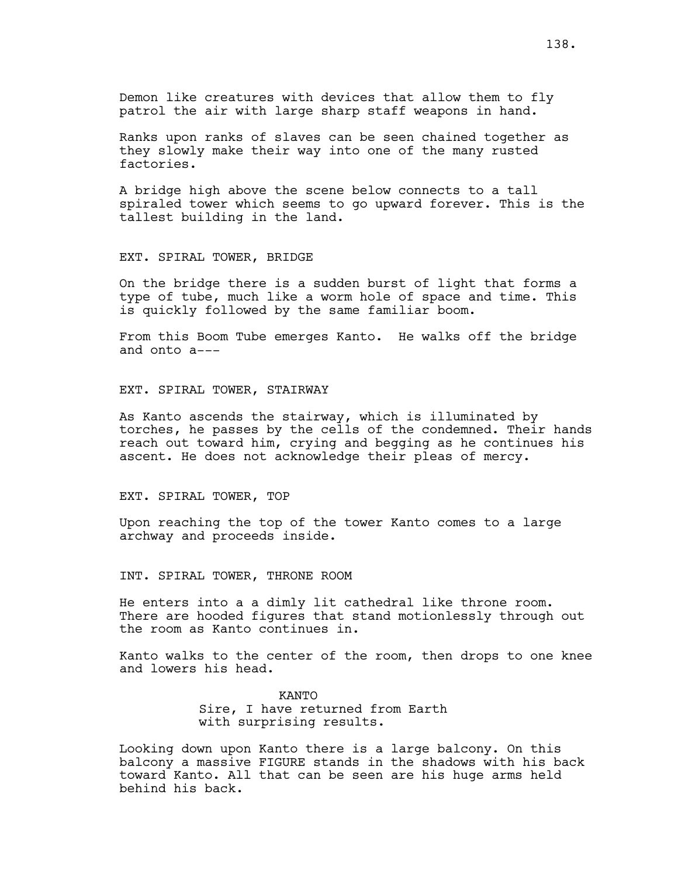Demon like creatures with devices that allow them to fly patrol the air with large sharp staff weapons in hand.

Ranks upon ranks of slaves can be seen chained together as they slowly make their way into one of the many rusted factories.

A bridge high above the scene below connects to a tall spiraled tower which seems to go upward forever. This is the tallest building in the land.

#### EXT. SPIRAL TOWER, BRIDGE

On the bridge there is a sudden burst of light that forms a type of tube, much like a worm hole of space and time. This is quickly followed by the same familiar boom.

From this Boom Tube emerges Kanto. He walks off the bridge and onto a---

## EXT. SPIRAL TOWER, STAIRWAY

As Kanto ascends the stairway, which is illuminated by torches, he passes by the cells of the condemned. Their hands reach out toward him, crying and begging as he continues his ascent. He does not acknowledge their pleas of mercy.

#### EXT. SPIRAL TOWER, TOP

Upon reaching the top of the tower Kanto comes to a large archway and proceeds inside.

#### INT. SPIRAL TOWER, THRONE ROOM

He enters into a a dimly lit cathedral like throne room. There are hooded figures that stand motionlessly through out the room as Kanto continues in.

Kanto walks to the center of the room, then drops to one knee and lowers his head.

> KANTO Sire, I have returned from Earth with surprising results.

Looking down upon Kanto there is a large balcony. On this balcony a massive FIGURE stands in the shadows with his back toward Kanto. All that can be seen are his huge arms held behind his back.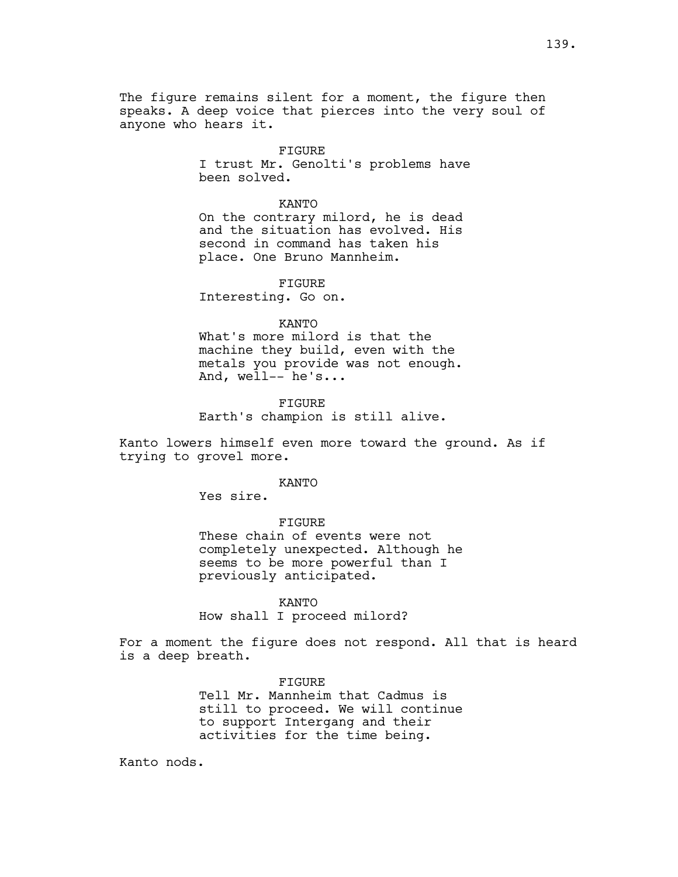The figure remains silent for a moment, the figure then speaks. A deep voice that pierces into the very soul of anyone who hears it.

> FIGURE I trust Mr. Genolti's problems have been solved.

#### KANTO

On the contrary milord, he is dead and the situation has evolved. His second in command has taken his place. One Bruno Mannheim.

### FIGURE

Interesting. Go on.

# KANTO

What's more milord is that the machine they build, even with the metals you provide was not enough. And, well-- he's...

# FIGURE Earth's champion is still alive.

Kanto lowers himself even more toward the ground. As if trying to grovel more.

### KANTO

Yes sire.

#### FIGURE

These chain of events were not completely unexpected. Although he seems to be more powerful than I previously anticipated.

## KANTO How shall I proceed milord?

For a moment the figure does not respond. All that is heard is a deep breath.

# **FIGURE** Tell Mr. Mannheim that Cadmus is still to proceed. We will continue to support Intergang and their activities for the time being.

Kanto nods.